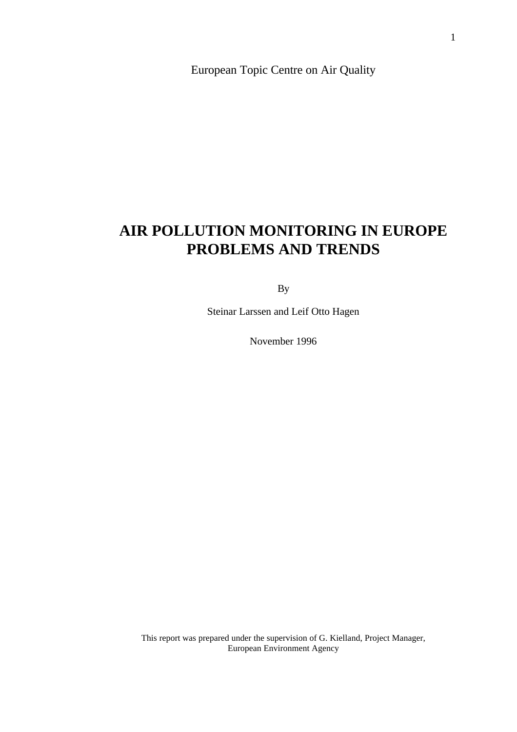European Topic Centre on Air Quality

# **AIR POLLUTION MONITORING IN EUROPE PROBLEMS AND TRENDS**

By

Steinar Larssen and Leif Otto Hagen

November 1996

This report was prepared under the supervision of G. Kielland, Project Manager, European Environment Agency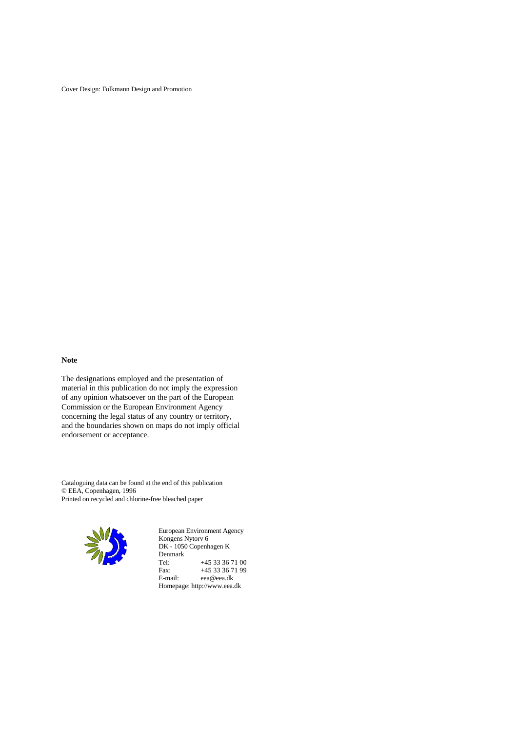Cover Design: Folkmann Design and Promotion

#### **Note**

The designations employed and the presentation of material in this publication do not imply the expression of any opinion whatsoever on the part of the European Commission or the European Environment Agency concerning the legal status of any country or territory, and the boundaries shown on maps do not imply official endorsement or acceptance.

Cataloguing data can be found at the end of this publication © EEA, Copenhagen, 1996 Printed on recycled and chlorine-free bleached paper



European Environment Agency Kongens Nytorv 6 DK - 1050 Copenhagen K Denmark<br>Tel: Tel: +45 33 36 71 00<br>Fax: +45 33 36 71 99 Fax: +45 33 36 71 99<br>E-mail: eea@eea.dk eea@eea.dk Homepage: http://www.eea.dk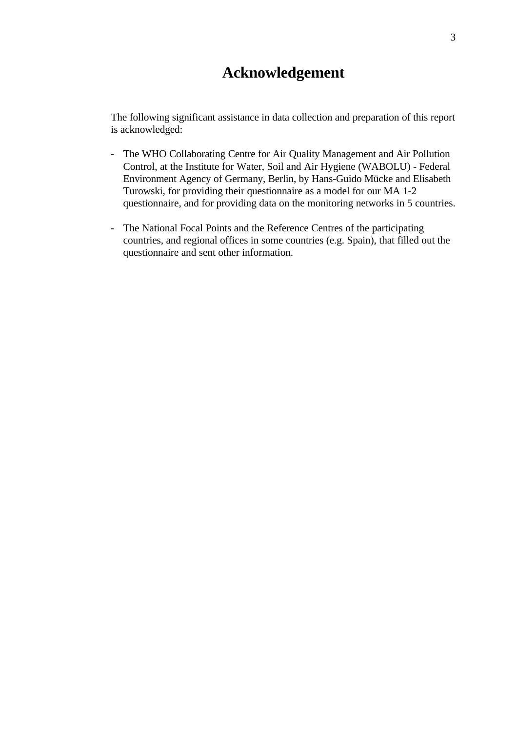# **Acknowledgement**

The following significant assistance in data collection and preparation of this report is acknowledged:

- The WHO Collaborating Centre for Air Quality Management and Air Pollution Control, at the Institute for Water, Soil and Air Hygiene (WABOLU) - Federal Environment Agency of Germany, Berlin, by Hans-Guido Mücke and Elisabeth Turowski, for providing their questionnaire as a model for our MA 1-2 questionnaire, and for providing data on the monitoring networks in 5 countries.
- The National Focal Points and the Reference Centres of the participating countries, and regional offices in some countries (e.g. Spain), that filled out the questionnaire and sent other information.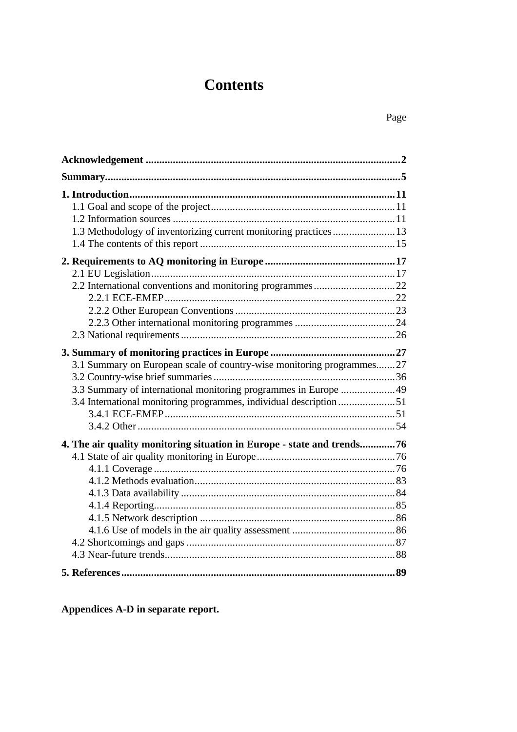# **Contents**

| 1.3 Methodology of inventorizing current monitoring practices  13                                                                                                                                               |
|-----------------------------------------------------------------------------------------------------------------------------------------------------------------------------------------------------------------|
|                                                                                                                                                                                                                 |
| 3.1 Summary on European scale of country-wise monitoring programmes27<br>3.3 Summary of international monitoring programmes in Europe  49<br>3.4 International monitoring programmes, individual description 51 |
| 4. The air quality monitoring situation in Europe - state and trends76                                                                                                                                          |
|                                                                                                                                                                                                                 |

**Appendices A-D in separate report.**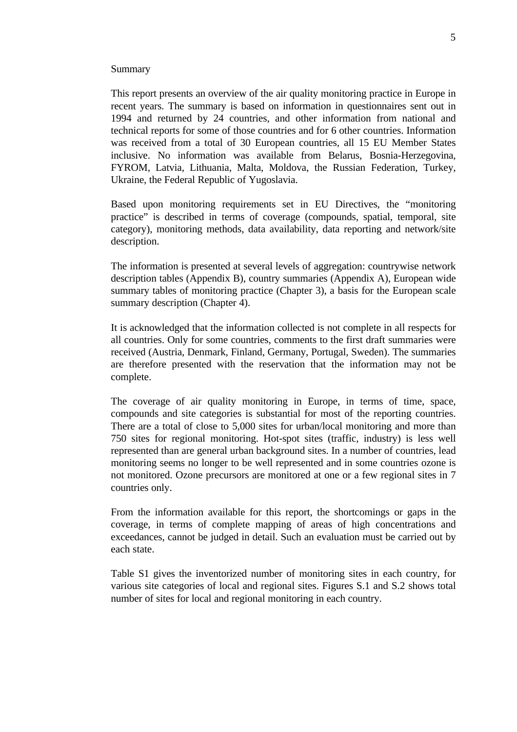#### Summary

This report presents an overview of the air quality monitoring practice in Europe in recent years. The summary is based on information in questionnaires sent out in 1994 and returned by 24 countries, and other information from national and technical reports for some of those countries and for 6 other countries. Information was received from a total of 30 European countries, all 15 EU Member States inclusive. No information was available from Belarus, Bosnia-Herzegovina, FYROM, Latvia, Lithuania, Malta, Moldova, the Russian Federation, Turkey, Ukraine, the Federal Republic of Yugoslavia.

Based upon monitoring requirements set in EU Directives, the "monitoring practice" is described in terms of coverage (compounds, spatial, temporal, site category), monitoring methods, data availability, data reporting and network/site description.

The information is presented at several levels of aggregation: countrywise network description tables (Appendix B), country summaries (Appendix A), European wide summary tables of monitoring practice (Chapter 3), a basis for the European scale summary description (Chapter 4).

It is acknowledged that the information collected is not complete in all respects for all countries. Only for some countries, comments to the first draft summaries were received (Austria, Denmark, Finland, Germany, Portugal, Sweden). The summaries are therefore presented with the reservation that the information may not be complete.

The coverage of air quality monitoring in Europe, in terms of time, space, compounds and site categories is substantial for most of the reporting countries. There are a total of close to 5,000 sites for urban/local monitoring and more than 750 sites for regional monitoring. Hot-spot sites (traffic, industry) is less well represented than are general urban background sites. In a number of countries, lead monitoring seems no longer to be well represented and in some countries ozone is not monitored. Ozone precursors are monitored at one or a few regional sites in 7 countries only.

From the information available for this report, the shortcomings or gaps in the coverage, in terms of complete mapping of areas of high concentrations and exceedances, cannot be judged in detail. Such an evaluation must be carried out by each state.

Table S1 gives the inventorized number of monitoring sites in each country, for various site categories of local and regional sites. Figures S.1 and S.2 shows total number of sites for local and regional monitoring in each country.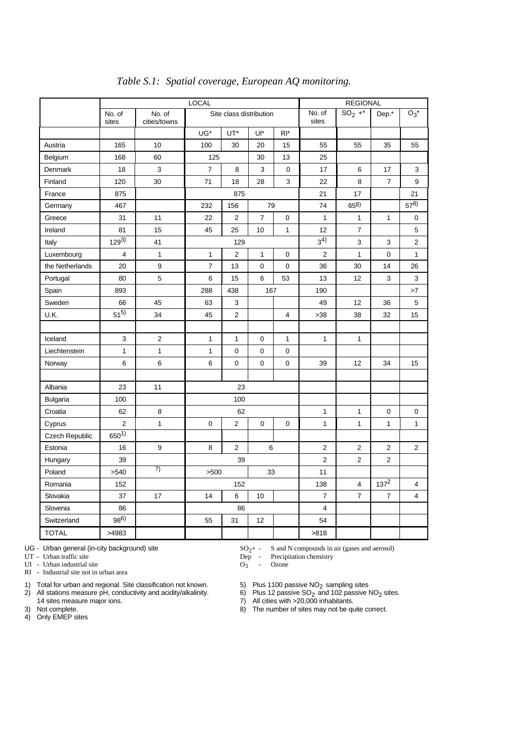|                 | LOCAL                   |                         |                         |                         |                |                 | <b>REGIONAL</b> |                |                |                |
|-----------------|-------------------------|-------------------------|-------------------------|-------------------------|----------------|-----------------|-----------------|----------------|----------------|----------------|
|                 | No. of<br>sites         | No. of<br>cities/towns  | Site class distribution |                         |                | No. of<br>sites | $SO_2$ +*       | Dep.*          | $O_3^*$        |                |
|                 |                         |                         | UG*                     | UT*                     | Ul*            | RI*             |                 |                |                |                |
| Austria         | 165                     | 10                      | 100                     | 30                      | 20             | 15              | 55              | 55             | 35             | 55             |
| Belgium         | 168                     | 60                      | 125                     |                         | 30             | 13              | 25              |                |                |                |
| Denmark         | 18                      | 3                       | $\overline{7}$          | 8                       | 3              | 0               | 17              | 6              | 17             | 3              |
| Finland         | 120                     | 30                      | 71                      | 18                      | 28             | 3               | 22              | 8              | $\overline{7}$ | 9              |
| France          | 875                     |                         |                         | 875                     |                |                 | 21              | 17             |                | 21             |
| Germany         | 467                     |                         | 232                     | 156                     | 79             |                 | 74              | 658)           |                | $57^{8}$       |
| Greece          | 31                      | 11                      | 22                      | $\overline{2}$          | $\overline{7}$ | 0               | $\mathbf{1}$    | $\mathbf{1}$   | $\mathbf{1}$   | 0              |
| Ireland         | 81                      | 15                      | 45                      | 25                      | 10             | 1               | 12              | $\overline{7}$ |                | 5              |
| Italy           | $129^{3}$               | 41                      |                         | 129                     |                |                 | $3^{4)}$        | 3              | 3              | 2              |
| Luxembourg      | $\overline{\mathbf{4}}$ | $\mathbf{1}$            | $\mathbf{1}$            | $\overline{2}$          | $\mathbf{1}$   | 0               | 2               | $\mathbf{1}$   | $\mathbf 0$    | $\mathbf{1}$   |
| the Netherlands | 20                      | $\mathsf g$             | $\overline{7}$          | 13                      | 0              | $\mathbf 0$     | 36              | 30             | 14             | 26             |
| Portugal        | 80                      | 5                       | 6                       | 15                      | 6              | 53              | 13              | 12             | 3              | 3              |
| Spain           | 893                     |                         | 288                     | 438                     | 167            |                 | 190             |                |                | >7             |
| Sweden          | 66                      | 45                      | 63                      | 3                       |                |                 | 49              | 12             | 36             | 5              |
| U.K.            | $51^{5}$                | 34                      | 45                      | $\overline{2}$          |                | $\overline{4}$  | >38             | 38             | 32             | 15             |
|                 |                         |                         |                         |                         |                |                 |                 |                |                |                |
| Iceland         | 3                       | $\overline{\mathbf{c}}$ | 1                       | 1                       | 0              | 1               | 1               | 1              |                |                |
| Liechtenstein   | $\mathbf{1}$            | $\mathbf{1}$            | $\mathbf{1}$            | $\mathbf 0$             | 0              | 0               |                 |                |                |                |
| Norway          | 6                       | 6                       | 6                       | $\mathbf 0$             | 0              | 0               | 39              | 12             | 34             | 15             |
|                 |                         |                         |                         |                         |                |                 |                 |                |                |                |
| Albania         | 23                      | 11                      |                         | 23                      |                |                 |                 |                |                |                |
| <b>Bulgaria</b> | 100                     |                         |                         | 100                     |                |                 |                 |                |                |                |
| Croatia         | 62                      | 8                       |                         | 62                      |                |                 | 1               | $\mathbf{1}$   | 0              | 0              |
| Cyprus          | $\overline{2}$          | $\mathbf{1}$            | $\mathbf 0$             | $\overline{\mathbf{c}}$ | $\mathbf 0$    | 0               | $\mathbf{1}$    | $\mathbf{1}$   | $\mathbf{1}$   | $\mathbf{1}$   |
| Czech Republic  | $650^{1}$               |                         |                         |                         |                |                 |                 |                |                |                |
| Estonia         | 16                      | 9                       | 8                       | $\overline{2}$          | 6              |                 | 2               | $\overline{2}$ | $\mathbf 2$    | $\overline{2}$ |
| Hungary         | 39                      |                         |                         | 39                      |                |                 | 2               | $\overline{2}$ | 2              |                |
| Poland          | >540                    | 7)                      | >500                    |                         | 33             |                 | 11              |                |                |                |
| Romania         | 152                     |                         |                         | 152                     |                |                 | 138             | $\overline{4}$ | $137^2$        | 4              |
| Slovakia        | 37                      | 17                      | 14                      | 6                       | 10             |                 | $\overline{7}$  | $\overline{7}$ | $\overline{7}$ | 4              |
| Slovenia        | 86                      |                         |                         | 86                      |                |                 | $\overline{4}$  |                |                |                |
| Switzerland     | $98^{6)}$               |                         | 55                      | 31                      | 12             |                 | 54              |                |                |                |
| <b>TOTAL</b>    | >4983                   |                         |                         |                         |                |                 | >818            |                |                |                |

#### *Table S.1: Spatial coverage, European AQ monitoring.*

UI - Urban industrial site RI - Industrial site not in urban area

- 
- 1) Total for urban and regional. Site classification not known.  $\begin{array}{ccc} 5) &$  Plus 1100 passive NO<sub>2</sub> sampling sites<br>
2) All stations measure pH, conductivity and acidity/alkalinity.  $\begin{array}{ccc} 6) &$  Plus 12 passive SO<sub>2</sub> an All stations measure pH, conductivity and acidity/alkalinity.  $\begin{array}{c} 6) \quad \text{Plus 12 passive SO}_2 \text{ and 102 passive NO}_2 \text{ sites.} \\ 14 \text{ sites measure major ions.} \end{array}$  All cities with >20,000 inhabitants.
- 

4) Only EMEP sites

- UG Urban general (in-city background) site  $SO_2$ + S and N compounds in air (gases and aerosol)<br>UT Urban traffic site  $Dep$  Precipitation chemistry
	-

- Ozone

Dep - Precipitation chemistry<br> $O_3$  - Ozone

14 sites measure major ions. 7) All cities with >20,000 inhabitants.

3) Not complete. 8) The number of sites may not be quite correct.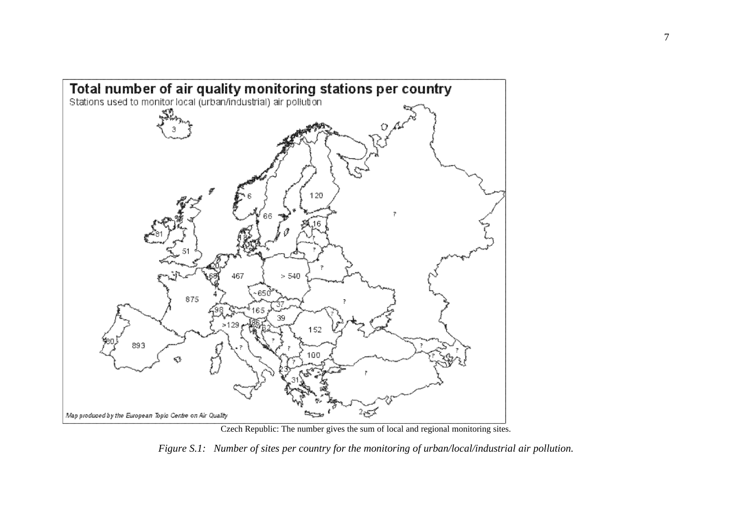

Czech Republic: The number gives the sum of local and regional monitoring sites.

*Figure S.1: Number of sites per country for the monitoring of urban/local/industrial air pollution.*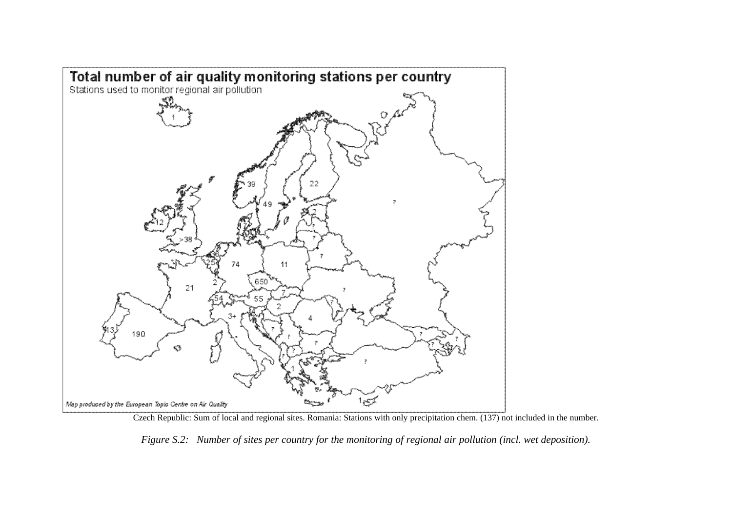

Czech Republic: Sum of local and regional sites. Romania: Stations with only precipitation chem. (137) not included in the number.

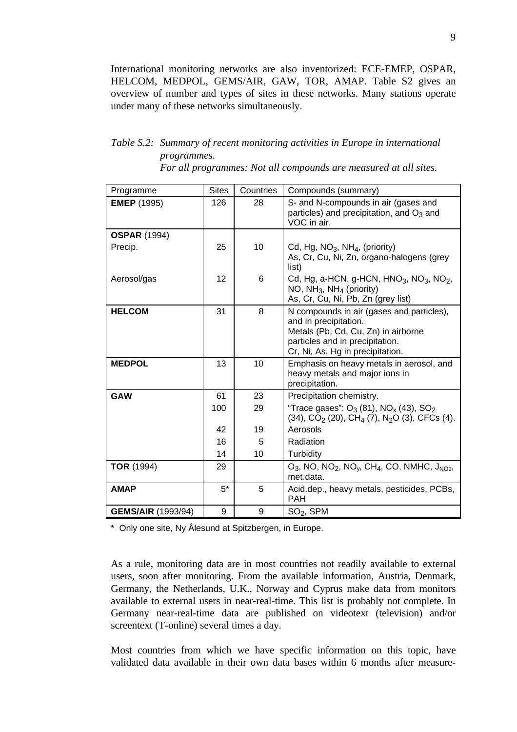International monitoring networks are also inventorized: ECE-EMEP, OSPAR, HELCOM, MEDPOL, GEMS/AIR, GAW, TOR, AMAP. Table S2 gives an overview of number and types of sites in these networks. Many stations operate under many of these networks simultaneously.

# *Table S.2: Summary of recent monitoring activities in Europe in international programmes.*

*For all programmes: Not all compounds are measured at all sites.*

| Programme                 | <b>Sites</b> | Countries | Compounds (summary)                                                                                                                                                              |
|---------------------------|--------------|-----------|----------------------------------------------------------------------------------------------------------------------------------------------------------------------------------|
| <b>EMEP</b> (1995)        | 126          | 28        | S- and N-compounds in air (gases and<br>particles) and precipitation, and $O_3$ and<br>VOC in air.                                                                               |
| <b>OSPAR (1994)</b>       |              |           |                                                                                                                                                                                  |
| Precip.                   | 25           | 10        | Cd, Hg, $NO3$ , NH <sub>4</sub> , (priority)<br>As, Cr, Cu, Ni, Zn, organo-halogens (grey<br>list)                                                                               |
| Aerosol/gas               | 12           | 6         | Cd, Hg, a-HCN, g-HCN, HNO <sub>3</sub> , NO <sub>3</sub> , NO <sub>2</sub> ,<br>NO, $NH_3$ , $NH_4$ (priority)<br>As, Cr, Cu, Ni, Pb, Zn (grey list)                             |
| <b>HELCOM</b>             | 31           | 8         | N compounds in air (gases and particles),<br>and in precipitation.<br>Metals (Pb, Cd, Cu, Zn) in airborne<br>particles and in precipitation.<br>Cr, Ni, As, Hg in precipitation. |
| <b>MEDPOL</b>             | 13           | 10        | Emphasis on heavy metals in aerosol, and<br>heavy metals and major ions in<br>precipitation.                                                                                     |
| <b>GAW</b>                | 61           | 23        | Precipitation chemistry.                                                                                                                                                         |
|                           | 100          | 29        | "Trace gases": $O_3$ (81), NO <sub>x</sub> (43), SO <sub>2</sub><br>$(34)$ , CO <sub>2</sub> $(20)$ , CH <sub>4</sub> $(7)$ , N <sub>2</sub> O $(3)$ , CFCs $(4)$ .              |
|                           | 42           | 19        | Aerosols                                                                                                                                                                         |
|                           | 16           | 5         | Radiation                                                                                                                                                                        |
|                           | 14           | 10        | Turbidity                                                                                                                                                                        |
| <b>TOR</b> (1994)         | 29           |           | $O_3$ , NO, NO <sub>2</sub> , NO <sub>v</sub> , CH <sub>4</sub> , CO, NMHC, J <sub>NO2</sub> ,<br>met.data.                                                                      |
| <b>AMAP</b>               | $5^*$        | 5         | Acid.dep., heavy metals, pesticides, PCBs,<br><b>PAH</b>                                                                                                                         |
| <b>GEMS/AIR (1993/94)</b> | 9            | 9         | $SO2$ , SPM                                                                                                                                                                      |

\* Only one site, Ny Ålesund at Spitzbergen, in Europe.

As a rule, monitoring data are in most countries not readily available to external users, soon after monitoring. From the available information, Austria, Denmark, Germany, the Netherlands, U.K., Norway and Cyprus make data from monitors available to external users in near-real-time. This list is probably not complete. In Germany near-real-time data are published on videotext (television) and/or screentext (T-online) several times a day.

Most countries from which we have specific information on this topic, have validated data available in their own data bases within 6 months after measure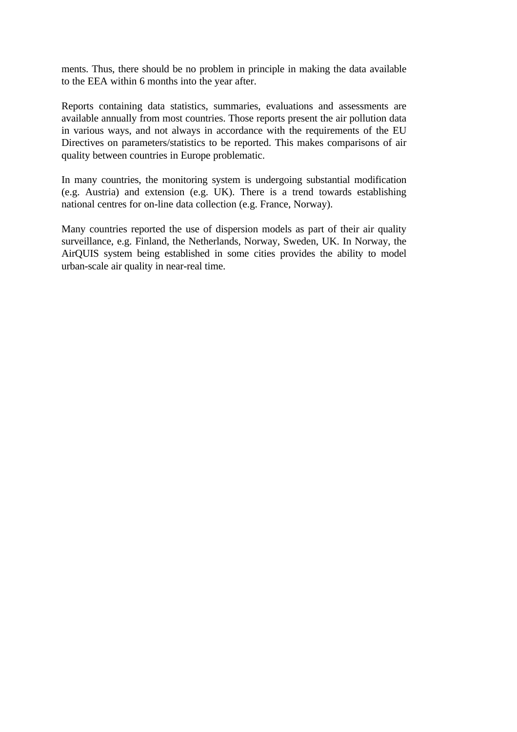ments. Thus, there should be no problem in principle in making the data available to the EEA within 6 months into the year after.

Reports containing data statistics, summaries, evaluations and assessments are available annually from most countries. Those reports present the air pollution data in various ways, and not always in accordance with the requirements of the EU Directives on parameters/statistics to be reported. This makes comparisons of air quality between countries in Europe problematic.

In many countries, the monitoring system is undergoing substantial modification (e.g. Austria) and extension (e.g. UK). There is a trend towards establishing national centres for on-line data collection (e.g. France, Norway).

Many countries reported the use of dispersion models as part of their air quality surveillance, e.g. Finland, the Netherlands, Norway, Sweden, UK. In Norway, the AirQUIS system being established in some cities provides the ability to model urban-scale air quality in near-real time.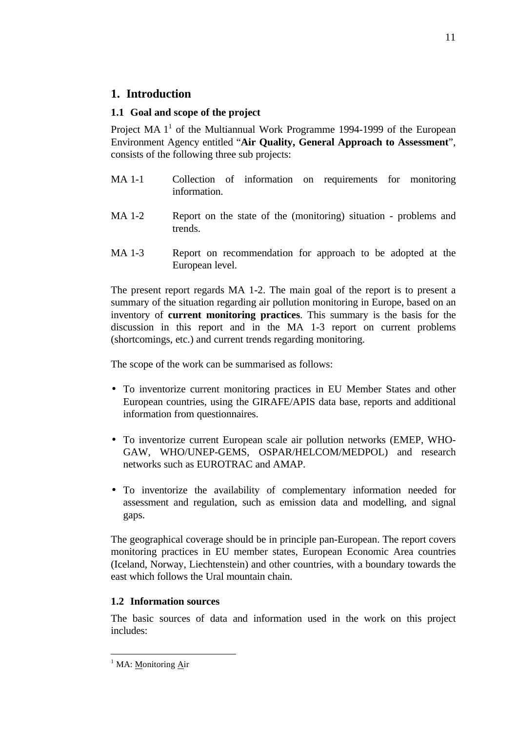# **1. Introduction**

# **1.1 Goal and scope of the project**

Project MA  $1^1$  of the Multiannual Work Programme 1994-1999 of the European Environment Agency entitled "**Air Quality, General Approach to Assessment**", consists of the following three sub projects:

- MA 1-1 Collection of information on requirements for monitoring information.
- MA 1-2 Report on the state of the (monitoring) situation problems and trends.
- MA 1-3 Report on recommendation for approach to be adopted at the European level.

The present report regards MA 1-2. The main goal of the report is to present a summary of the situation regarding air pollution monitoring in Europe, based on an inventory of **current monitoring practices**. This summary is the basis for the discussion in this report and in the MA 1-3 report on current problems (shortcomings, etc.) and current trends regarding monitoring.

The scope of the work can be summarised as follows:

- To inventorize current monitoring practices in EU Member States and other European countries, using the GIRAFE/APIS data base, reports and additional information from questionnaires.
- To inventorize current European scale air pollution networks (EMEP, WHO-GAW, WHO/UNEP-GEMS, OSPAR/HELCOM/MEDPOL) and research networks such as EUROTRAC and AMAP.
- To inventorize the availability of complementary information needed for assessment and regulation, such as emission data and modelling, and signal gaps.

The geographical coverage should be in principle pan-European. The report covers monitoring practices in EU member states, European Economic Area countries (Iceland, Norway, Liechtenstein) and other countries, with a boundary towards the east which follows the Ural mountain chain.

# **1.2 Information sources**

The basic sources of data and information used in the work on this project includes:

 $\overline{a}$ 

<sup>&</sup>lt;sup>1</sup> MA: Monitoring Air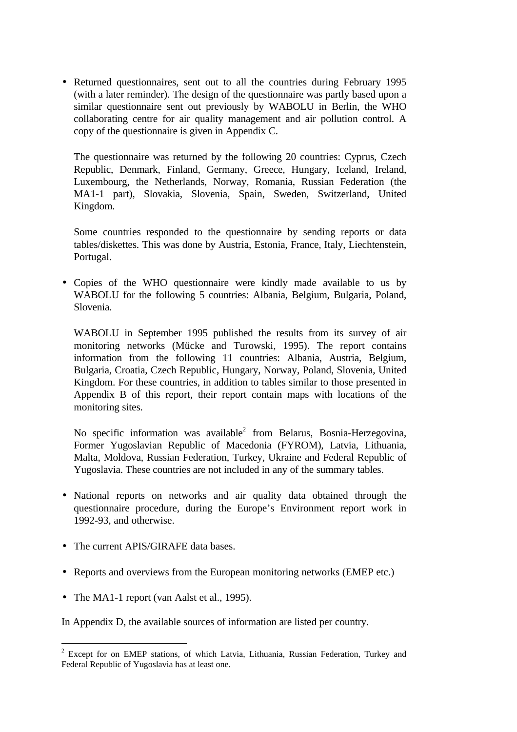• Returned questionnaires, sent out to all the countries during February 1995 (with a later reminder). The design of the questionnaire was partly based upon a similar questionnaire sent out previously by WABOLU in Berlin, the WHO collaborating centre for air quality management and air pollution control. A copy of the questionnaire is given in Appendix C.

The questionnaire was returned by the following 20 countries: Cyprus, Czech Republic, Denmark, Finland, Germany, Greece, Hungary, Iceland, Ireland, Luxembourg, the Netherlands, Norway, Romania, Russian Federation (the MA1-1 part), Slovakia, Slovenia, Spain, Sweden, Switzerland, United Kingdom.

Some countries responded to the questionnaire by sending reports or data tables/diskettes. This was done by Austria, Estonia, France, Italy, Liechtenstein, Portugal.

• Copies of the WHO questionnaire were kindly made available to us by WABOLU for the following 5 countries: Albania, Belgium, Bulgaria, Poland, Slovenia.

WABOLU in September 1995 published the results from its survey of air monitoring networks (Mücke and Turowski, 1995). The report contains information from the following 11 countries: Albania, Austria, Belgium, Bulgaria, Croatia, Czech Republic, Hungary, Norway, Poland, Slovenia, United Kingdom. For these countries, in addition to tables similar to those presented in Appendix B of this report, their report contain maps with locations of the monitoring sites.

No specific information was available<sup>2</sup> from Belarus, Bosnia-Herzegovina, Former Yugoslavian Republic of Macedonia (FYROM), Latvia, Lithuania, Malta, Moldova, Russian Federation, Turkey, Ukraine and Federal Republic of Yugoslavia. These countries are not included in any of the summary tables.

- National reports on networks and air quality data obtained through the questionnaire procedure, during the Europe's Environment report work in 1992-93, and otherwise.
- The current APIS/GIRAFE data bases.
- Reports and overviews from the European monitoring networks (EMEP etc.)
- The MA1-1 report (van Aalst et al., 1995).

 $\overline{a}$ 

In Appendix D, the available sources of information are listed per country.

 $2$  Except for on EMEP stations, of which Latvia, Lithuania, Russian Federation, Turkey and Federal Republic of Yugoslavia has at least one.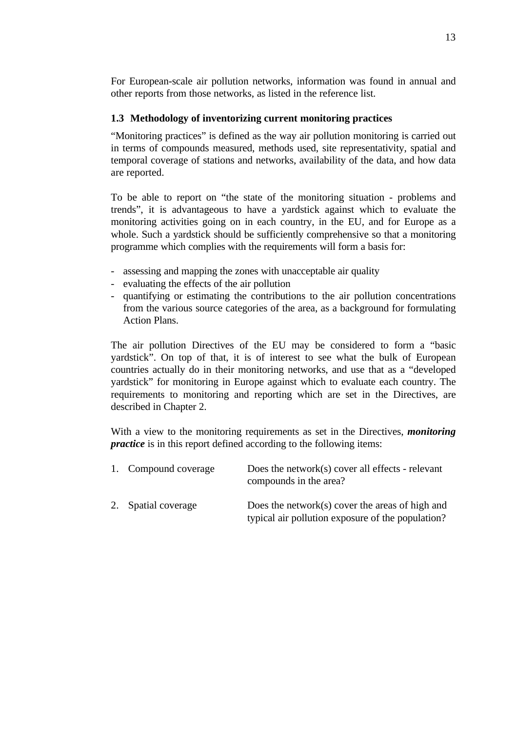For European-scale air pollution networks, information was found in annual and other reports from those networks, as listed in the reference list.

# **1.3 Methodology of inventorizing current monitoring practices**

"Monitoring practices" is defined as the way air pollution monitoring is carried out in terms of compounds measured, methods used, site representativity, spatial and temporal coverage of stations and networks, availability of the data, and how data are reported.

To be able to report on "the state of the monitoring situation - problems and trends", it is advantageous to have a yardstick against which to evaluate the monitoring activities going on in each country, in the EU, and for Europe as a whole. Such a yardstick should be sufficiently comprehensive so that a monitoring programme which complies with the requirements will form a basis for:

- assessing and mapping the zones with unacceptable air quality
- evaluating the effects of the air pollution
- quantifying or estimating the contributions to the air pollution concentrations from the various source categories of the area, as a background for formulating Action Plans.

The air pollution Directives of the EU may be considered to form a "basic yardstick". On top of that, it is of interest to see what the bulk of European countries actually do in their monitoring networks, and use that as a "developed yardstick" for monitoring in Europe against which to evaluate each country. The requirements to monitoring and reporting which are set in the Directives, are described in Chapter 2.

With a view to the monitoring requirements as set in the Directives, *monitoring practice* is in this report defined according to the following items:

| 1. Compound coverage | Does the network(s) cover all effects - relevant<br>compounds in the area?                           |
|----------------------|------------------------------------------------------------------------------------------------------|
| 2. Spatial coverage  | Does the network(s) cover the areas of high and<br>typical air pollution exposure of the population? |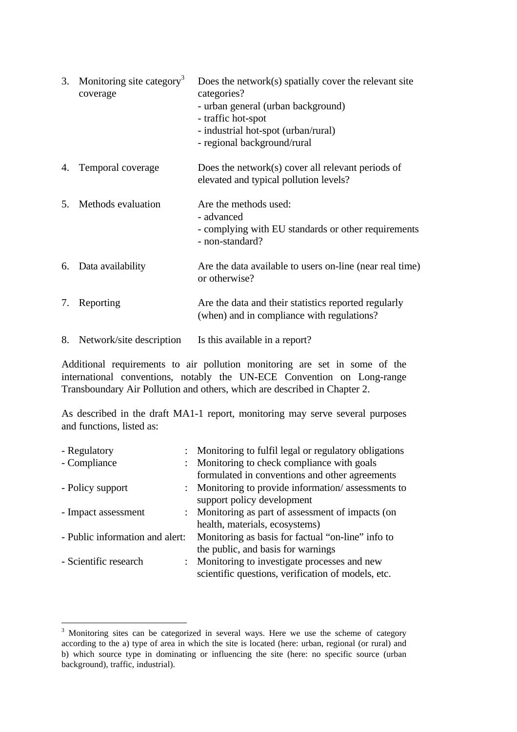|                | 3. Monitoring site category <sup>3</sup><br>coverage | Does the network $(s)$ spatially cover the relevant site<br>categories?<br>- urban general (urban background)<br>- traffic hot-spot<br>- industrial hot-spot (urban/rural)<br>- regional background/rural |
|----------------|------------------------------------------------------|-----------------------------------------------------------------------------------------------------------------------------------------------------------------------------------------------------------|
|                | 4. Temporal coverage                                 | Does the network(s) cover all relevant periods of<br>elevated and typical pollution levels?                                                                                                               |
| 5 <sub>1</sub> | Methods evaluation                                   | Are the methods used:<br>- advanced<br>- complying with EU standards or other requirements<br>- non-standard?                                                                                             |
|                | 6. Data availability                                 | Are the data available to users on-line (near real time)<br>or otherwise?                                                                                                                                 |
|                | 7. Reporting                                         | Are the data and their statistics reported regularly<br>(when) and in compliance with regulations?                                                                                                        |
| 8.             | Network/site description                             | Is this available in a report?                                                                                                                                                                            |

Additional requirements to air pollution monitoring are set in some of the international conventions, notably the UN-ECE Convention on Long-range Transboundary Air Pollution and others, which are described in Chapter 2.

As described in the draft MA1-1 report, monitoring may serve several purposes and functions, listed as:

| - Regulatory                    | Monitoring to fulfil legal or regulatory obligations |
|---------------------------------|------------------------------------------------------|
| - Compliance                    | : Monitoring to check compliance with goals          |
|                                 | formulated in conventions and other agreements       |
| - Policy support                | : Monitoring to provide information/assessments to   |
|                                 | support policy development                           |
| - Impact assessment             | : Monitoring as part of assessment of impacts (on    |
|                                 | health, materials, ecosystems)                       |
| - Public information and alert: | Monitoring as basis for factual "on-line" info to    |
|                                 | the public, and basis for warnings                   |
| - Scientific research           | : Monitoring to investigate processes and new        |
|                                 | scientific questions, verification of models, etc.   |

<sup>&</sup>lt;sup>3</sup> Monitoring sites can be categorized in several ways. Here we use the scheme of category according to the a) type of area in which the site is located (here: urban, regional (or rural) and b) which source type in dominating or influencing the site (here: no specific source (urban background), traffic, industrial).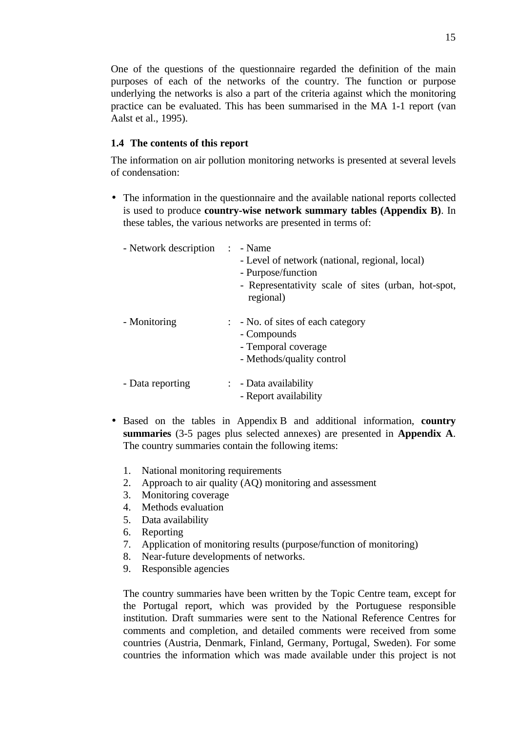One of the questions of the questionnaire regarded the definition of the main purposes of each of the networks of the country. The function or purpose underlying the networks is also a part of the criteria against which the monitoring practice can be evaluated. This has been summarised in the MA 1-1 report (van Aalst et al., 1995).

#### **1.4 The contents of this report**

The information on air pollution monitoring networks is presented at several levels of condensation:

• The information in the questionnaire and the available national reports collected is used to produce **country-wise network summary tables (Appendix B)**. In these tables, the various networks are presented in terms of:

| - Network description | $\sim 10^{-1}$ | - Name<br>- Level of network (national, regional, local)<br>- Purpose/function<br>- Representativity scale of sites (urban, hot-spot,<br>regional) |
|-----------------------|----------------|----------------------------------------------------------------------------------------------------------------------------------------------------|
| - Monitoring          |                | $\therefore$ - No. of sites of each category<br>- Compounds<br>- Temporal coverage<br>- Methods/quality control                                    |
| - Data reporting      |                | $\therefore$ - Data availability<br>- Report availability                                                                                          |

- Based on the tables in Appendix B and additional information, **country summaries** (3-5 pages plus selected annexes) are presented in **Appendix A**. The country summaries contain the following items:
	- 1. National monitoring requirements
	- 2. Approach to air quality (AQ) monitoring and assessment
	- 3. Monitoring coverage
	- 4. Methods evaluation
	- 5. Data availability
	- 6. Reporting
	- 7. Application of monitoring results (purpose/function of monitoring)
	- 8. Near-future developments of networks.
	- 9. Responsible agencies

The country summaries have been written by the Topic Centre team, except for the Portugal report, which was provided by the Portuguese responsible institution. Draft summaries were sent to the National Reference Centres for comments and completion, and detailed comments were received from some countries (Austria, Denmark, Finland, Germany, Portugal, Sweden). For some countries the information which was made available under this project is not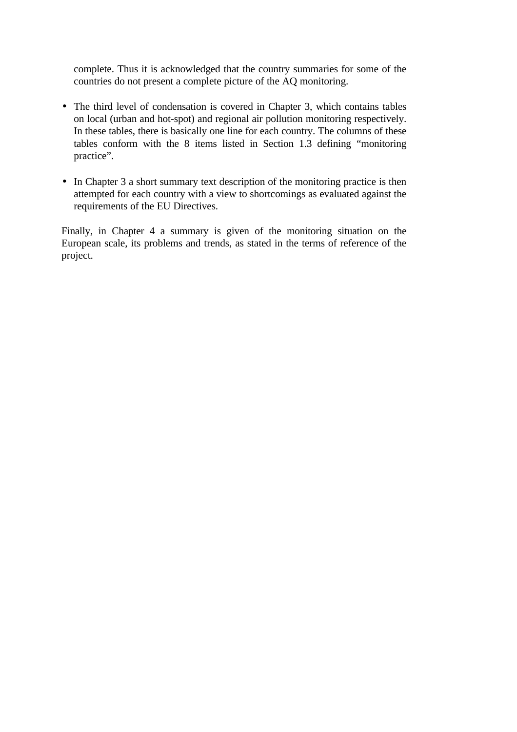complete. Thus it is acknowledged that the country summaries for some of the countries do not present a complete picture of the AQ monitoring.

- The third level of condensation is covered in Chapter 3, which contains tables on local (urban and hot-spot) and regional air pollution monitoring respectively. In these tables, there is basically one line for each country. The columns of these tables conform with the 8 items listed in Section 1.3 defining "monitoring practice".
- In Chapter 3 a short summary text description of the monitoring practice is then attempted for each country with a view to shortcomings as evaluated against the requirements of the EU Directives.

Finally, in Chapter 4 a summary is given of the monitoring situation on the European scale, its problems and trends, as stated in the terms of reference of the project.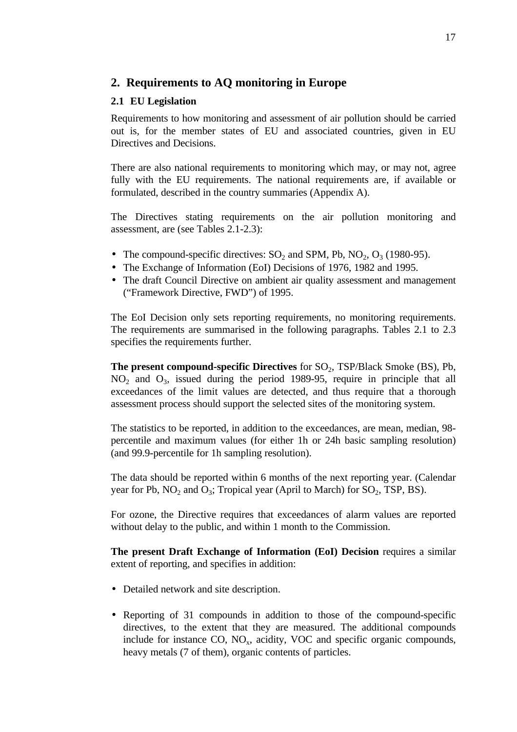# **2. Requirements to AQ monitoring in Europe**

### **2.1 EU Legislation**

Requirements to how monitoring and assessment of air pollution should be carried out is, for the member states of EU and associated countries, given in EU Directives and Decisions.

There are also national requirements to monitoring which may, or may not, agree fully with the EU requirements. The national requirements are, if available or formulated, described in the country summaries (Appendix A).

The Directives stating requirements on the air pollution monitoring and assessment, are (see Tables 2.1-2.3):

- The compound-specific directives:  $SO_2$  and SPM, Pb, NO<sub>2</sub>, O<sub>3</sub> (1980-95).
- The Exchange of Information (EoI) Decisions of 1976, 1982 and 1995.
- The draft Council Directive on ambient air quality assessment and management ("Framework Directive, FWD") of 1995.

The EoI Decision only sets reporting requirements, no monitoring requirements. The requirements are summarised in the following paragraphs. Tables 2.1 to 2.3 specifies the requirements further.

**The present compound-specific Directives** for SO<sub>2</sub>, TSP/Black Smoke (BS), Pb,  $NO<sub>2</sub>$  and  $O<sub>3</sub>$ , issued during the period 1989-95, require in principle that all exceedances of the limit values are detected, and thus require that a thorough assessment process should support the selected sites of the monitoring system.

The statistics to be reported, in addition to the exceedances, are mean, median, 98 percentile and maximum values (for either 1h or 24h basic sampling resolution) (and 99.9-percentile for 1h sampling resolution).

The data should be reported within 6 months of the next reporting year. (Calendar year for Pb,  $NO_2$  and  $O_3$ ; Tropical year (April to March) for  $SO_2$ , TSP, BS).

For ozone, the Directive requires that exceedances of alarm values are reported without delay to the public, and within 1 month to the Commission.

**The present Draft Exchange of Information (EoI) Decision** requires a similar extent of reporting, and specifies in addition:

- Detailed network and site description.
- Reporting of 31 compounds in addition to those of the compound-specific directives, to the extent that they are measured. The additional compounds include for instance  $CO$ ,  $NO<sub>x</sub>$ , acidity, VOC and specific organic compounds, heavy metals (7 of them), organic contents of particles.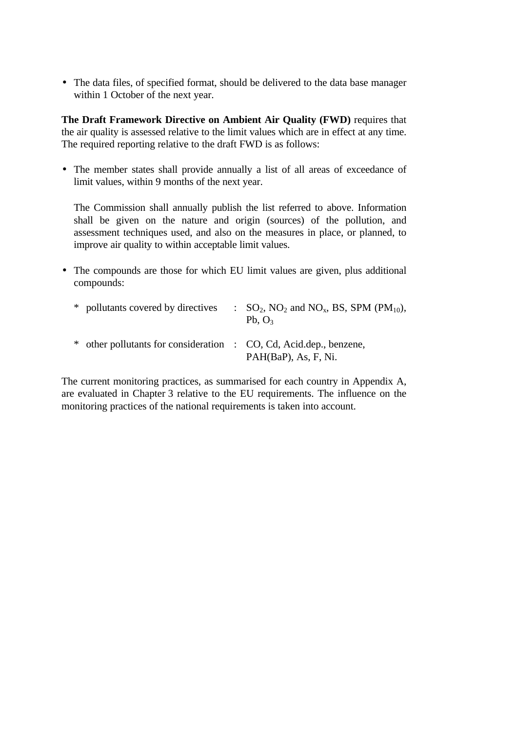• The data files, of specified format, should be delivered to the data base manager within 1 October of the next year.

**The Draft Framework Directive on Ambient Air Quality (FWD)** requires that the air quality is assessed relative to the limit values which are in effect at any time. The required reporting relative to the draft FWD is as follows:

• The member states shall provide annually a list of all areas of exceedance of limit values, within 9 months of the next year.

The Commission shall annually publish the list referred to above. Information shall be given on the nature and origin (sources) of the pollution, and assessment techniques used, and also on the measures in place, or planned, to improve air quality to within acceptable limit values.

• The compounds are those for which EU limit values are given, plus additional compounds:

| * pollutants covered by directives                                 | $\therefore$ SO <sub>2</sub> , NO <sub>2</sub> and NO <sub>x</sub> , BS, SPM (PM <sub>10</sub> ),<br>Pb, $O_3$ |
|--------------------------------------------------------------------|----------------------------------------------------------------------------------------------------------------|
| * other pollutants for consideration : CO, Cd, Acid.dep., benzene, | PAH(BaP), As, F, Ni.                                                                                           |

The current monitoring practices, as summarised for each country in Appendix A, are evaluated in Chapter 3 relative to the EU requirements. The influence on the monitoring practices of the national requirements is taken into account.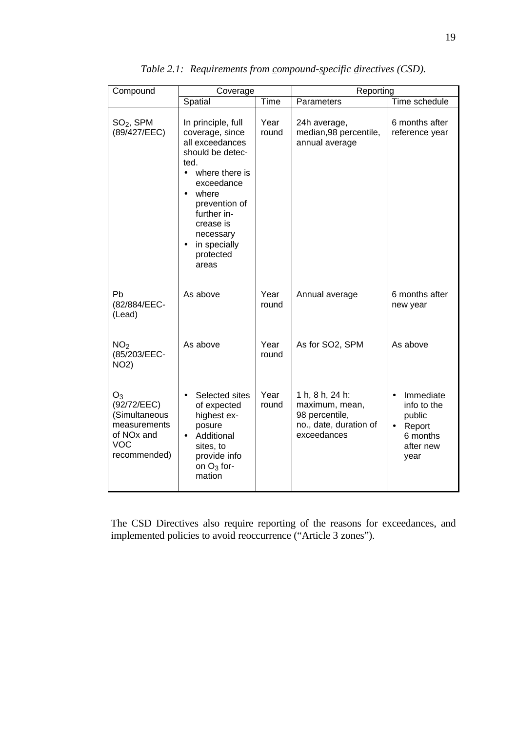| Compound                                                                                                      | Coverage                                                                                                                                                                                                                                                             |               | Reporting                                                                                    |                                                                               |  |  |
|---------------------------------------------------------------------------------------------------------------|----------------------------------------------------------------------------------------------------------------------------------------------------------------------------------------------------------------------------------------------------------------------|---------------|----------------------------------------------------------------------------------------------|-------------------------------------------------------------------------------|--|--|
|                                                                                                               | Spatial                                                                                                                                                                                                                                                              | Time          | Parameters                                                                                   | Time schedule                                                                 |  |  |
| $SO2$ , SPM<br>(89/427/EEC)                                                                                   | In principle, full<br>coverage, since<br>all exceedances<br>should be detec-<br>ted.<br>where there is<br>$\bullet$<br>exceedance<br>where<br>$\bullet$<br>prevention of<br>further in-<br>crease is<br>necessary<br>in specially<br>$\bullet$<br>protected<br>areas | Year<br>round | 24h average,<br>median, 98 percentile,<br>annual average                                     | 6 months after<br>reference year                                              |  |  |
| Ph<br>(82/884/EEC-<br>(Lead)                                                                                  | As above                                                                                                                                                                                                                                                             | Year<br>round | Annual average                                                                               | 6 months after<br>new year                                                    |  |  |
| NO <sub>2</sub><br>(85/203/EEC-<br><b>NO2)</b>                                                                | As above                                                                                                                                                                                                                                                             | Year<br>round | As for SO2, SPM                                                                              | As above                                                                      |  |  |
| $O_3$<br>(92/72/EEC)<br>(Simultaneous<br>measurements<br>of NO <sub>x</sub> and<br><b>VOC</b><br>recommended) | Selected sites<br>$\bullet$<br>of expected<br>highest ex-<br>posure<br>Additional<br>$\bullet$<br>sites, to<br>provide info<br>on $O_3$ for-<br>mation                                                                                                               | Year<br>round | 1 h, 8 h, 24 h:<br>maximum, mean,<br>98 percentile,<br>no., date, duration of<br>exceedances | Immediate<br>info to the<br>public<br>Report<br>6 months<br>after new<br>year |  |  |

*Table 2.1: Requirements from compound-specific directives (CSD).*

The CSD Directives also require reporting of the reasons for exceedances, and implemented policies to avoid reoccurrence ("Article 3 zones").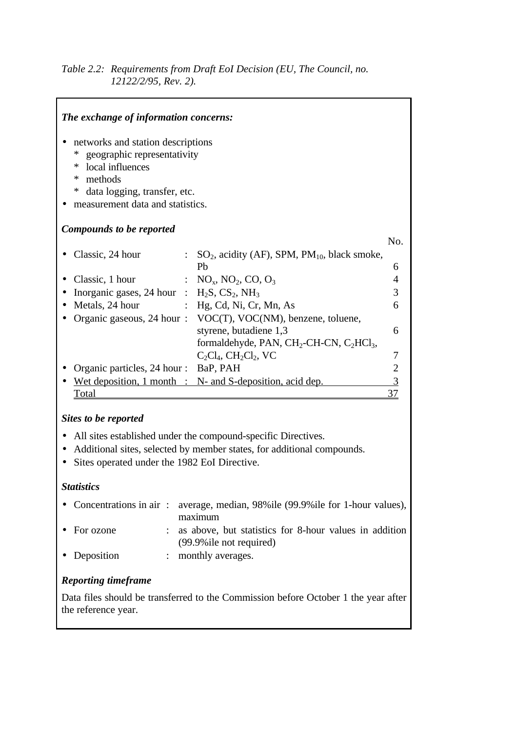# *Table 2.2: Requirements from Draft EoI Decision (EU, The Council, no. 12122/2/95, Rev. 2).*

| The exchange of information concerns:                                                                                                                                                        |                                                             |     |
|----------------------------------------------------------------------------------------------------------------------------------------------------------------------------------------------|-------------------------------------------------------------|-----|
| networks and station descriptions<br>geographic representativity<br>∗<br>local influences<br>∗<br>methods<br>∗<br>$\ast$<br>data logging, transfer, etc.<br>measurement data and statistics. |                                                             |     |
| Compounds to be reported                                                                                                                                                                     |                                                             |     |
|                                                                                                                                                                                              |                                                             | No. |
| Classic, 24 hour<br>Ph                                                                                                                                                                       | $SO_2$ , acidity (AF), SPM, PM <sub>10</sub> , black smoke, | 6   |
| Classic, 1 hour                                                                                                                                                                              | : $NO_x$ , $NO_2$ , $CO$ , $O_3$                            | 4   |
| Inorganic gases, 24 hour : $H_2S$ , $CS_2$ , $NH_3$                                                                                                                                          |                                                             | 3   |
| Metals, 24 hour                                                                                                                                                                              | Hg, Cd, Ni, Cr, Mn, As                                      | 6   |
| Organic gaseous, 24 hour:                                                                                                                                                                    | VOC(T), VOC(NM), benzene, toluene,                          |     |
|                                                                                                                                                                                              | styrene, butadiene 1,3                                      | 6   |
|                                                                                                                                                                                              | formaldehyde, PAN, $CH_2$ -CH-CN, $C_2HCl_3$ ,              |     |
|                                                                                                                                                                                              | $C_2Cl_4$ , $CH_2Cl_2$ , VC                                 | 7   |
| Organic particles, 24 hour :                                                                                                                                                                 | BaP, PAH                                                    |     |
| Wet deposition, $1$ month : N- and S-deposition, acid dep.                                                                                                                                   |                                                             |     |
| Total                                                                                                                                                                                        |                                                             |     |

# *Sites to be reported*

- All sites established under the compound-specific Directives.
- Additional sites, selected by member states, for additional compounds.
- Sites operated under the 1982 EoI Directive.

# *Statistics*

|                     | • Concentrations in air: average, median, 98% ile (99.9% ile for 1-hour values),                   |
|---------------------|----------------------------------------------------------------------------------------------------|
| $\bullet$ For ozone | maximum<br>: as above, but statistics for 8-hour values in addition<br>$(99.9\%$ ile not required) |
| • Deposition        | : monthly averages.                                                                                |

# *Reporting timeframe*

Data files should be transferred to the Commission before October 1 the year after the reference year.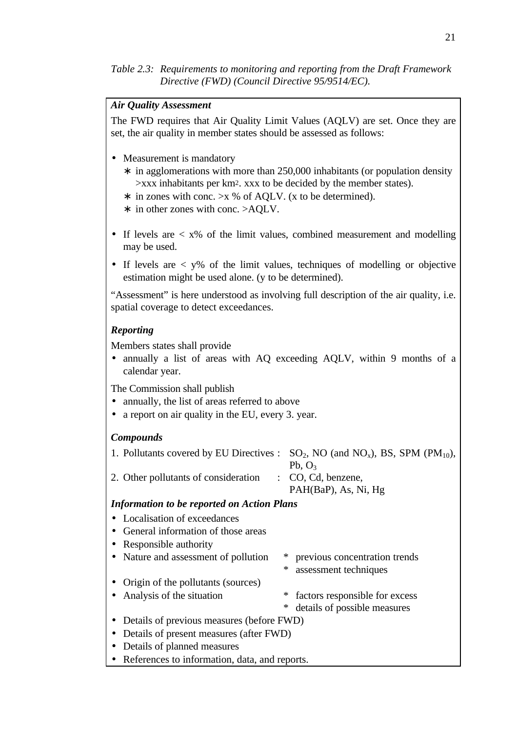*Table 2.3: Requirements to monitoring and reporting from the Draft Framework Directive (FWD) (Council Directive 95/9514/EC).*

#### *Air Quality Assessment*

The FWD requires that Air Quality Limit Values (AQLV) are set. Once they are set, the air quality in member states should be assessed as follows:

- Measurement is mandatory
	- ∗ in agglomerations with more than 250,000 inhabitants (or population density >xxx inhabitants per km2. xxx to be decided by the member states).
	- ∗ in zones with conc. >x % of AQLV. (x to be determined).
	- ∗ in other zones with conc. >AQLV.
- If levels are  $\langle x \rangle$  of the limit values, combined measurement and modelling may be used.
- If levels are  $\langle y \rangle$  of the limit values, techniques of modelling or objective estimation might be used alone. (y to be determined).

"Assessment" is here understood as involving full description of the air quality, i.e. spatial coverage to detect exceedances.

#### *Reporting*

Members states shall provide

• annually a list of areas with AQ exceeding AQLV, within 9 months of a calendar year.

The Commission shall publish

- annually, the list of areas referred to above
- a report on air quality in the EU, every 3, year.

#### *Compounds*

|                                      | 1. Pollutants covered by EU Directives : $SO_2$ , NO (and NO <sub>x</sub> ), BS, SPM (PM <sub>10</sub> ), |
|--------------------------------------|-----------------------------------------------------------------------------------------------------------|
|                                      | Pb. $O3$                                                                                                  |
| 2. Other pollutants of consideration | $\therefore$ CO, Cd, benzene,                                                                             |
|                                      | PAH(BaP), As, Ni, Hg                                                                                      |

#### *Information to be reported on Action Plans*

- Localisation of exceedances
- General information of those areas
- Responsible authority
- Nature and assessment of pollution \* previous concentration trends \* assessment techniques
- Origin of the pollutants (sources)
- Analysis of the situation \* factors responsible for excess
	- \* details of possible measures
- Details of previous measures (before FWD)
- Details of present measures (after FWD)
- Details of planned measures
- References to information, data, and reports.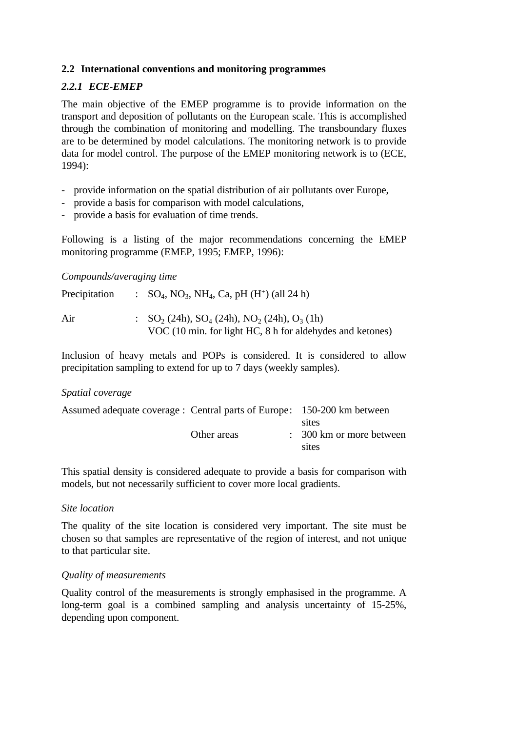# **2.2 International conventions and monitoring programmes**

# *2.2.1 ECE-EMEP*

The main objective of the EMEP programme is to provide information on the transport and deposition of pollutants on the European scale. This is accomplished through the combination of monitoring and modelling. The transboundary fluxes are to be determined by model calculations. The monitoring network is to provide data for model control. The purpose of the EMEP monitoring network is to (ECE, 1994):

- provide information on the spatial distribution of air pollutants over Europe,
- provide a basis for comparison with model calculations,
- provide a basis for evaluation of time trends.

Following is a listing of the major recommendations concerning the EMEP monitoring programme (EMEP, 1995; EMEP, 1996):

#### *Compounds/averaging time*

| Precipitation | : $SO_4$ , NO <sub>3</sub> , NH <sub>4</sub> , Ca, pH (H <sup>+</sup> ) (all 24 h)                                                                                 |
|---------------|--------------------------------------------------------------------------------------------------------------------------------------------------------------------|
| Air           | $\therefore$ SO <sub>2</sub> (24h), SO <sub>4</sub> (24h), NO <sub>2</sub> (24h), O <sub>3</sub> (1h)<br>VOC (10 min. for light HC, 8 h for aldehydes and ketones) |

Inclusion of heavy metals and POPs is considered. It is considered to allow precipitation sampling to extend for up to 7 days (weekly samples).

#### *Spatial coverage*

| Assumed adequate coverage : Central parts of Europe: 150-200 km between |             |                                     |
|-------------------------------------------------------------------------|-------------|-------------------------------------|
|                                                                         |             | sites                               |
|                                                                         | Other areas | $\therefore$ 300 km or more between |
|                                                                         |             | sites                               |
|                                                                         |             |                                     |

This spatial density is considered adequate to provide a basis for comparison with models, but not necessarily sufficient to cover more local gradients.

#### *Site location*

The quality of the site location is considered very important. The site must be chosen so that samples are representative of the region of interest, and not unique to that particular site.

#### *Quality of measurements*

Quality control of the measurements is strongly emphasised in the programme. A long-term goal is a combined sampling and analysis uncertainty of 15-25%, depending upon component.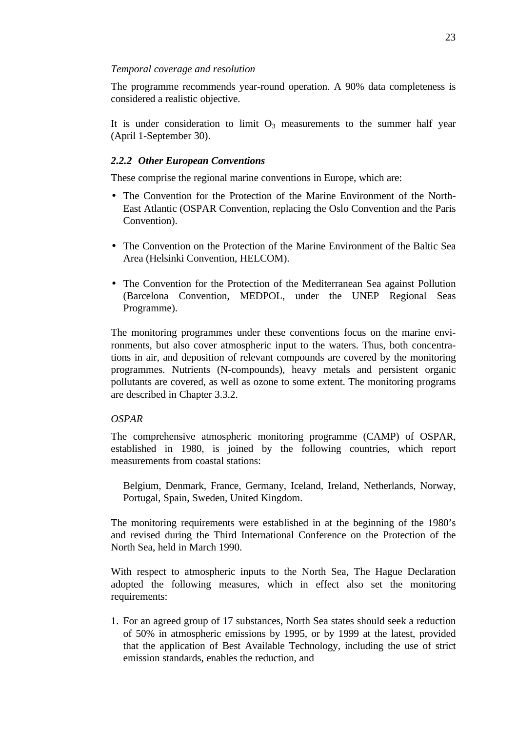#### *Temporal coverage and resolution*

The programme recommends year-round operation. A 90% data completeness is considered a realistic objective.

It is under consideration to limit  $O_3$  measurements to the summer half year (April 1-September 30).

# *2.2.2 Other European Conventions*

These comprise the regional marine conventions in Europe, which are:

- The Convention for the Protection of the Marine Environment of the North-East Atlantic (OSPAR Convention, replacing the Oslo Convention and the Paris Convention).
- The Convention on the Protection of the Marine Environment of the Baltic Sea Area (Helsinki Convention, HELCOM).
- The Convention for the Protection of the Mediterranean Sea against Pollution (Barcelona Convention, MEDPOL, under the UNEP Regional Seas Programme).

The monitoring programmes under these conventions focus on the marine environments, but also cover atmospheric input to the waters. Thus, both concentrations in air, and deposition of relevant compounds are covered by the monitoring programmes. Nutrients (N-compounds), heavy metals and persistent organic pollutants are covered, as well as ozone to some extent. The monitoring programs are described in Chapter 3.3.2.

#### *OSPAR*

The comprehensive atmospheric monitoring programme (CAMP) of OSPAR, established in 1980, is joined by the following countries, which report measurements from coastal stations:

Belgium, Denmark, France, Germany, Iceland, Ireland, Netherlands, Norway, Portugal, Spain, Sweden, United Kingdom.

The monitoring requirements were established in at the beginning of the 1980's and revised during the Third International Conference on the Protection of the North Sea, held in March 1990.

With respect to atmospheric inputs to the North Sea, The Hague Declaration adopted the following measures, which in effect also set the monitoring requirements:

1. For an agreed group of 17 substances, North Sea states should seek a reduction of 50% in atmospheric emissions by 1995, or by 1999 at the latest, provided that the application of Best Available Technology, including the use of strict emission standards, enables the reduction, and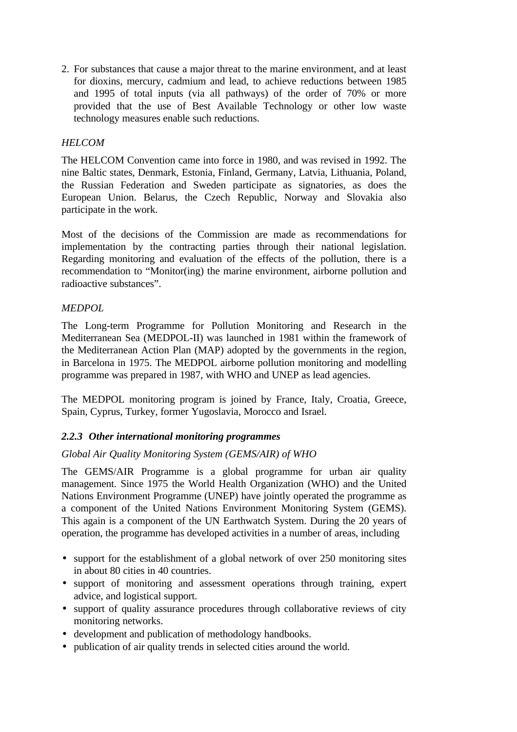2. For substances that cause a major threat to the marine environment, and at least for dioxins, mercury, cadmium and lead, to achieve reductions between 1985 and 1995 of total inputs (via all pathways) of the order of 70% or more provided that the use of Best Available Technology or other low waste technology measures enable such reductions.

# *HELCOM*

The HELCOM Convention came into force in 1980, and was revised in 1992. The nine Baltic states, Denmark, Estonia, Finland, Germany, Latvia, Lithuania, Poland, the Russian Federation and Sweden participate as signatories, as does the European Union. Belarus, the Czech Republic, Norway and Slovakia also participate in the work.

Most of the decisions of the Commission are made as recommendations for implementation by the contracting parties through their national legislation. Regarding monitoring and evaluation of the effects of the pollution, there is a recommendation to "Monitor(ing) the marine environment, airborne pollution and radioactive substances".

# *MEDPOL*

The Long-term Programme for Pollution Monitoring and Research in the Mediterranean Sea (MEDPOL-II) was launched in 1981 within the framework of the Mediterranean Action Plan (MAP) adopted by the governments in the region, in Barcelona in 1975. The MEDPOL airborne pollution monitoring and modelling programme was prepared in 1987, with WHO and UNEP as lead agencies.

The MEDPOL monitoring program is joined by France, Italy, Croatia, Greece, Spain, Cyprus, Turkey, former Yugoslavia, Morocco and Israel.

# *2.2.3 Other international monitoring programmes*

#### *Global Air Quality Monitoring System (GEMS/AIR) of WHO*

The GEMS/AIR Programme is a global programme for urban air quality management. Since 1975 the World Health Organization (WHO) and the United Nations Environment Programme (UNEP) have jointly operated the programme as a component of the United Nations Environment Monitoring System (GEMS). This again is a component of the UN Earthwatch System. During the 20 years of operation, the programme has developed activities in a number of areas, including

- support for the establishment of a global network of over 250 monitoring sites in about 80 cities in 40 countries.
- support of monitoring and assessment operations through training, expert advice, and logistical support.
- support of quality assurance procedures through collaborative reviews of city monitoring networks.
- development and publication of methodology handbooks.
- publication of air quality trends in selected cities around the world.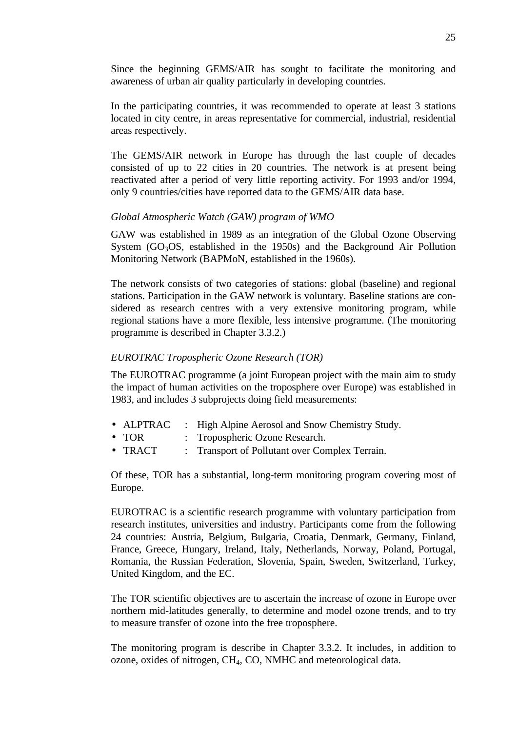Since the beginning GEMS/AIR has sought to facilitate the monitoring and awareness of urban air quality particularly in developing countries.

In the participating countries, it was recommended to operate at least 3 stations located in city centre, in areas representative for commercial, industrial, residential areas respectively.

The GEMS/AIR network in Europe has through the last couple of decades consisted of up to 22 cities in 20 countries*.* The network is at present being reactivated after a period of very little reporting activity. For 1993 and/or 1994, only 9 countries/cities have reported data to the GEMS/AIR data base.

#### *Global Atmospheric Watch (GAW) program of WMO*

GAW was established in 1989 as an integration of the Global Ozone Observing System  $(GO_3OS,$  established in the 1950s) and the Background Air Pollution Monitoring Network (BAPMoN, established in the 1960s).

The network consists of two categories of stations: global (baseline) and regional stations. Participation in the GAW network is voluntary. Baseline stations are considered as research centres with a very extensive monitoring program, while regional stations have a more flexible, less intensive programme. (The monitoring programme is described in Chapter 3.3.2.)

#### *EUROTRAC Tropospheric Ozone Research (TOR)*

The EUROTRAC programme (a joint European project with the main aim to study the impact of human activities on the troposphere over Europe) was established in 1983, and includes 3 subprojects doing field measurements:

- ALPTRAC : High Alpine Aerosol and Snow Chemistry Study.
- TOR : Tropospheric Ozone Research.
- TRACT : Transport of Pollutant over Complex Terrain.

Of these, TOR has a substantial, long-term monitoring program covering most of Europe.

EUROTRAC is a scientific research programme with voluntary participation from research institutes, universities and industry. Participants come from the following 24 countries: Austria, Belgium, Bulgaria, Croatia, Denmark, Germany, Finland, France, Greece, Hungary, Ireland, Italy, Netherlands, Norway, Poland, Portugal, Romania, the Russian Federation, Slovenia, Spain, Sweden, Switzerland, Turkey, United Kingdom, and the EC.

The TOR scientific objectives are to ascertain the increase of ozone in Europe over northern mid-latitudes generally, to determine and model ozone trends, and to try to measure transfer of ozone into the free troposphere.

The monitoring program is describe in Chapter 3.3.2. It includes, in addition to ozone, oxides of nitrogen, CH4, CO, NMHC and meteorological data.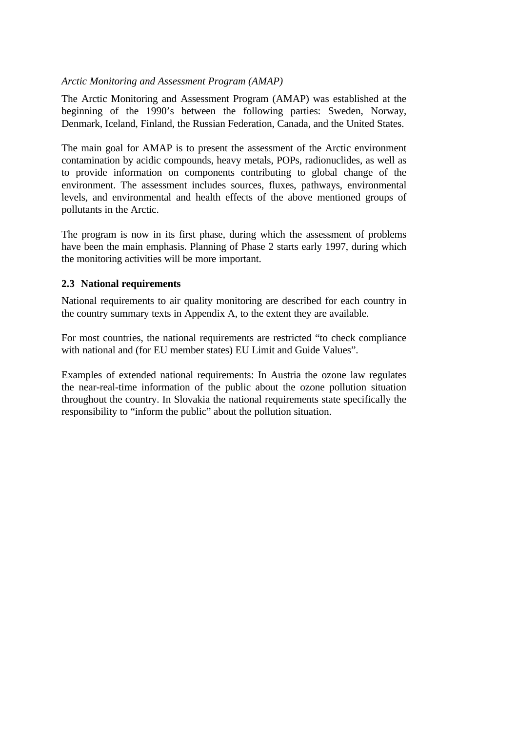# *Arctic Monitoring and Assessment Program (AMAP)*

The Arctic Monitoring and Assessment Program (AMAP) was established at the beginning of the 1990's between the following parties: Sweden, Norway, Denmark, Iceland, Finland, the Russian Federation, Canada, and the United States.

The main goal for AMAP is to present the assessment of the Arctic environment contamination by acidic compounds, heavy metals, POPs, radionuclides, as well as to provide information on components contributing to global change of the environment. The assessment includes sources, fluxes, pathways, environmental levels, and environmental and health effects of the above mentioned groups of pollutants in the Arctic.

The program is now in its first phase, during which the assessment of problems have been the main emphasis. Planning of Phase 2 starts early 1997, during which the monitoring activities will be more important.

# **2.3 National requirements**

National requirements to air quality monitoring are described for each country in the country summary texts in Appendix A, to the extent they are available.

For most countries, the national requirements are restricted "to check compliance with national and (for EU member states) EU Limit and Guide Values".

Examples of extended national requirements: In Austria the ozone law regulates the near-real-time information of the public about the ozone pollution situation throughout the country. In Slovakia the national requirements state specifically the responsibility to "inform the public" about the pollution situation.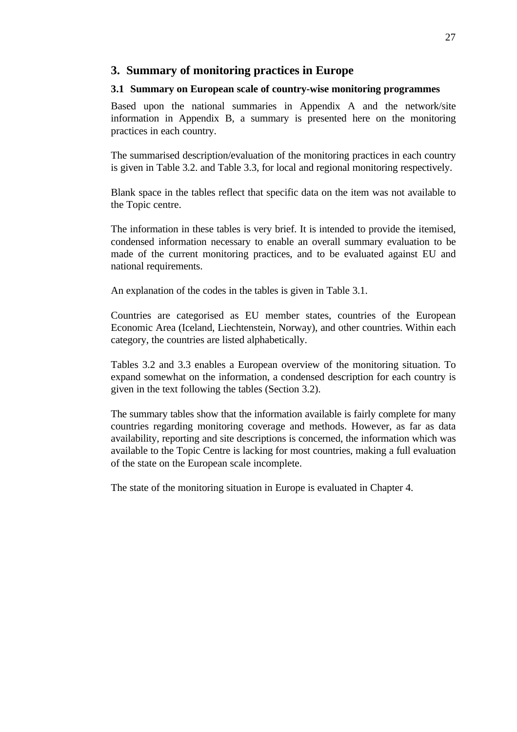# **3. Summary of monitoring practices in Europe**

#### **3.1 Summary on European scale of country-wise monitoring programmes**

Based upon the national summaries in Appendix A and the network/site information in Appendix B, a summary is presented here on the monitoring practices in each country.

The summarised description/evaluation of the monitoring practices in each country is given in Table 3.2. and Table 3.3, for local and regional monitoring respectively.

Blank space in the tables reflect that specific data on the item was not available to the Topic centre.

The information in these tables is very brief. It is intended to provide the itemised, condensed information necessary to enable an overall summary evaluation to be made of the current monitoring practices, and to be evaluated against EU and national requirements.

An explanation of the codes in the tables is given in Table 3.1.

Countries are categorised as EU member states, countries of the European Economic Area (Iceland, Liechtenstein, Norway), and other countries. Within each category, the countries are listed alphabetically.

Tables 3.2 and 3.3 enables a European overview of the monitoring situation. To expand somewhat on the information, a condensed description for each country is given in the text following the tables (Section 3.2).

The summary tables show that the information available is fairly complete for many countries regarding monitoring coverage and methods. However, as far as data availability, reporting and site descriptions is concerned, the information which was available to the Topic Centre is lacking for most countries, making a full evaluation of the state on the European scale incomplete.

The state of the monitoring situation in Europe is evaluated in Chapter 4.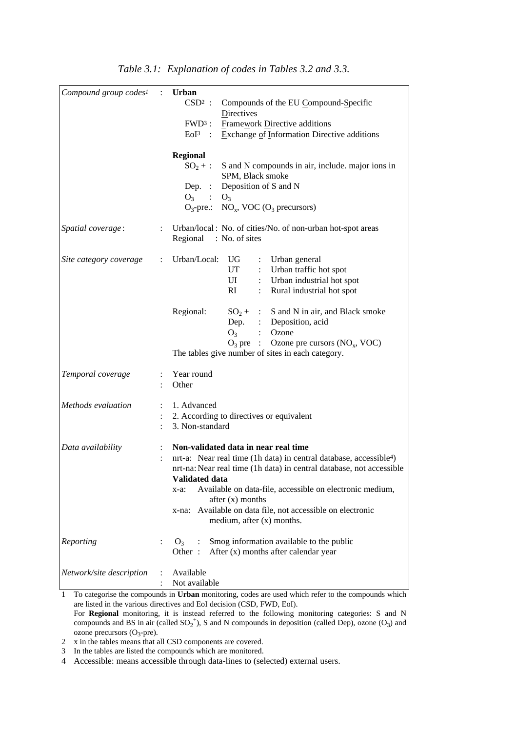| Compound group codes <sup>1</sup> | $\mathcal{L}$  | <b>Urban</b><br>$CSD2$ :<br>Compounds of the EU Compound-Specific<br>Directives<br>$FWD3$ :<br><b>Framework Directive additions</b><br>Exchange of Information Directive additions<br>$EoI3$ :<br><b>Regional</b><br>$SO_2 +$ :<br>S and N compounds in air, include. major ions in<br>SPM, Black smoke<br>Deposition of S and N<br>Dep. $\colon$<br>$O_3$ : $O_3$                                                 |
|-----------------------------------|----------------|--------------------------------------------------------------------------------------------------------------------------------------------------------------------------------------------------------------------------------------------------------------------------------------------------------------------------------------------------------------------------------------------------------------------|
| Spatial coverage:                 |                | $O_3$ -pre.: NO <sub>x</sub> , VOC (O <sub>3</sub> precursors)<br>: Urban/local: No. of cities/No. of non-urban hot-spot areas<br>Regional : No. of sites                                                                                                                                                                                                                                                          |
| Site category coverage            | $\ddot{\cdot}$ | Urban/Local:<br>UG<br>Urban general<br>Urban traffic hot spot<br>UT<br>Urban industrial hot spot<br>UI<br>Rural industrial hot spot<br>RI<br>$\ddot{\phantom{0}}$                                                                                                                                                                                                                                                  |
|                                   |                | Regional:<br>S and N in air, and Black smoke<br>$SO_2 +$ :<br>Dep. : Deposition, acid<br>Ozone<br>O <sub>3</sub><br>$\mathbb{R}^{\mathbb{Z}}$<br>$O_3$ pre :<br>Ozone pre cursors $(NO_x, VOC)$<br>The tables give number of sites in each category.                                                                                                                                                               |
| Temporal coverage                 | $\ddot{\cdot}$ | Year round<br>Other                                                                                                                                                                                                                                                                                                                                                                                                |
| Methods evaluation                | $\ddot{\cdot}$ | 1. Advanced<br>2. According to directives or equivalent<br>3. Non-standard                                                                                                                                                                                                                                                                                                                                         |
| Data availability                 |                | Non-validated data in near real time<br>nrt-a: Near real time (1h data) in central database, accessible <sup>4</sup> )<br>nrt-na: Near real time (1h data) in central database, not accessible<br><b>Validated data</b><br>Available on data-file, accessible on electronic medium,<br>$x-a$ :<br>after (x) months<br>Available on data file, not accessible on electronic<br>x-na:<br>medium, after $(x)$ months. |
| Reporting                         | $\ddot{\cdot}$ | Smog information available to the public<br>O <sub>3</sub><br>$\cdot$ :<br>Other:<br>After (x) months after calendar year                                                                                                                                                                                                                                                                                          |
| Network/site description          |                | Available<br>Not available                                                                                                                                                                                                                                                                                                                                                                                         |

1 To categorise the compounds in **Urban** monitoring, codes are used which refer to the compounds which are listed in the various directives and EoI decision (CSD, FWD, EoI). For **Regional** monitoring, it is instead referred to the following monitoring categories: S and N compounds and BS in air (called  $SO_2^+$ ), S and N compounds in deposition (called Dep), ozone (O<sub>3</sub>) and

 $ozone$  precursors  $(O<sub>3</sub>-pre)$ . 2 x in the tables means that all CSD components are covered.

3 In the tables are listed the compounds which are monitored.

4 Accessible: means accessible through data-lines to (selected) external users.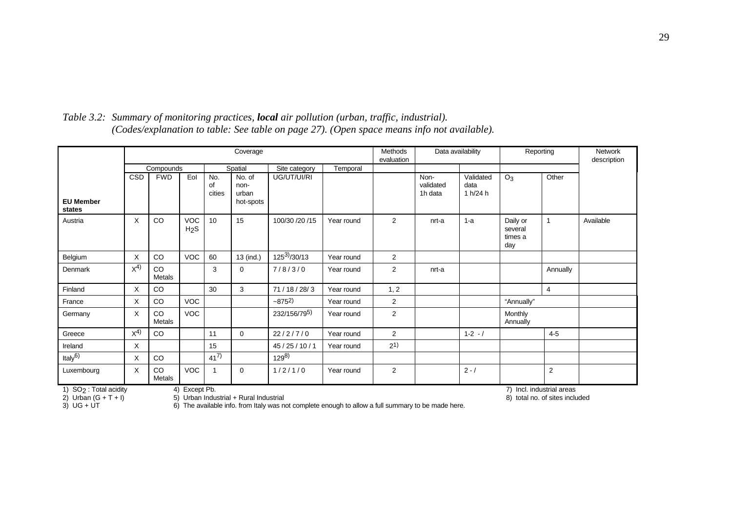|                            |                                                                                                                                                           |              |                                |                     | Coverage                             |                           |            | Methods<br>evaluation |                              | Data availability             | Reporting                             |                | Network<br>description |
|----------------------------|-----------------------------------------------------------------------------------------------------------------------------------------------------------|--------------|--------------------------------|---------------------|--------------------------------------|---------------------------|------------|-----------------------|------------------------------|-------------------------------|---------------------------------------|----------------|------------------------|
|                            |                                                                                                                                                           | Compounds    |                                |                     | Spatial                              | Site category             | Temporal   |                       |                              |                               |                                       |                |                        |
| <b>EU Member</b><br>states | <b>CSD</b>                                                                                                                                                | <b>FWD</b>   | Eol                            | No.<br>οf<br>cities | No. of<br>non-<br>urban<br>hot-spots | UG/UT/UI/RI               |            |                       | Non-<br>validated<br>1h data | Validated<br>data<br>1 h/24 h | $O_3$                                 | Other          |                        |
| Austria                    | $\times$                                                                                                                                                  | <b>CO</b>    | <b>VOC</b><br>H <sub>2</sub> S | 10                  | 15                                   | 100/30 /20 /15            | Year round | 2                     | nrt-a                        | $1-a$                         | Daily or<br>several<br>times a<br>day | $\mathbf{1}$   | Available              |
| Belgium                    | X                                                                                                                                                         | CO           | <b>VOC</b>                     | 60                  | 13 (ind.)                            | $\frac{1}{25^{3}}$ /30/13 | Year round | 2                     |                              |                               |                                       |                |                        |
| Denmark                    | $X^{4}$                                                                                                                                                   | CO<br>Metals |                                | 3                   | $\Omega$                             | 7/8/3/0                   | Year round | $\overline{2}$        | nrt-a                        |                               |                                       | Annually       |                        |
| Finland                    | X                                                                                                                                                         | CO           |                                | 30                  | 3                                    | 71/18/28/3                | Year round | 1, 2                  |                              |                               |                                       | 4              |                        |
| France                     | X                                                                                                                                                         | CO           | <b>VOC</b>                     |                     |                                      | $-8752$                   | Year round | $\overline{2}$        |                              |                               | "Annually"                            |                |                        |
| Germany                    | X                                                                                                                                                         | CO<br>Metals | <b>VOC</b>                     |                     |                                      | 232/156/795)              | Year round | $\overline{2}$        |                              |                               | <b>Monthly</b><br>Annually            |                |                        |
| Greece                     | $X^{4}$                                                                                                                                                   | CO           |                                | 11                  | $\mathbf 0$                          | 22/2/7/0                  | Year round | 2                     |                              | $1 - 2 - 1$                   |                                       | $4 - 5$        |                        |
| Ireland                    | X                                                                                                                                                         |              |                                | 15                  |                                      | 45 / 25 / 10 / 1          | Year round | 2 <sup>1</sup>        |                              |                               |                                       |                |                        |
| Italy <sup>6)</sup>        | X                                                                                                                                                         | CO           |                                | $41^{7}$            |                                      | $129^{8}$                 |            |                       |                              |                               |                                       |                |                        |
| Luxembourg                 | X                                                                                                                                                         | CO<br>Metals | VOC                            | 1                   | $\mathbf 0$                          | 1/2/1/0                   | Year round | 2                     |                              | $2 - /$                       |                                       | $\overline{2}$ |                        |
| 2) Urban $(G + T + I)$     | SO <sub>2</sub> : Total acidity<br>4) Except Pb.<br>7) Incl. industrial areas<br>5) Urban Industrial + Rural Industrial<br>8) total no. of sites included |              |                                |                     |                                      |                           |            |                       |                              |                               |                                       |                |                        |

*Table 3.2: Summary of monitoring practices, local air pollution (urban, traffic, industrial). (Codes/explanation to table: See table on page 27). (Open space means info not available).*

2) Urban  $(G + T + I)$  5) Urban Industrial + Rural Industrial 3) UG + UT 6) The available info. from Italy was no  $\overline{6}$ ) The available info. from Italy was not complete enough to allow a full summary to be made here.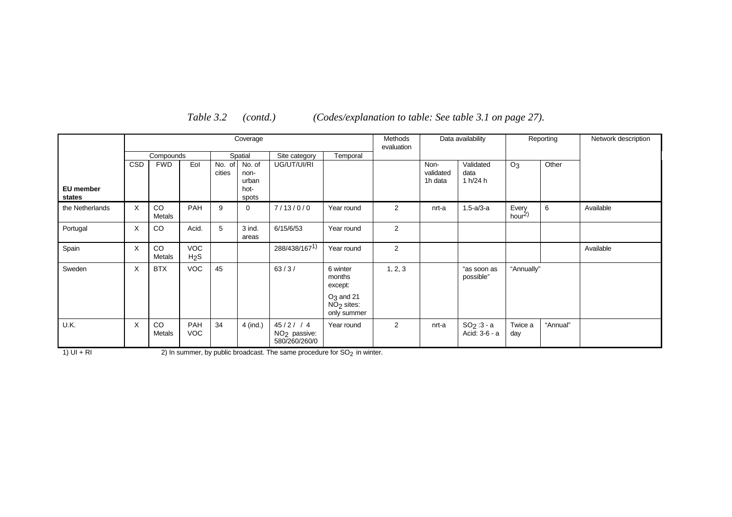|                     |            |              |                                |                  | Coverage                                 |                                                      |                                                                         | Methods<br>evaluation |                              | Data availability             |                       | Reporting | Network description |
|---------------------|------------|--------------|--------------------------------|------------------|------------------------------------------|------------------------------------------------------|-------------------------------------------------------------------------|-----------------------|------------------------------|-------------------------------|-----------------------|-----------|---------------------|
|                     |            | Compounds    |                                |                  | Spatial                                  | Site category                                        | Temporal                                                                |                       |                              |                               |                       |           |                     |
| EU member<br>states | <b>CSD</b> | <b>FWD</b>   | Eol                            | No. of<br>cities | No. of<br>non-<br>urban<br>hot-<br>spots | UG/UT/UI/RI                                          |                                                                         |                       | Non-<br>validated<br>1h data | Validated<br>data<br>1 h/24 h | O <sub>3</sub>        | Other     |                     |
| the Netherlands     | X          | CO<br>Metals | <b>PAH</b>                     | 9                | $\mathbf 0$                              | 7/13/0/0                                             | Year round                                                              | 2                     | nrt-a                        | $1.5 - a/3 - a$               | Every<br>hour $^{2)}$ | 6         | Available           |
| Portugal            | X          | CO           | Acid.                          | 5                | 3 ind.<br>areas                          | 6/15/6/53                                            | Year round                                                              | 2                     |                              |                               |                       |           |                     |
| Spain               | X          | CO<br>Metals | <b>VOC</b><br>H <sub>2</sub> S |                  |                                          | 288/438/167 <sup>1)</sup>                            | Year round                                                              | $\overline{2}$        |                              |                               |                       |           | Available           |
| Sweden              | X          | <b>BTX</b>   | <b>VOC</b>                     | 45               |                                          | 63/3/                                                | 6 winter<br>months<br>except:<br>$O_3$ and 21<br>NO <sub>2</sub> sites: | 1, 2, 3               |                              | "as soon as<br>possible"      | "Annually"            |           |                     |
| U.K.                | X          | CO<br>Metals | PAH<br><b>VOC</b>              | 34               | 4 (ind.)                                 | 45/2/74<br>NO <sub>2</sub> passive:<br>580/260/260/0 | only summer<br>Year round                                               | 2                     | nrt-a                        | $SO_2:3 - a$<br>Acid: 3-6 - a | Twice a<br>day        | "Annual"  |                     |

*Table 3.2 (contd.) (Codes/explanation to table: See table 3.1 on page 27).*

1) UI + RI 2) In summer, by public broadcast. The same procedure for  $SO_2$  in winter.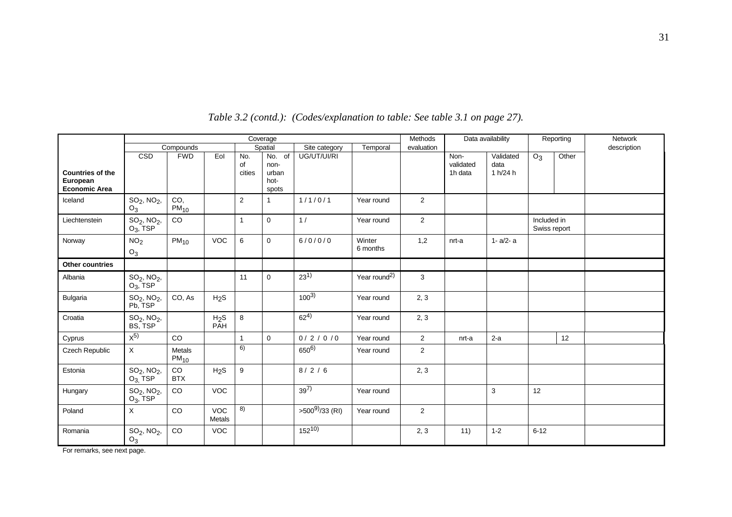|                                                             |                                  |                            |                         |                     | Coverage                                 |                    |                          | Methods        |                              | Data availability             |                             | Reporting | Network     |
|-------------------------------------------------------------|----------------------------------|----------------------------|-------------------------|---------------------|------------------------------------------|--------------------|--------------------------|----------------|------------------------------|-------------------------------|-----------------------------|-----------|-------------|
|                                                             |                                  | Compounds                  |                         |                     | Spatial                                  | Site category      | Temporal                 | evaluation     |                              |                               |                             |           | description |
| <b>Countries of the</b><br>European<br><b>Economic Area</b> | CSD                              | <b>FWD</b>                 | Eol                     | No.<br>of<br>cities | No. of<br>non-<br>urban<br>hot-<br>spots | UG/UT/UI/RI        |                          |                | Non-<br>validated<br>1h data | Validated<br>data<br>1 h/24 h | O <sub>3</sub>              | Other     |             |
| Iceland                                                     | $SO_2$ , $NO_2$ ,<br>$O_3$       | CO,<br>$PM_{10}$           |                         | $\overline{c}$      | $\mathbf 1$                              | 1/1/0/1            | Year round               | 2              |                              |                               |                             |           |             |
| Liechtenstein                                               | $SO_2$ , $NO_2$ ,<br>$O_3$ , TSP | CO                         |                         | $\overline{1}$      | $\mathbf 0$                              | 1/                 | Year round               | $\overline{2}$ |                              |                               | Included in<br>Swiss report |           |             |
| Norway                                                      | NO <sub>2</sub><br>$O_3$         | PM <sub>10</sub>           | <b>VOC</b>              | 6                   | $\mathsf 0$                              | 6/0/0/0            | Winter<br>6 months       | 1,2            | nrt-a                        | $1 - a/2 - a$                 |                             |           |             |
| <b>Other countries</b>                                      |                                  |                            |                         |                     |                                          |                    |                          |                |                              |                               |                             |           |             |
| Albania                                                     | $SO_2$ , $NO_2$ ,<br>$O_3$ , TSP |                            |                         | 11                  | $\mathbf 0$                              | $23^{1}$           | Year round <sup>2)</sup> | 3              |                              |                               |                             |           |             |
| <b>Bulgaria</b>                                             | $SO_2$ , $NO_2$ ,<br>Pb, TSP     | CO, As                     | H <sub>2</sub> S        |                     |                                          | $100^{3}$          | Year round               | 2, 3           |                              |                               |                             |           |             |
| Croatia                                                     | $SO_2$ , $NO_2$ ,<br>BS, TSP     |                            | H <sub>2</sub> S<br>PÂH | 8                   |                                          | $62^{4}$           | Year round               | 2, 3           |                              |                               |                             |           |             |
| Cyprus                                                      | $\overline{X^{5}}$               | <b>CO</b>                  |                         | $\mathbf{1}$        | $\mathbf 0$                              | 0/2/0/0            | Year round               | 2              | nrt-a                        | $2-a$                         |                             | 12        |             |
| Czech Republic                                              | $\mathsf{X}$                     | <b>Metals</b><br>$PM_{10}$ |                         | 6)                  |                                          | $650^{6}$          | Year round               | 2              |                              |                               |                             |           |             |
| Estonia                                                     | $SO_2$ , $NO_2$ ,<br>$O_3$ , TSP | CO<br><b>BTX</b>           | H <sub>2</sub> S        | $\boldsymbol{9}$    |                                          | 8/2/6              |                          | 2, 3           |                              |                               |                             |           |             |
| Hungary                                                     | $SO_2$ , $NO_2$ ,<br>$O_3$ , TSP | CO                         | <b>VOC</b>              |                     |                                          | $39^{7}$           | Year round               |                |                              | 3                             | 12                          |           |             |
| Poland                                                      | X                                | CO                         | <b>VOC</b><br>Metals    | 8)                  |                                          | $>500^{9}/33$ (RI) | Year round               | 2              |                              |                               |                             |           |             |
| Romania                                                     | $SO_2$ , $NO_2$ ,<br>$O_3$       | CO                         | VOC                     |                     |                                          | $152^{10}$         |                          | 2, 3           | 11)                          | $1 - 2$                       | $6 - 12$                    |           |             |

*Table 3.2 (contd.): (Codes/explanation to table: See table 3.1 on page 27).*

For remarks, see next page.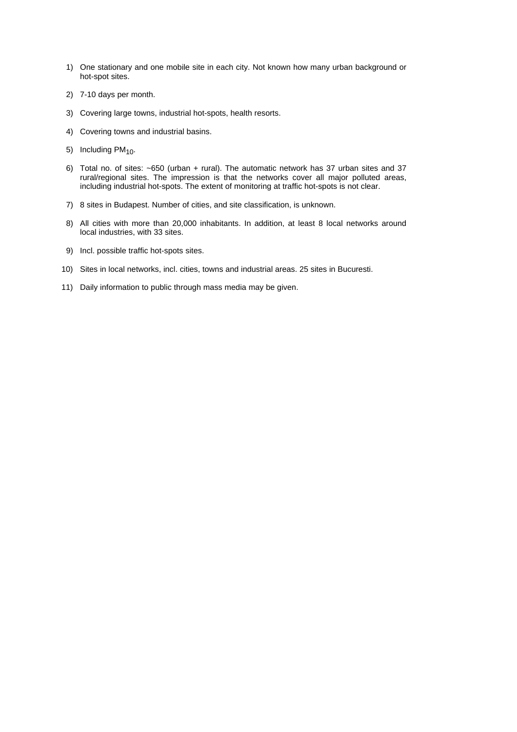- 1) One stationary and one mobile site in each city. Not known how many urban background or hot-spot sites.
- 2) 7-10 days per month.
- 3) Covering large towns, industrial hot-spots, health resorts.
- 4) Covering towns and industrial basins.
- 5) Including PM<sub>10</sub>.
- 6) Total no. of sites: ~650 (urban + rural). The automatic network has 37 urban sites and 37 rural/regional sites. The impression is that the networks cover all major polluted areas, including industrial hot-spots. The extent of monitoring at traffic hot-spots is not clear.
- 7) 8 sites in Budapest. Number of cities, and site classification, is unknown.
- 8) All cities with more than 20,000 inhabitants. In addition, at least 8 local networks around local industries, with 33 sites.
- 9) Incl. possible traffic hot-spots sites.
- 10) Sites in local networks, incl. cities, towns and industrial areas. 25 sites in Bucuresti.
- 11) Daily information to public through mass media may be given.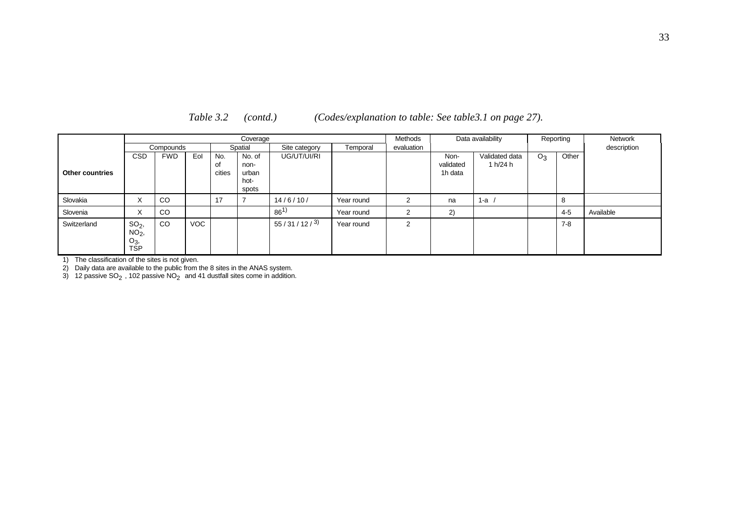*Table 3.2 (contd.) (Codes/explanation to table: See table3.1 on page 27).*

|                        |                                                   |               |            |                     | Coverage                                 |               |            | Methods       | Data availability            |                            | Reporting | Network |             |  |
|------------------------|---------------------------------------------------|---------------|------------|---------------------|------------------------------------------|---------------|------------|---------------|------------------------------|----------------------------|-----------|---------|-------------|--|
|                        |                                                   | Compounds     |            |                     | Spatial                                  | Site category | Temporal   | evaluation    |                              |                            |           |         | description |  |
| <b>Other countries</b> | <b>CSD</b>                                        | <b>FWD</b>    | Eol        | No.<br>οf<br>cities | No. of<br>non-<br>urban<br>hot-<br>spots | UG/UT/UI/RI   |            |               | Non-<br>validated<br>1h data | Validated data<br>1 h/24 h | $O_3$     | Other   |             |  |
| Slovakia               | X                                                 | CO            |            | 17                  |                                          | 14/6/10/      | Year round | $\mathcal{P}$ | na                           | 1-a                        |           | 8       |             |  |
| Slovenia               | X                                                 | CO            |            |                     |                                          | $86^{1}$      | Year round | $\mathcal{P}$ | 2)                           |                            |           | $4 - 5$ | Available   |  |
| Switzerland            | SO <sub>2</sub><br>$NO2$ ,<br>$O_3$<br><b>TSP</b> | <sub>CO</sub> | <b>VOC</b> |                     |                                          | 55/31/12/3    | Year round | 2             |                              |                            |           | 7-8     |             |  |

1) The classification of the sites is not given.

2) Daily data are available to the public from the 8 sites in the ANAS system.

3) 12 passive SO<sub>2</sub>, 102 passive NO<sub>2</sub> and 41 dustfall sites come in addition.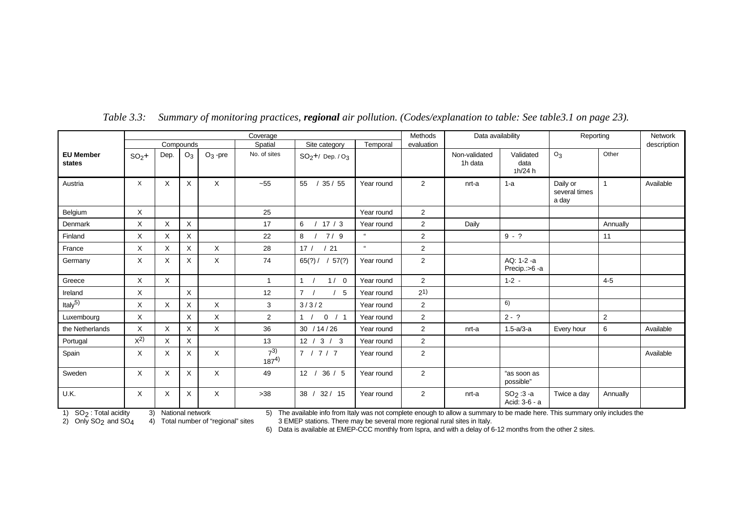|                            |              |              |              |              | Coverage              |                         |            | Methods        | Data availability        |                               | Reporting                          | <b>Network</b> |             |
|----------------------------|--------------|--------------|--------------|--------------|-----------------------|-------------------------|------------|----------------|--------------------------|-------------------------------|------------------------------------|----------------|-------------|
|                            |              |              | Compounds    |              | Spatial               | Site category           | Temporal   | evaluation     |                          |                               |                                    |                | description |
| <b>EU Member</b><br>states | $SO2$ +      | Dep.         | $O_3$        | $O_3$ -pre   | No. of sites          | $SO_2 + /$ Dep. / $O_3$ |            |                | Non-validated<br>1h data | Validated<br>data<br>1h/24h   | $O_3$                              | Other          |             |
| Austria                    | X            | X            | $\times$     | X            | $-55$                 | 55<br>35/55             | Year round | 2              | nrt-a                    | $1-a$                         | Daily or<br>several times<br>a day | $\mathbf{1}$   | Available   |
| Belgium                    | X            |              |              |              | 25                    |                         | Year round | $\overline{2}$ |                          |                               |                                    |                |             |
| Denmark                    | X            | X            | $\times$     |              | 17                    | 6<br>/17/3              | Year round | 2              | Daily                    |                               |                                    | Annually       |             |
| Finland                    | X            | $\times$     | $\mathsf{X}$ |              | 22                    | 8<br>7/9                | $\alpha$   | $\overline{c}$ |                          | $9 - ?$                       |                                    | 11             |             |
| France                     | X            | $\times$     | $\times$     | X            | 28                    | /21<br>17/              | $\alpha$   | 2              |                          |                               |                                    |                |             |
| Germany                    | X            | X            | X            | X            | 74                    | 65(?)/<br>57(?)         | Year round | 2              |                          | AQ: 1-2 -a<br>Precip.:>6-a    |                                    |                |             |
| Greece                     | X            | $\times$     |              |              | $\mathbf{1}$          | 1 /<br>1/0              | Year round | 2              |                          | $1 - 2 -$                     |                                    | $4 - 5$        |             |
| Ireland                    | X            |              | $\mathsf{X}$ |              | 12                    | 7/<br>/5                | Year round | $2^{1}$        |                          |                               |                                    |                |             |
| Italy $5)$                 | X            | $\times$     | X            | X            | 3                     | 3/3/2                   | Year round | 2              |                          | 6)                            |                                    |                |             |
| Luxembourg                 | $\mathsf{X}$ |              | $\sf X$      | $\mathsf{X}$ | $\overline{2}$        | 0 / 1<br>1 /            | Year round | $\overline{2}$ |                          | $2 - ?$                       |                                    | $\sqrt{2}$     |             |
| the Netherlands            | $\times$     | $\mathsf{X}$ | Χ            | X            | 36                    | 30 / 14 / 26            | Year round | 2              | nrt-a                    | $1.5 - a/3 - a$               | Every hour                         | 6              | Available   |
| Portugal                   | $\chi^{2}$   | X            | X            |              | 13                    | 12 / 3 / 3              | Year round | $\overline{2}$ |                          |                               |                                    |                |             |
| Spain                      | X            | X            | X            | X            | $7^{3)}$<br>$187^{4}$ | 7 / 7 / 7               | Year round | $\overline{2}$ |                          |                               |                                    |                | Available   |
| Sweden                     | $\times$     | X            | $\times$     | $\mathsf{X}$ | 49                    | 12/<br>36/5             | Year round | $\overline{2}$ |                          | "as soon as<br>possible"      |                                    |                |             |
| U.K.                       | X            | X            | X            | X            | $>38$                 | 38 / 32 / 15            | Year round | 2              | nrt-a                    | $SO_2:3 - a$<br>Acid: 3-6 - a | Twice a day                        | Annually       |             |

*Table 3.3: Summary of monitoring practices, regional air pollution. (Codes/explanation to table: See table3.1 on page 23).*

1) SO<sub>2</sub>: Total acidity 3) National network 5) The available info from Italy was not complete enough to allow a summary to be made here. This summary only includes the

2) Only SO<sub>2</sub> and SO<sub>4</sub> 4) Total number of "regional" sites 3 EMEP stations. There may be several more regional rural sites in Italy.<br>6) Data is available at EMEP-CCC monthly from Ispra, and with a delay of 6-12 months fro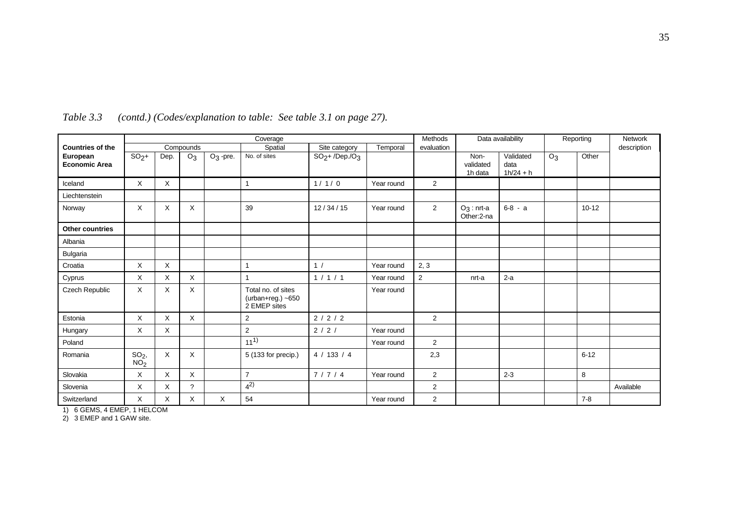|                                  |                                    |      |                       |             | Coverage                                                  |                 |            | Methods        |                              | Data availability                |                | Reporting | <b>Network</b> |
|----------------------------------|------------------------------------|------|-----------------------|-------------|-----------------------------------------------------------|-----------------|------------|----------------|------------------------------|----------------------------------|----------------|-----------|----------------|
| <b>Countries of the</b>          |                                    |      | Compounds             |             | Spatial                                                   | Site category   | Temporal   | evaluation     |                              |                                  |                |           | description    |
| European<br><b>Economic Area</b> | $SO2$ +                            | Dep. | O <sub>3</sub>        | $O_3$ -pre. | No. of sites                                              | $SO2+ /Dep./O3$ |            |                | Non-<br>validated<br>1h data | Validated<br>data<br>$1h/24 + h$ | O <sub>3</sub> | Other     |                |
| Iceland                          | X                                  | X    |                       |             | 1                                                         | 1/1/0           | Year round | 2              |                              |                                  |                |           |                |
| Liechtenstein                    |                                    |      |                       |             |                                                           |                 |            |                |                              |                                  |                |           |                |
| Norway                           | X                                  | X    | X                     |             | 39                                                        | 12/34/15        | Year round | 2              | $O_3$ : nrt-a<br>Other:2-na  | $6-8 - a$                        |                | $10 - 12$ |                |
| <b>Other countries</b>           |                                    |      |                       |             |                                                           |                 |            |                |                              |                                  |                |           |                |
| Albania                          |                                    |      |                       |             |                                                           |                 |            |                |                              |                                  |                |           |                |
| Bulgaria                         |                                    |      |                       |             |                                                           |                 |            |                |                              |                                  |                |           |                |
| Croatia                          | X                                  | X    |                       |             | 1                                                         | 1/              | Year round | 2, 3           |                              |                                  |                |           |                |
| Cyprus                           | X                                  | X    | X                     |             | 1                                                         | 1/1/1           | Year round | $\overline{2}$ | nrt-a                        | $2-a$                            |                |           |                |
| Czech Republic                   | $\sf X$                            | X    | X                     |             | Total no. of sites<br>$(urban+reg.) -650$<br>2 EMEP sites |                 | Year round |                |                              |                                  |                |           |                |
| Estonia                          | $\times$                           | X    | X                     |             | $\overline{2}$                                            | 2/2/2           |            | 2              |                              |                                  |                |           |                |
| Hungary                          | $\times$                           | X    |                       |             | $\overline{c}$                                            | 2 / 2 /         | Year round |                |                              |                                  |                |           |                |
| Poland                           |                                    |      |                       |             | $11^{1}$                                                  |                 | Year round | 2              |                              |                                  |                |           |                |
| Romania                          | SO <sub>2</sub><br>NO <sub>2</sub> | X    | X                     |             | 5 (133 for precip.)                                       | 4 / 133 / 4     |            | 2,3            |                              |                                  |                | $6 - 12$  |                |
| Slovakia                         | X                                  | X    | X                     |             | $\overline{7}$                                            | 7/7/4           | Year round | 2              |                              | $2 - 3$                          |                | 8         |                |
| Slovenia                         | X                                  | X    | $\boldsymbol{\gamma}$ |             | $4^{2}$                                                   |                 |            | 2              |                              |                                  |                |           | Available      |
| Switzerland                      | X                                  | X    | X                     | X           | 54                                                        |                 | Year round | 2              |                              |                                  |                | $7 - 8$   |                |

*Table 3.3 (contd.) (Codes/explanation to table: See table 3.1 on page 27).*

1) 6 GEMS, 4 EMEP, 1 HELCOM

2) 3 EMEP and 1 GAW site.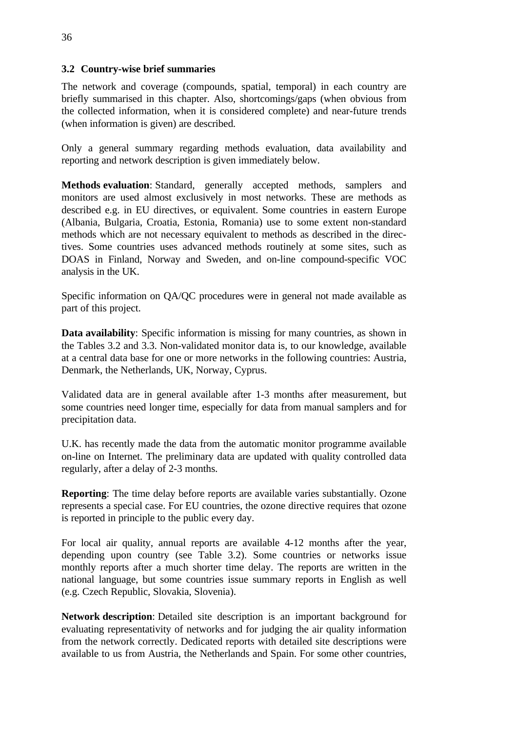# **3.2 Country-wise brief summaries**

The network and coverage (compounds, spatial, temporal) in each country are briefly summarised in this chapter. Also, shortcomings/gaps (when obvious from the collected information, when it is considered complete) and near-future trends (when information is given) are described.

Only a general summary regarding methods evaluation, data availability and reporting and network description is given immediately below.

**Methods evaluation**: Standard, generally accepted methods, samplers and monitors are used almost exclusively in most networks. These are methods as described e.g. in EU directives, or equivalent. Some countries in eastern Europe (Albania, Bulgaria, Croatia, Estonia, Romania) use to some extent non-standard methods which are not necessary equivalent to methods as described in the directives. Some countries uses advanced methods routinely at some sites, such as DOAS in Finland, Norway and Sweden, and on-line compound-specific VOC analysis in the UK.

Specific information on QA/QC procedures were in general not made available as part of this project.

**Data availability**: Specific information is missing for many countries, as shown in the Tables 3.2 and 3.3. Non-validated monitor data is, to our knowledge, available at a central data base for one or more networks in the following countries: Austria, Denmark, the Netherlands, UK, Norway, Cyprus.

Validated data are in general available after 1-3 months after measurement, but some countries need longer time, especially for data from manual samplers and for precipitation data.

U.K. has recently made the data from the automatic monitor programme available on-line on Internet. The preliminary data are updated with quality controlled data regularly, after a delay of 2-3 months.

**Reporting**: The time delay before reports are available varies substantially. Ozone represents a special case. For EU countries, the ozone directive requires that ozone is reported in principle to the public every day.

For local air quality, annual reports are available 4-12 months after the year, depending upon country (see Table 3.2). Some countries or networks issue monthly reports after a much shorter time delay. The reports are written in the national language, but some countries issue summary reports in English as well (e.g. Czech Republic, Slovakia, Slovenia).

**Network description**: Detailed site description is an important background for evaluating representativity of networks and for judging the air quality information from the network correctly. Dedicated reports with detailed site descriptions were available to us from Austria, the Netherlands and Spain. For some other countries,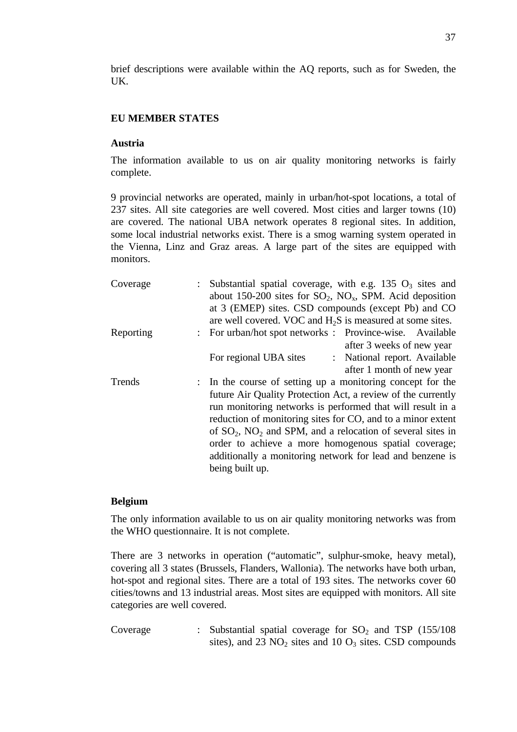brief descriptions were available within the AQ reports, such as for Sweden, the UK.

#### **EU MEMBER STATES**

#### **Austria**

The information available to us on air quality monitoring networks is fairly complete.

9 provincial networks are operated, mainly in urban/hot-spot locations, a total of 237 sites. All site categories are well covered. Most cities and larger towns (10) are covered. The national UBA network operates 8 regional sites. In addition, some local industrial networks exist. There is a smog warning system operated in the Vienna, Linz and Graz areas. A large part of the sites are equipped with monitors.

| Coverage  | : Substantial spatial coverage, with e.g. 135 $O_3$ sites and<br>about 150-200 sites for $SO_2$ , $NO_x$ , SPM. Acid deposition                                                                                                                                                                                                                                                                                                                                     |
|-----------|---------------------------------------------------------------------------------------------------------------------------------------------------------------------------------------------------------------------------------------------------------------------------------------------------------------------------------------------------------------------------------------------------------------------------------------------------------------------|
|           | at 3 (EMEP) sites. CSD compounds (except Pb) and CO<br>are well covered. VOC and $H_2S$ is measured at some sites.                                                                                                                                                                                                                                                                                                                                                  |
| Reporting | : For urban/hot spot networks : Province-wise. Available<br>after 3 weeks of new year                                                                                                                                                                                                                                                                                                                                                                               |
|           | : National report. Available<br>For regional UBA sites<br>after 1 month of new year                                                                                                                                                                                                                                                                                                                                                                                 |
| Trends    | : In the course of setting up a monitoring concept for the<br>future Air Quality Protection Act, a review of the currently<br>run monitoring networks is performed that will result in a<br>reduction of monitoring sites for CO, and to a minor extent<br>of $SO_2$ , $NO_2$ and SPM, and a relocation of several sites in<br>order to achieve a more homogenous spatial coverage;<br>additionally a monitoring network for lead and benzene is<br>being built up. |

#### **Belgium**

The only information available to us on air quality monitoring networks was from the WHO questionnaire. It is not complete.

There are 3 networks in operation ("automatic", sulphur-smoke, heavy metal), covering all 3 states (Brussels, Flanders, Wallonia). The networks have both urban, hot-spot and regional sites. There are a total of 193 sites. The networks cover 60 cities/towns and 13 industrial areas. Most sites are equipped with monitors. All site categories are well covered.

Coverage : Substantial spatial coverage for  $SO_2$  and TSP (155/108) sites), and 23  $NO<sub>2</sub>$  sites and 10  $O<sub>3</sub>$  sites. CSD compounds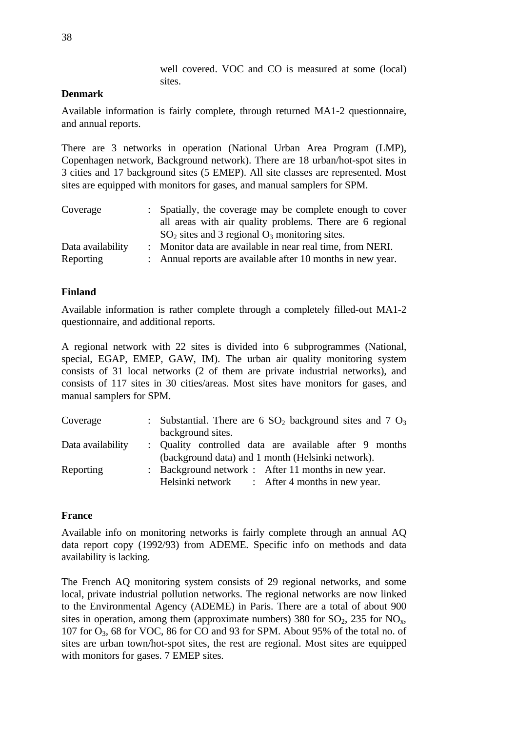well covered. VOC and CO is measured at some (local) sites.

## **Denmark**

Available information is fairly complete, through returned MA1-2 questionnaire, and annual reports.

There are 3 networks in operation (National Urban Area Program (LMP), Copenhagen network, Background network). There are 18 urban/hot-spot sites in 3 cities and 17 background sites (5 EMEP). All site classes are represented. Most sites are equipped with monitors for gases, and manual samplers for SPM.

| Coverage          | : Spatially, the coverage may be complete enough to cover   |
|-------------------|-------------------------------------------------------------|
|                   | all areas with air quality problems. There are 6 regional   |
|                   | $SO2$ sites and 3 regional $O3$ monitoring sites.           |
| Data availability | : Monitor data are available in near real time, from NERI.  |
| Reporting         | : Annual reports are available after 10 months in new year. |

### **Finland**

Available information is rather complete through a completely filled-out MA1-2 questionnaire, and additional reports.

A regional network with 22 sites is divided into 6 subprogrammes (National, special, EGAP, EMEP, GAW, IM). The urban air quality monitoring system consists of 31 local networks (2 of them are private industrial networks), and consists of 117 sites in 30 cities/areas. Most sites have monitors for gases, and manual samplers for SPM.

| Coverage          | : Substantial. There are 6 $SO_2$ background sites and 7 $O_3$ |  |
|-------------------|----------------------------------------------------------------|--|
|                   | background sites.                                              |  |
| Data availability | : Quality controlled data are available after 9 months         |  |
|                   | (background data) and 1 month (Helsinki network).              |  |
| Reporting         | : Background network : After 11 months in new year.            |  |
|                   | Helsinki network : After 4 months in new year.                 |  |

### **France**

Available info on monitoring networks is fairly complete through an annual AQ data report copy (1992/93) from ADEME. Specific info on methods and data availability is lacking.

The French AQ monitoring system consists of 29 regional networks, and some local, private industrial pollution networks. The regional networks are now linked to the Environmental Agency (ADEME) in Paris. There are a total of about 900 sites in operation, among them (approximate numbers) 380 for  $SO_2$ , 235 for  $NO_x$ , 107 for  $O_3$ , 68 for VOC, 86 for CO and 93 for SPM. About 95% of the total no. of sites are urban town/hot-spot sites, the rest are regional. Most sites are equipped with monitors for gases. 7 EMEP sites.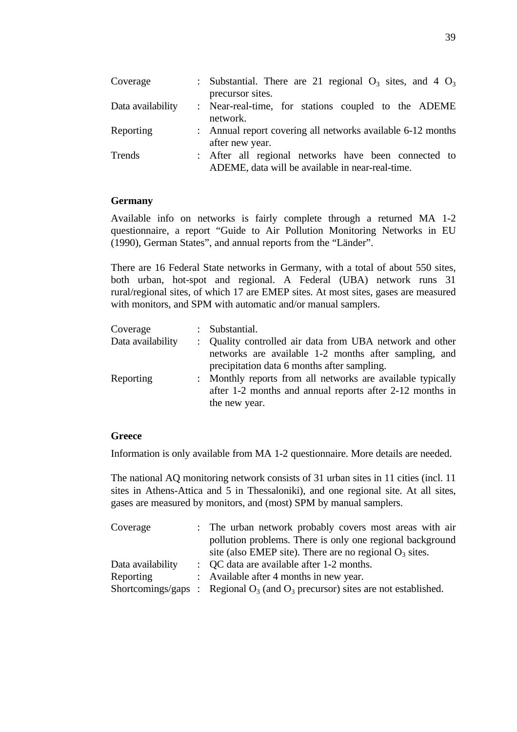| Coverage          | : Substantial. There are 21 regional $O_3$ sites, and 4 $O_3$                                            |
|-------------------|----------------------------------------------------------------------------------------------------------|
| Data availability | precursor sites.<br>: Near-real-time, for stations coupled to the ADEME                                  |
|                   | network.                                                                                                 |
| Reporting         | : Annual report covering all networks available 6-12 months<br>after new year.                           |
| Trends            | : After all regional networks have been connected to<br>ADEME, data will be available in near-real-time. |

### **Germany**

Available info on networks is fairly complete through a returned MA 1-2 questionnaire, a report "Guide to Air Pollution Monitoring Networks in EU (1990), German States", and annual reports from the "Länder".

There are 16 Federal State networks in Germany, with a total of about 550 sites, both urban, hot-spot and regional. A Federal (UBA) network runs 31 rural/regional sites, of which 17 are EMEP sites. At most sites, gases are measured with monitors, and SPM with automatic and/or manual samplers.

| Coverage          | : Substantial.                                                                                                                           |
|-------------------|------------------------------------------------------------------------------------------------------------------------------------------|
| Data availability | : Quality controlled air data from UBA network and other<br>networks are available 1-2 months after sampling, and                        |
|                   | precipitation data 6 months after sampling.                                                                                              |
| Reporting         | : Monthly reports from all networks are available typically<br>after 1-2 months and annual reports after 2-12 months in<br>the new year. |

### **Greece**

Information is only available from MA 1-2 questionnaire. More details are needed.

The national AQ monitoring network consists of 31 urban sites in 11 cities (incl. 11 sites in Athens-Attica and 5 in Thessaloniki), and one regional site. At all sites, gases are measured by monitors, and (most) SPM by manual samplers.

| Coverage          | : The urban network probably covers most areas with air                             |
|-------------------|-------------------------------------------------------------------------------------|
|                   | pollution problems. There is only one regional background                           |
|                   | site (also EMEP site). There are no regional $O_3$ sites.                           |
| Data availability | : QC data are available after 1-2 months.                                           |
| Reporting         | : Available after 4 months in new year.                                             |
|                   | Shortcomings/gaps : Regional $O_3$ (and $O_3$ precursor) sites are not established. |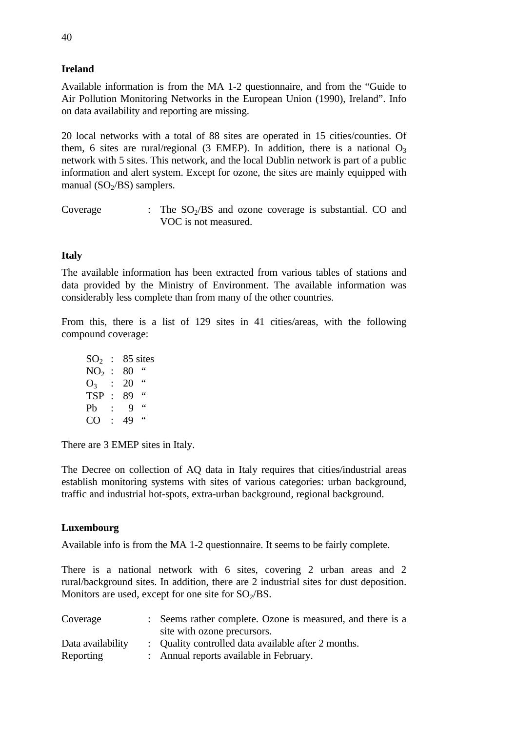# **Ireland**

Available information is from the MA 1-2 questionnaire, and from the "Guide to Air Pollution Monitoring Networks in the European Union (1990), Ireland". Info on data availability and reporting are missing.

20 local networks with a total of 88 sites are operated in 15 cities/counties. Of them, 6 sites are rural/regional (3 EMEP). In addition, there is a national  $O_3$ network with 5 sites. This network, and the local Dublin network is part of a public information and alert system. Except for ozone, the sites are mainly equipped with manual ( $SO<sub>2</sub>/BS$ ) samplers.

Coverage : The  $SO<sub>2</sub>/BS$  and ozone coverage is substantial. CO and VOC is not measured.

# **Italy**

The available information has been extracted from various tables of stations and data provided by the Ministry of Environment. The available information was considerably less complete than from many of the other countries.

From this, there is a list of 129 sites in 41 cities/areas, with the following compound coverage:

| SO <sub>2</sub> |    | 85 sites         |
|-----------------|----|------------------|
| NO <sub>2</sub> |    | 66<br>80         |
| O <sub>3</sub>  |    | 66<br>20         |
| <b>TSP</b>      |    | $\epsilon$<br>89 |
| Pb              |    | 66<br>q          |
| $\cap$          | ۰. | 66<br>49         |
|                 |    |                  |

There are 3 EMEP sites in Italy.

The Decree on collection of AQ data in Italy requires that cities/industrial areas establish monitoring systems with sites of various categories: urban background, traffic and industrial hot-spots, extra-urban background, regional background.

# **Luxembourg**

Available info is from the MA 1-2 questionnaire. It seems to be fairly complete.

There is a national network with 6 sites, covering 2 urban areas and 2 rural/background sites. In addition, there are 2 industrial sites for dust deposition. Monitors are used, except for one site for  $SO<sub>2</sub>/BS$ .

| Coverage          | : Seems rather complete. Ozone is measured, and there is a |
|-------------------|------------------------------------------------------------|
|                   | site with ozone precursors.                                |
| Data availability | : Quality controlled data available after 2 months.        |
| Reporting         | : Annual reports available in February.                    |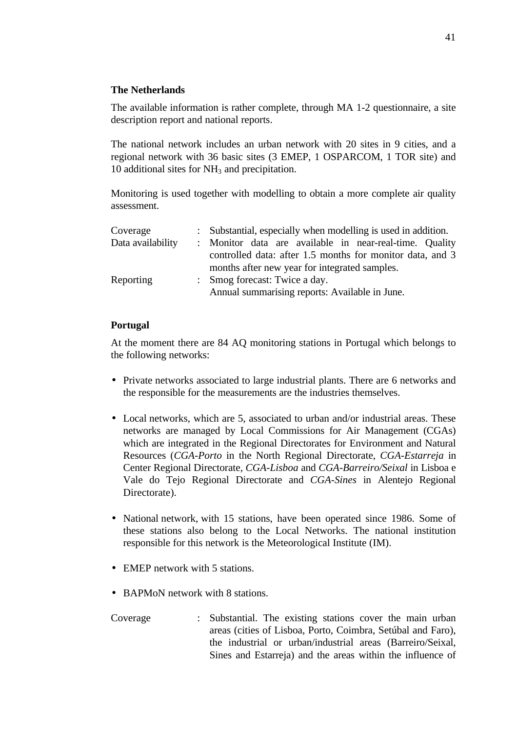# **The Netherlands**

The available information is rather complete, through MA 1-2 questionnaire, a site description report and national reports.

The national network includes an urban network with 20 sites in 9 cities, and a regional network with 36 basic sites (3 EMEP, 1 OSPARCOM, 1 TOR site) and 10 additional sites for  $NH<sub>3</sub>$  and precipitation.

Monitoring is used together with modelling to obtain a more complete air quality assessment.

| Coverage          | : Substantial, especially when modelling is used in addition. |
|-------------------|---------------------------------------------------------------|
| Data availability | : Monitor data are available in near-real-time. Quality       |
|                   | controlled data: after 1.5 months for monitor data, and 3     |
|                   | months after new year for integrated samples.                 |
| Reporting         | : Smog forecast: Twice a day.                                 |
|                   | Annual summarising reports: Available in June.                |

## **Portugal**

At the moment there are 84 AQ monitoring stations in Portugal which belongs to the following networks:

- Private networks associated to large industrial plants. There are 6 networks and the responsible for the measurements are the industries themselves.
- Local networks, which are 5, associated to urban and/or industrial areas. These networks are managed by Local Commissions for Air Management (CGAs) which are integrated in the Regional Directorates for Environment and Natural Resources (*CGA-Porto* in the North Regional Directorate, *CGA-Estarreja* in Center Regional Directorate, *CGA-Lisboa* and *CGA-Barreiro/Seixal* in Lisboa e Vale do Tejo Regional Directorate and *CGA-Sines* in Alentejo Regional Directorate).
- National network, with 15 stations, have been operated since 1986. Some of these stations also belong to the Local Networks. The national institution responsible for this network is the Meteorological Institute (IM).
- EMEP network with 5 stations.
- BAPMoN network with 8 stations.

Coverage : Substantial. The existing stations cover the main urban areas (cities of Lisboa, Porto, Coimbra, Setúbal and Faro), the industrial or urban/industrial areas (Barreiro/Seixal, Sines and Estarreja) and the areas within the influence of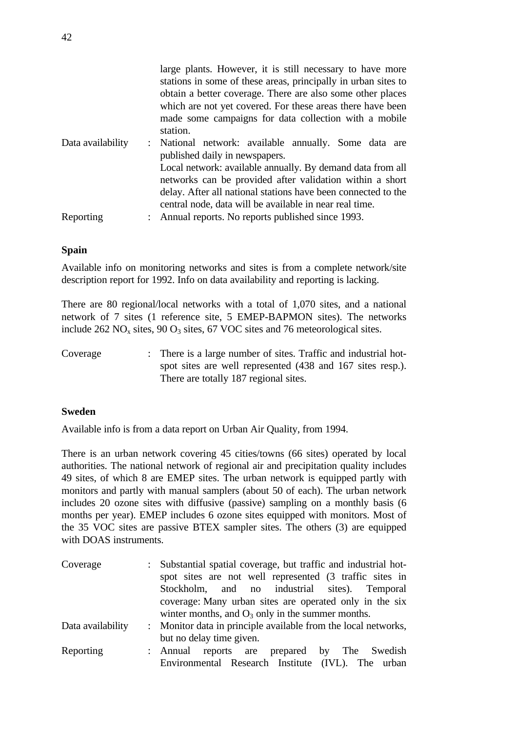|                   | large plants. However, it is still necessary to have more<br>stations in some of these areas, principally in urban sites to<br>obtain a better coverage. There are also some other places<br>which are not yet covered. For these areas there have been<br>made some campaigns for data collection with a mobile<br>station.                  |
|-------------------|-----------------------------------------------------------------------------------------------------------------------------------------------------------------------------------------------------------------------------------------------------------------------------------------------------------------------------------------------|
| Data availability | : National network: available annually. Some data are<br>published daily in newspapers.<br>Local network: available annually. By demand data from all<br>networks can be provided after validation within a short<br>delay. After all national stations have been connected to the<br>central node, data will be available in near real time. |
| Reporting         | : Annual reports. No reports published since 1993.                                                                                                                                                                                                                                                                                            |

### **Spain**

Available info on monitoring networks and sites is from a complete network/site description report for 1992. Info on data availability and reporting is lacking.

There are 80 regional/local networks with a total of 1,070 sites, and a national network of 7 sites (1 reference site, 5 EMEP-BAPMON sites). The networks include  $262 \text{ NO}_x$  sites,  $90 \text{ O}_3$  sites,  $67 \text{ VOC}$  sites and 76 meteorological sites.

Coverage : There is a large number of sites. Traffic and industrial hotspot sites are well represented (438 and 167 sites resp.). There are totally 187 regional sites.

### **Sweden**

Available info is from a data report on Urban Air Quality, from 1994.

There is an urban network covering 45 cities/towns (66 sites) operated by local authorities. The national network of regional air and precipitation quality includes 49 sites, of which 8 are EMEP sites. The urban network is equipped partly with monitors and partly with manual samplers (about 50 of each). The urban network includes 20 ozone sites with diffusive (passive) sampling on a monthly basis (6 months per year). EMEP includes 6 ozone sites equipped with monitors. Most of the 35 VOC sites are passive BTEX sampler sites. The others (3) are equipped with DOAS instruments

| Coverage          | : Substantial spatial coverage, but traffic and industrial hot- |
|-------------------|-----------------------------------------------------------------|
|                   | spot sites are not well represented (3 traffic sites in         |
|                   | Stockholm, and no industrial sites). Temporal                   |
|                   | coverage: Many urban sites are operated only in the six         |
|                   | winter months, and $O_3$ only in the summer months.             |
| Data availability | : Monitor data in principle available from the local networks,  |
|                   | but no delay time given.                                        |
| Reporting         | : Annual reports are prepared by The Swedish                    |
|                   | Environmental Research Institute (IVL). The urban               |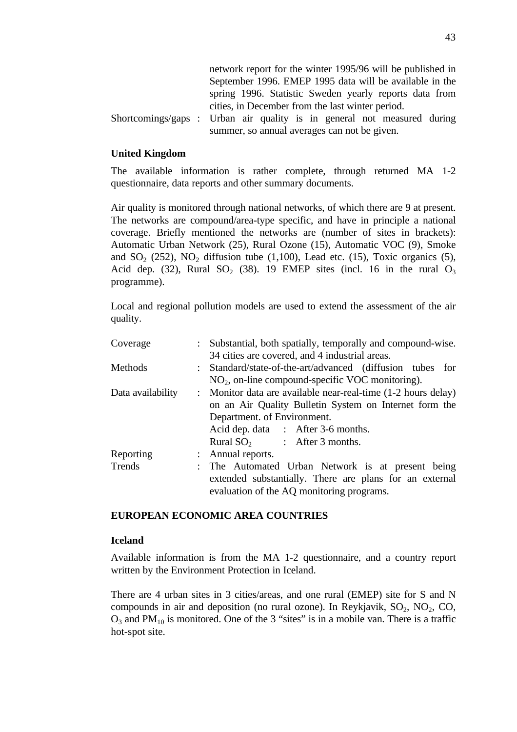|  | network report for the winter 1995/96 will be published in              |
|--|-------------------------------------------------------------------------|
|  | September 1996. EMEP 1995 data will be available in the                 |
|  | spring 1996. Statistic Sweden yearly reports data from                  |
|  | cities, in December from the last winter period.                        |
|  | Shortcomings/gaps : Urban air quality is in general not measured during |
|  | summer, so annual averages can not be given.                            |

### **United Kingdom**

The available information is rather complete, through returned MA 1-2 questionnaire, data reports and other summary documents.

Air quality is monitored through national networks, of which there are 9 at present. The networks are compound/area-type specific, and have in principle a national coverage. Briefly mentioned the networks are (number of sites in brackets): Automatic Urban Network (25), Rural Ozone (15), Automatic VOC (9), Smoke and  $SO_2$  (252),  $NO_2$  diffusion tube (1,100), Lead etc. (15), Toxic organics (5), Acid dep. (32), Rural SO<sub>2</sub> (38). 19 EMEP sites (incl. 16 in the rural  $O_3$ programme).

Local and regional pollution models are used to extend the assessment of the air quality.

| Coverage          | : Substantial, both spatially, temporally and compound-wise.  |  |
|-------------------|---------------------------------------------------------------|--|
|                   | 34 cities are covered, and 4 industrial areas.                |  |
| Methods           | : Standard/state-of-the-art/advanced (diffusion tubes for     |  |
|                   | $NO2$ , on-line compound-specific VOC monitoring).            |  |
| Data availability | : Monitor data are available near-real-time (1-2 hours delay) |  |
|                   | on an Air Quality Bulletin System on Internet form the        |  |
|                   | Department. of Environment.                                   |  |
|                   | Acid dep. data : After 3-6 months.                            |  |
|                   | Rural $SO_2$ : After 3 months.                                |  |
| Reporting         | : Annual reports.                                             |  |
| Trends            | : The Automated Urban Network is at present being             |  |
|                   | extended substantially. There are plans for an external       |  |
|                   | evaluation of the AQ monitoring programs.                     |  |

#### **EUROPEAN ECONOMIC AREA COUNTRIES**

#### **Iceland**

Available information is from the MA 1-2 questionnaire, and a country report written by the Environment Protection in Iceland.

There are 4 urban sites in 3 cities/areas, and one rural (EMEP) site for S and N compounds in air and deposition (no rural ozone). In Reykjavik,  $SO_2$ ,  $NO_2$ ,  $CO$ ,  $O_3$  and PM<sub>10</sub> is monitored. One of the 3 "sites" is in a mobile van. There is a traffic hot-spot site.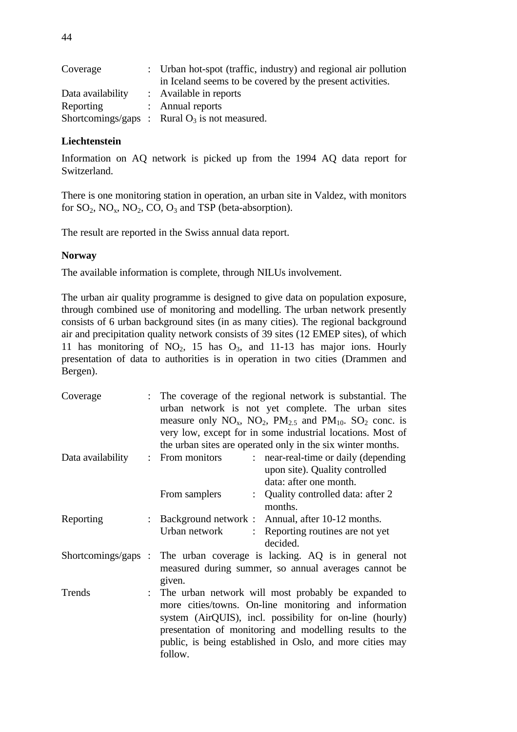| Coverage          | : Urban hot-spot (traffic, industry) and regional air pollution |
|-------------------|-----------------------------------------------------------------|
|                   | in Iceland seems to be covered by the present activities.       |
| Data availability | : Available in reports                                          |
| Reporting         | : Annual reports                                                |
|                   | Shortcomings/gaps : Rural $O_3$ is not measured.                |

## **Liechtenstein**

Information on AQ network is picked up from the 1994 AQ data report for Switzerland.

There is one monitoring station in operation, an urban site in Valdez, with monitors for  $SO_2$ ,  $NO_x$ ,  $NO_2$ ,  $CO$ ,  $O_3$  and TSP (beta-absorption).

The result are reported in the Swiss annual data report.

## **Norway**

The available information is complete, through NILUs involvement.

The urban air quality programme is designed to give data on population exposure, through combined use of monitoring and modelling. The urban network presently consists of 6 urban background sites (in as many cities). The regional background air and precipitation quality network consists of 39 sites (12 EMEP sites), of which 11 has monitoring of  $NO_2$ , 15 has  $O_3$ , and 11-13 has major ions. Hourly presentation of data to authorities is in operation in two cities (Drammen and Bergen).

| Coverage          | : The coverage of the regional network is substantial. The<br>urban network is not yet complete. The urban sites<br>measure only $NO_x$ , $NO_2$ , $PM_{2.5}$ and $PM_{10}$ . $SO_2$ conc. is<br>very low, except for in some industrial locations. Most of<br>the urban sites are operated only in the six winter months. |
|-------------------|----------------------------------------------------------------------------------------------------------------------------------------------------------------------------------------------------------------------------------------------------------------------------------------------------------------------------|
| Data availability | : near-real-time or daily (depending<br>: From monitors<br>upon site). Quality controlled<br>data: after one month.                                                                                                                                                                                                        |
|                   | : Quality controlled data: after 2<br>From samplers<br>months.                                                                                                                                                                                                                                                             |
| Reporting         | Background network : Annual, after 10-12 months.<br>Urban network<br>: Reporting routines are not yet<br>decided.                                                                                                                                                                                                          |
|                   | Shortcomings/gaps : The urban coverage is lacking. AQ is in general not<br>measured during summer, so annual averages cannot be<br>given.                                                                                                                                                                                  |
| Trends            | : The urban network will most probably be expanded to<br>more cities/towns. On-line monitoring and information<br>system (AirQUIS), incl. possibility for on-line (hourly)<br>presentation of monitoring and modelling results to the<br>public, is being established in Oslo, and more cities may<br>follow.              |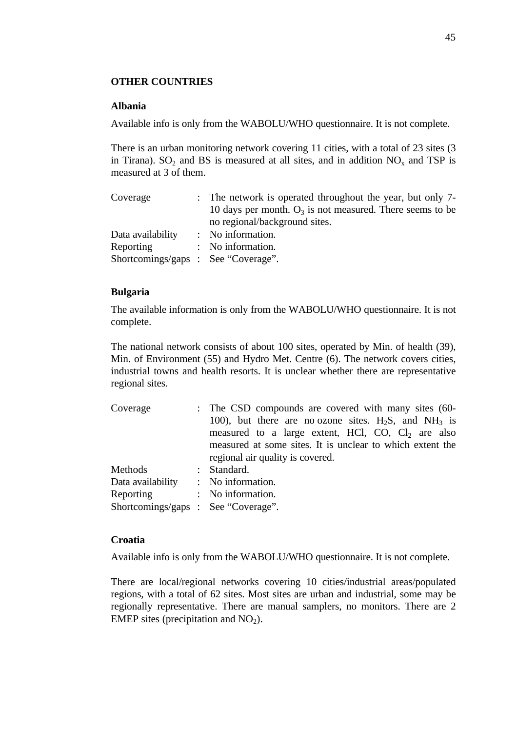### **OTHER COUNTRIES**

### **Albania**

Available info is only from the WABOLU/WHO questionnaire. It is not complete.

There is an urban monitoring network covering 11 cities, with a total of 23 sites (3 in Tirana). SO<sub>2</sub> and BS is measured at all sites, and in addition  $NO_x$  and TSP is measured at 3 of them.

| : The network is operated throughout the year, but only 7-  |
|-------------------------------------------------------------|
| 10 days per month. $O_3$ is not measured. There seems to be |
| no regional/background sites.                               |
| : No information.                                           |
| : No information.                                           |
| Shortcomings/gaps : See "Coverage".                         |
|                                                             |

### **Bulgaria**

The available information is only from the WABOLU/WHO questionnaire. It is not complete.

The national network consists of about 100 sites, operated by Min. of health (39), Min. of Environment (55) and Hydro Met. Centre (6). The network covers cities, industrial towns and health resorts. It is unclear whether there are representative regional sites.

| Coverage                            | : The CSD compounds are covered with many sites (60-       |
|-------------------------------------|------------------------------------------------------------|
|                                     | 100), but there are no ozone sites. $H_2S$ , and $NH_3$ is |
|                                     | measured to a large extent, HCl, CO, $Cl2$ are also        |
|                                     | measured at some sites. It is unclear to which extent the  |
|                                     | regional air quality is covered.                           |
| Methods                             | : Standard.                                                |
| Data availability                   | : No information.                                          |
| Reporting                           | : No information.                                          |
| Shortcomings/gaps : See "Coverage". |                                                            |

#### **Croatia**

Available info is only from the WABOLU/WHO questionnaire. It is not complete.

There are local/regional networks covering 10 cities/industrial areas/populated regions, with a total of 62 sites. Most sites are urban and industrial, some may be regionally representative. There are manual samplers, no monitors. There are 2 EMEP sites (precipitation and  $NO<sub>2</sub>$ ).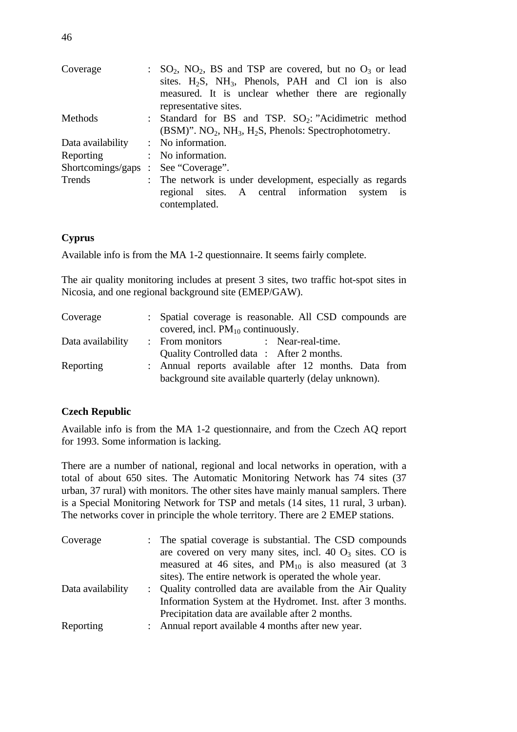| Coverage                            | $SO_2$ , $NO_2$ , BS and TSP are covered, but no $O_3$ or lead<br>sites. $H_2S$ , $NH_3$ , Phenols, PAH and Cl ion is also<br>measured. It is unclear whether there are regionally<br>representative sites. |
|-------------------------------------|-------------------------------------------------------------------------------------------------------------------------------------------------------------------------------------------------------------|
| Methods                             | : Standard for BS and TSP. SO <sub>2</sub> : "Acidimetric method<br>$(BSM)$ ". NO <sub>2</sub> , NH <sub>3</sub> , H <sub>2</sub> S, Phenols: Spectrophotometry.                                            |
| Data availability                   | : No information.                                                                                                                                                                                           |
| Reporting                           | : No information.                                                                                                                                                                                           |
| Shortcomings/gaps : See "Coverage". |                                                                                                                                                                                                             |
| Trends                              | : The network is under development, especially as regards<br>regional sites. A central information<br>system is<br>contemplated.                                                                            |

# **Cyprus**

Available info is from the MA 1-2 questionnaire. It seems fairly complete.

The air quality monitoring includes at present 3 sites, two traffic hot-spot sites in Nicosia, and one regional background site (EMEP/GAW).

| Coverage          | : Spatial coverage is reasonable. All CSD compounds are |
|-------------------|---------------------------------------------------------|
|                   | covered, incl. $PM_{10}$ continuously.                  |
| Data availability | : From monitors : Near-real-time.                       |
|                   | Quality Controlled data : After 2 months.               |
| Reporting         | : Annual reports available after 12 months. Data from   |
|                   | background site available quarterly (delay unknown).    |

# **Czech Republic**

Available info is from the MA 1-2 questionnaire, and from the Czech AQ report for 1993. Some information is lacking.

There are a number of national, regional and local networks in operation, with a total of about 650 sites. The Automatic Monitoring Network has 74 sites (37 urban, 37 rural) with monitors. The other sites have mainly manual samplers. There is a Special Monitoring Network for TSP and metals (14 sites, 11 rural, 3 urban). The networks cover in principle the whole territory. There are 2 EMEP stations.

| Coverage          | : The spatial coverage is substantial. The CSD compounds<br>are covered on very many sites, incl. 40 $O_3$ sites. CO is<br>measured at 46 sites, and $PM_{10}$ is also measured (at 3<br>sites). The entire network is operated the whole year. |
|-------------------|-------------------------------------------------------------------------------------------------------------------------------------------------------------------------------------------------------------------------------------------------|
| Data availability | : Quality controlled data are available from the Air Quality<br>Information System at the Hydromet. Inst. after 3 months.<br>Precipitation data are available after 2 months.                                                                   |
| Reporting         | : Annual report available 4 months after new year.                                                                                                                                                                                              |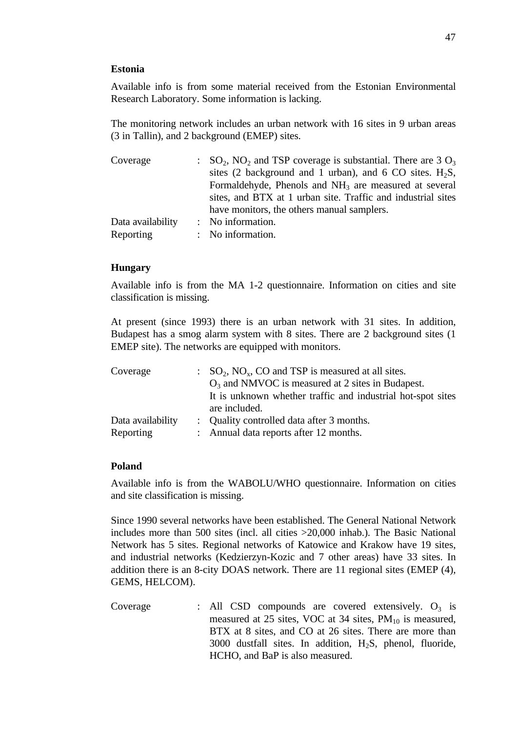#### **Estonia**

Available info is from some material received from the Estonian Environmental Research Laboratory. Some information is lacking.

The monitoring network includes an urban network with 16 sites in 9 urban areas (3 in Tallin), and 2 background (EMEP) sites.

| Coverage          | $\therefore$ SO <sub>2</sub> , NO <sub>2</sub> and TSP coverage is substantial. There are 3 O <sub>3</sub> |
|-------------------|------------------------------------------------------------------------------------------------------------|
|                   | sites (2 background and 1 urban), and 6 CO sites. $H_2S$ ,                                                 |
|                   | Formaldehyde, Phenols and NH <sub>3</sub> are measured at several                                          |
|                   | sites, and BTX at 1 urban site. Traffic and industrial sites                                               |
|                   | have monitors, the others manual samplers.                                                                 |
| Data availability | : No information.                                                                                          |
| Reporting         | : No information.                                                                                          |

### **Hungary**

Available info is from the MA 1-2 questionnaire. Information on cities and site classification is missing.

At present (since 1993) there is an urban network with 31 sites. In addition, Budapest has a smog alarm system with 8 sites. There are 2 background sites (1 EMEP site). The networks are equipped with monitors.

| Coverage          | $SO_2$ , NO <sub>x</sub> , CO and TSP is measured at all sites. |
|-------------------|-----------------------------------------------------------------|
|                   | $O_3$ and NMVOC is measured at 2 sites in Budapest.             |
|                   | It is unknown whether traffic and industrial hot-spot sites     |
|                   | are included.                                                   |
| Data availability | : Quality controlled data after 3 months.                       |
| Reporting         | : Annual data reports after 12 months.                          |

#### **Poland**

Available info is from the WABOLU/WHO questionnaire. Information on cities and site classification is missing.

Since 1990 several networks have been established. The General National Network includes more than 500 sites (incl. all cities >20,000 inhab.). The Basic National Network has 5 sites. Regional networks of Katowice and Krakow have 19 sites, and industrial networks (Kedzierzyn-Kozic and 7 other areas) have 33 sites. In addition there is an 8-city DOAS network. There are 11 regional sites (EMEP (4), GEMS, HELCOM).

Coverage : All CSD compounds are covered extensively.  $O_3$  is measured at 25 sites, VOC at 34 sites,  $PM_{10}$  is measured, BTX at 8 sites, and CO at 26 sites. There are more than 3000 dustfall sites. In addition,  $H_2S$ , phenol, fluoride, HCHO, and BaP is also measured.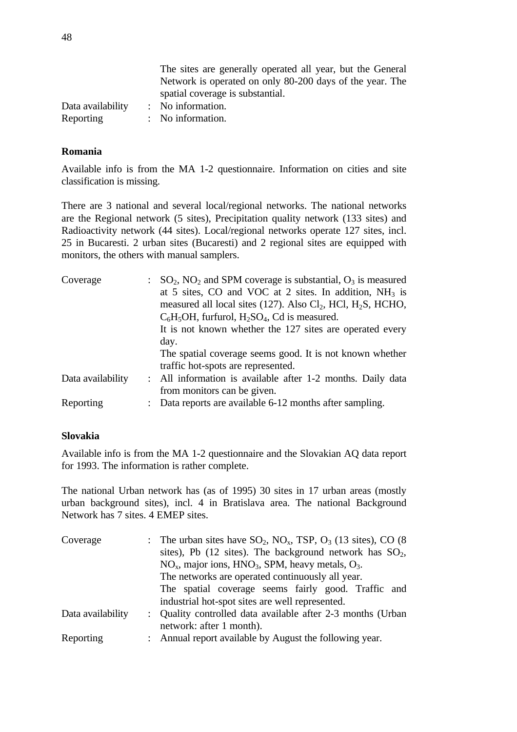|                   | The sites are generally operated all year, but the General |
|-------------------|------------------------------------------------------------|
|                   | Network is operated on only 80-200 days of the year. The   |
|                   | spatial coverage is substantial.                           |
| Data availability | : No information.                                          |
| Reporting         | $\therefore$ No information.                               |

### **Romania**

Available info is from the MA 1-2 questionnaire. Information on cities and site classification is missing.

There are 3 national and several local/regional networks. The national networks are the Regional network (5 sites), Precipitation quality network (133 sites) and Radioactivity network (44 sites). Local/regional networks operate 127 sites, incl. 25 in Bucaresti. 2 urban sites (Bucaresti) and 2 regional sites are equipped with monitors, the others with manual samplers.

| Coverage          | $\therefore$ SO <sub>2</sub> , NO <sub>2</sub> and SPM coverage is substantial, O <sub>3</sub> is measured |
|-------------------|------------------------------------------------------------------------------------------------------------|
|                   | at 5 sites, CO and VOC at 2 sites. In addition, $NH_3$ is                                                  |
|                   | measured all local sites (127). Also Cl <sub>2</sub> , HCl, H <sub>2</sub> S, HCHO,                        |
|                   | $C_6H_5OH$ , furfurol, $H_2SO_4$ , Cd is measured.                                                         |
|                   | It is not known whether the 127 sites are operated every                                                   |
|                   | day.                                                                                                       |
|                   | The spatial coverage seems good. It is not known whether                                                   |
|                   | traffic hot-spots are represented.                                                                         |
| Data availability | : All information is available after 1-2 months. Daily data                                                |
|                   | from monitors can be given.                                                                                |
| Reporting         | Data reports are available 6-12 months after sampling.                                                     |
|                   |                                                                                                            |

### **Slovakia**

Available info is from the MA 1-2 questionnaire and the Slovakian AQ data report for 1993. The information is rather complete.

The national Urban network has (as of 1995) 30 sites in 17 urban areas (mostly urban background sites), incl. 4 in Bratislava area. The national Background Network has 7 sites. 4 EMEP sites.

| Coverage          |                                                  | : The urban sites have $SO_2$ , $NO_x$ , TSP, $O_3$ (13 sites), CO (8)<br>sites), Pb $(12 \text{ sites})$ . The background network has $SO2$ ,<br>$NOx$ , major ions, $HNO3$ , SPM, heavy metals, $O3$ . |  |  |  |  |  |  |  |  |
|-------------------|--------------------------------------------------|----------------------------------------------------------------------------------------------------------------------------------------------------------------------------------------------------------|--|--|--|--|--|--|--|--|
|                   | The networks are operated continuously all year. |                                                                                                                                                                                                          |  |  |  |  |  |  |  |  |
|                   |                                                  | The spatial coverage seems fairly good. Traffic and                                                                                                                                                      |  |  |  |  |  |  |  |  |
|                   |                                                  | industrial hot-spot sites are well represented.                                                                                                                                                          |  |  |  |  |  |  |  |  |
| Data availability |                                                  | : Quality controlled data available after 2-3 months (Urban                                                                                                                                              |  |  |  |  |  |  |  |  |
|                   |                                                  | network: after 1 month).                                                                                                                                                                                 |  |  |  |  |  |  |  |  |
| Reporting         |                                                  | : Annual report available by August the following year.                                                                                                                                                  |  |  |  |  |  |  |  |  |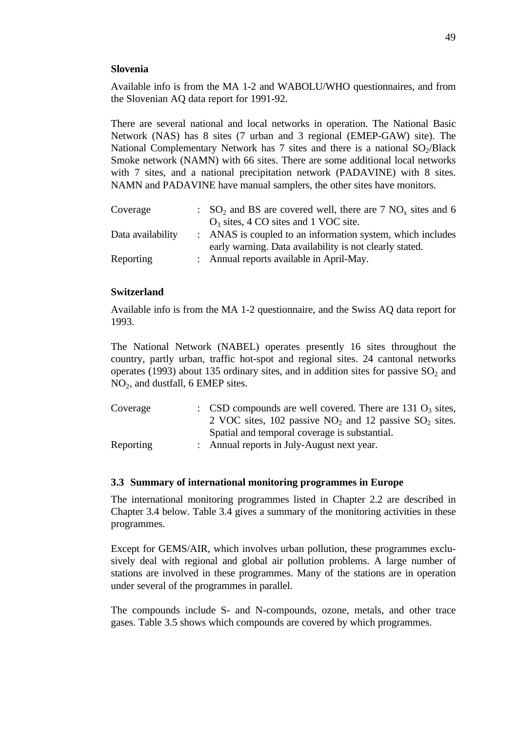#### **Slovenia**

Available info is from the MA 1-2 and WABOLU/WHO questionnaires, and from the Slovenian AQ data report for 1991-92.

There are several national and local networks in operation. The National Basic Network (NAS) has 8 sites (7 urban and 3 regional (EMEP-GAW) site). The National Complementary Network has  $7$  sites and there is a national  $SO<sub>2</sub>/Black$ Smoke network (NAMN) with 66 sites. There are some additional local networks with 7 sites, and a national precipitation network (PADAVINE) with 8 sites. NAMN and PADAVINE have manual samplers, the other sites have monitors.

| Coverage          | $\therefore$ SO <sub>2</sub> and BS are covered well, there are 7 NO <sub>x</sub> sites and 6 |
|-------------------|-----------------------------------------------------------------------------------------------|
|                   | $O_3$ sites, 4 CO sites and 1 VOC site.                                                       |
| Data availability | : ANAS is coupled to an information system, which includes                                    |
|                   | early warning. Data availability is not clearly stated.                                       |
| Reporting         | : Annual reports available in April-May.                                                      |

### **Switzerland**

Available info is from the MA 1-2 questionnaire, and the Swiss AQ data report for 1993.

The National Network (NABEL) operates presently 16 sites throughout the country, partly urban, traffic hot-spot and regional sites. 24 cantonal networks operates (1993) about 135 ordinary sites, and in addition sites for passive  $SO_2$  and NO2, and dustfall, 6 EMEP sites.

| Coverage  | : CSD compounds are well covered. There are 131 $O_3$ sites,                     |
|-----------|----------------------------------------------------------------------------------|
|           | 2 VOC sites, $102$ passive NO <sub>2</sub> and 12 passive SO <sub>2</sub> sites. |
|           | Spatial and temporal coverage is substantial.                                    |
| Reporting | : Annual reports in July-August next year.                                       |

### **3.3 Summary of international monitoring programmes in Europe**

The international monitoring programmes listed in Chapter 2.2 are described in Chapter 3.4 below. Table 3.4 gives a summary of the monitoring activities in these programmes.

Except for GEMS/AIR, which involves urban pollution, these programmes exclusively deal with regional and global air pollution problems. A large number of stations are involved in these programmes. Many of the stations are in operation under several of the programmes in parallel.

The compounds include S- and N-compounds, ozone, metals, and other trace gases. Table 3.5 shows which compounds are covered by which programmes.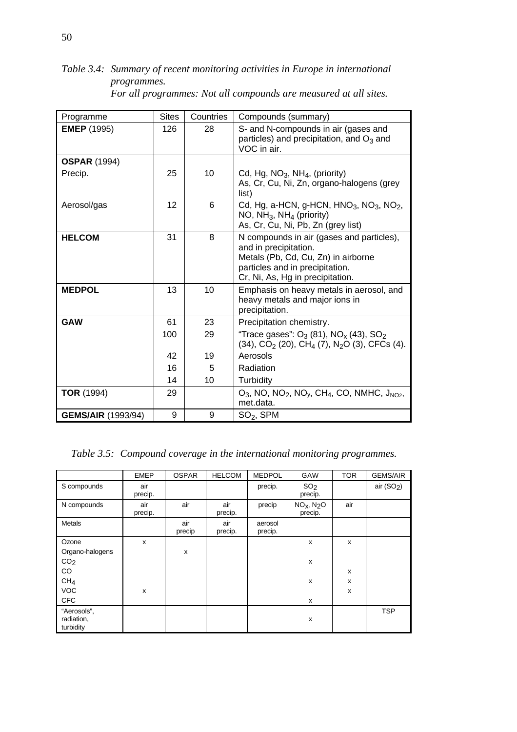*Table 3.4: Summary of recent monitoring activities in Europe in international programmes.*

| Programme                 | <b>Sites</b> | Countries | Compounds (summary)                                                                                                                                                              |
|---------------------------|--------------|-----------|----------------------------------------------------------------------------------------------------------------------------------------------------------------------------------|
| <b>EMEP</b> (1995)        | 126          | 28        | S- and N-compounds in air (gases and<br>particles) and precipitation, and $O_3$ and<br>VOC in air.                                                                               |
| <b>OSPAR (1994)</b>       |              |           |                                                                                                                                                                                  |
| Precip.                   | 25           | 10        | Cd, Hg, $NO3$ , NH <sub>4</sub> , (priority)<br>As, Cr, Cu, Ni, Zn, organo-halogens (grey<br>list)                                                                               |
| Aerosol/gas               | 12           | 6         | Cd, Hg, a-HCN, g-HCN, HNO <sub>3</sub> , NO <sub>3</sub> , NO <sub>2</sub> ,<br>NO, $NH_3$ , $NH_4$ (priority)<br>As, Cr, Cu, Ni, Pb, Zn (grey list)                             |
| <b>HELCOM</b>             | 31           | 8         | N compounds in air (gases and particles),<br>and in precipitation.<br>Metals (Pb, Cd, Cu, Zn) in airborne<br>particles and in precipitation.<br>Cr, Ni, As, Hg in precipitation. |
| <b>MEDPOL</b>             | 13           | 10        | Emphasis on heavy metals in aerosol, and<br>heavy metals and major ions in<br>precipitation.                                                                                     |
| <b>GAW</b>                | 61           | 23        | Precipitation chemistry.                                                                                                                                                         |
|                           | 100          | 29        | "Trace gases": $O_3$ (81), NO <sub>x</sub> (43), SO <sub>2</sub><br>$(34)$ , CO <sub>2</sub> (20), CH <sub>4</sub> (7), N <sub>2</sub> O (3), CFCs (4).                          |
|                           | 42           | 19        | Aerosols                                                                                                                                                                         |
|                           | 16           | 5         | Radiation                                                                                                                                                                        |
|                           | 14           | 10        | Turbidity                                                                                                                                                                        |
| <b>TOR</b> (1994)         | 29           |           | $O_3$ , NO, NO <sub>2</sub> , NO <sub>y</sub> , CH <sub>4</sub> , CO, NMHC, J <sub>NO2</sub> ,<br>met.data.                                                                      |
| <b>GEMS/AIR (1993/94)</b> | 9            | 9         | $SO2$ , SPM                                                                                                                                                                      |

*For all programmes: Not all compounds are measured at all sites.*

*Table 3.5: Compound coverage in the international monitoring programmes.*

|                                        | <b>EMEP</b>    | <b>OSPAR</b>  | <b>HELCOM</b>  | <b>MEDPOL</b>      | GAW                                           | <b>TOR</b> | <b>GEMS/AIR</b> |
|----------------------------------------|----------------|---------------|----------------|--------------------|-----------------------------------------------|------------|-----------------|
| S compounds                            | air<br>precip. |               |                | precip.            | SO <sub>2</sub><br>precip.                    |            | air $(SO2)$     |
| N compounds                            | air<br>precip. | air           | air<br>precip. | precip             | NO <sub>x</sub> , N <sub>2</sub> O<br>precip. | air        |                 |
| <b>Metals</b>                          |                | air<br>precip | air<br>precip. | aerosol<br>precip. |                                               |            |                 |
| Ozone                                  | X              |               |                |                    | X                                             | X          |                 |
| Organo-halogens                        |                | X             |                |                    |                                               |            |                 |
| CO <sub>2</sub>                        |                |               |                |                    | X                                             |            |                 |
| CO.                                    |                |               |                |                    |                                               | X          |                 |
| CH <sub>4</sub>                        |                |               |                |                    | $\mathsf{x}$                                  | x          |                 |
| <b>VOC</b>                             | X              |               |                |                    |                                               | x          |                 |
| <b>CFC</b>                             |                |               |                |                    | X                                             |            |                 |
| "Aerosols",<br>radiation,<br>turbidity |                |               |                |                    | x                                             |            | <b>TSP</b>      |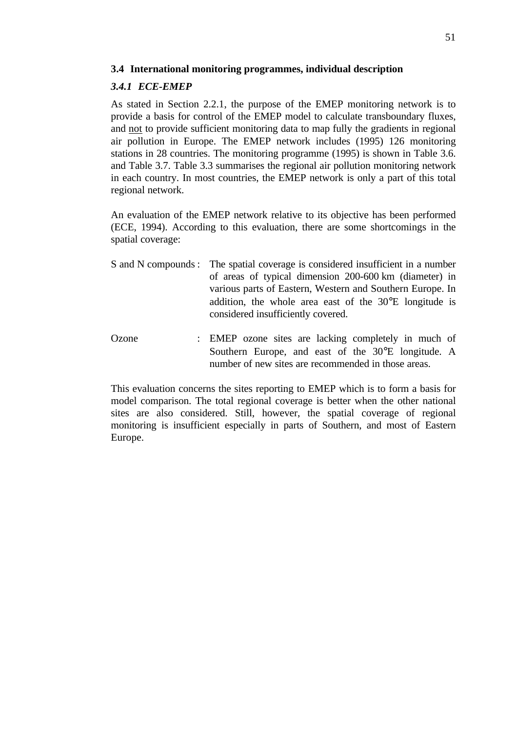### **3.4 International monitoring programmes, individual description**

### *3.4.1 ECE-EMEP*

As stated in Section 2.2.1, the purpose of the EMEP monitoring network is to provide a basis for control of the EMEP model to calculate transboundary fluxes, and not to provide sufficient monitoring data to map fully the gradients in regional air pollution in Europe. The EMEP network includes (1995) 126 monitoring stations in 28 countries. The monitoring programme (1995) is shown in Table 3.6. and Table 3.7. Table 3.3 summarises the regional air pollution monitoring network in each country. In most countries, the EMEP network is only a part of this total regional network.

An evaluation of the EMEP network relative to its objective has been performed (ECE, 1994). According to this evaluation, there are some shortcomings in the spatial coverage:

- S and N compounds : The spatial coverage is considered insufficient in a number of areas of typical dimension 200-600 km (diameter) in various parts of Eastern, Western and Southern Europe. In addition, the whole area east of the 30°E longitude is considered insufficiently covered.
- Ozone : EMEP ozone sites are lacking completely in much of Southern Europe, and east of the 30°E longitude. A number of new sites are recommended in those areas.

This evaluation concerns the sites reporting to EMEP which is to form a basis for model comparison. The total regional coverage is better when the other national sites are also considered. Still, however, the spatial coverage of regional monitoring is insufficient especially in parts of Southern, and most of Eastern Europe.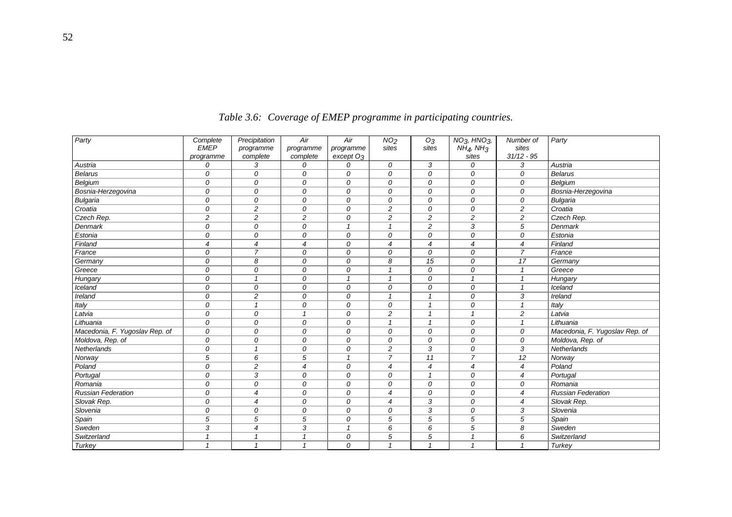| Party                          | Complete       | Precipitation            | Air            | Air                   | NO <sub>2</sub> | O <sub>3</sub> | NO <sub>3</sub> , HNO <sub>3</sub> , | Number of      | Party                          |
|--------------------------------|----------------|--------------------------|----------------|-----------------------|-----------------|----------------|--------------------------------------|----------------|--------------------------------|
|                                | <b>EMEP</b>    | programme                | programme      | programme             | sites           | sites          | NH <sub>4</sub> , NH <sub>3</sub>    | sites          |                                |
|                                | programme      | complete                 | complete       | except O <sub>3</sub> |                 |                | sites                                | $31/12 - 95$   |                                |
| Austria                        | 0              | 3                        | 0              | 0                     | 0               | 3              | 0                                    | 3              | Austria                        |
| <b>Belarus</b>                 | 0              | 0                        | 0              | 0                     | 0               | 0              | 0                                    | 0              | <b>Belarus</b>                 |
| Belgium                        | 0              | 0                        | 0              | 0                     | 0               | 0              | 0                                    | 0              | Belgium                        |
| Bosnia-Herzegovina             | 0              | 0                        | 0              | 0                     | 0               | $\mathcal{O}$  | 0                                    | 0              | Bosnia-Herzegovina             |
| <b>Bulgaria</b>                | $\overline{O}$ | 0                        | $\mathcal{O}$  | $\mathcal{O}$         | 0               | $\mathcal{O}$  | 0                                    | $\overline{O}$ | <b>Bulgaria</b>                |
| Croatia                        | 0              | $\overline{c}$           | 0              | 0                     | $\overline{c}$  | $\mathcal{O}$  | 0                                    | $\overline{c}$ | Croatia                        |
| Czech Rep.                     | $\overline{c}$ | $\overline{c}$           | 2              | 0                     | $\overline{c}$  | 2              | 2                                    | $\overline{c}$ | Czech Rep.                     |
| <b>Denmark</b>                 | 0              | 0                        | 0              | $\mathbf{1}$          | $\mathbf{1}$    | 2              | 3                                    | 5              | Denmark                        |
| Estonia                        | 0              | 0                        | 0              | 0                     | 0               | $\mathcal{O}$  | 0                                    | 0              | Estonia                        |
| Finland                        | $\overline{4}$ | $\overline{\mathcal{A}}$ | $\overline{4}$ | 0                     | $\overline{4}$  | $\overline{4}$ | $\overline{4}$                       | $\overline{4}$ | Finland                        |
| France                         | 0              | $\overline{7}$           | 0              | 0                     | 0               | 0              | 0                                    | $\overline{7}$ | France                         |
| Germany                        | 0              | 8                        | 0              | 0                     | 8               | 15             | 0                                    | 17             | Germany                        |
| Greece                         | 0              | 0                        | 0              | 0                     | $\overline{1}$  | 0              | 0                                    | $\mathbf{1}$   | Greece                         |
| Hungary                        | 0              | $\mathbf{1}$             | 0              | $\mathbf{1}$          | $\mathbf{1}$    | 0              | $\mathbf{1}$                         | $\mathbf{1}$   | Hungary                        |
| <b>Iceland</b>                 | $\Omega$       | 0                        | 0              | $\mathcal{O}$         | 0               | $\mathcal{O}$  | 0                                    | $\mathbf{1}$   | Iceland                        |
| Ireland                        | 0              | $\overline{c}$           | 0              | 0                     | $\mathbf{1}$    | $\overline{1}$ | 0                                    | 3              | Ireland                        |
| Italy                          | 0              | $\mathbf{1}$             | 0              | 0                     | 0               | $\overline{1}$ | 0                                    | $\mathbf{1}$   | Italy                          |
| Latvia                         | $\mathcal{O}$  | 0                        | $\overline{1}$ | $\mathcal{O}$         | $\overline{c}$  | $\overline{1}$ | $\overline{1}$                       | $\overline{c}$ | Latvia                         |
| Lithuania                      | 0              | 0                        | 0              | 0                     | $\overline{1}$  | $\overline{1}$ | 0                                    | $\overline{1}$ | Lithuania                      |
| Macedonia, F. Yugoslav Rep. of | 0              | 0                        | 0              | 0                     | 0               | 0              | 0                                    | 0              | Macedonia, F. Yugoslav Rep. of |
| Moldova, Rep. of               | 0              | 0                        | 0              | 0                     | 0               | 0              | 0                                    | 0              | Moldova, Rep. of               |
| Netherlands                    | 0              | $\mathbf{1}$             | 0              | 0                     | $\overline{c}$  | 3              | 0                                    | 3              | Netherlands                    |
| Norway                         | 5              | 6                        | 5              | $\mathbf{1}$          | $\overline{7}$  | 11             | $\overline{7}$                       | 12             | Norway                         |
| Poland                         | 0              | $\overline{c}$           | $\overline{4}$ | 0                     | $\overline{4}$  | $\overline{4}$ | $\overline{4}$                       | $\overline{4}$ | Poland                         |
| Portugal                       | 0              | 3                        | 0              | 0                     | 0               | $\mathbf{1}$   | 0                                    | $\overline{4}$ | Portugal                       |
| Romania                        | $\mathcal{O}$  | 0                        | $\mathcal{O}$  | 0                     | $\mathcal{O}$   | $\mathcal{O}$  | $\mathcal{O}$                        | $\mathcal{O}$  | Romania                        |
| <b>Russian Federation</b>      | 0              | 4                        | 0              | 0                     | $\overline{4}$  | 0              | 0                                    | $\overline{4}$ | <b>Russian Federation</b>      |
| Slovak Rep.                    | 0              | $\overline{4}$           | 0              | 0                     | $\overline{4}$  | 3              | 0                                    | $\overline{4}$ | Slovak Rep.                    |
| Slovenia                       | 0              | 0                        | 0              | 0                     | 0               | 3              | 0                                    | 3              | Slovenia                       |
| Spain                          | 5              | 5                        | 5              | 0                     | 5               | 5              | 5                                    | 5              | Spain                          |
| Sweden                         | 3              | $\overline{\mathcal{A}}$ | 3              | $\mathbf{1}$          | 6               | 6              | 5                                    | 8              | Sweden                         |
| Switzerland                    | $\overline{1}$ | $\mathbf{1}$             | $\overline{1}$ | 0                     | 5               | 5              | $\mathbf{1}$                         | 6              | Switzerland                    |
| <b>Turkey</b>                  | $\mathbf{1}$   | $\overline{1}$           | $\overline{1}$ | 0                     | $\overline{1}$  | $\overline{1}$ | $\mathbf{1}$                         | $\overline{1}$ | Turkey                         |
|                                |                |                          |                |                       |                 |                |                                      |                |                                |

*Table 3.6: Coverage of EMEP programme in participating countries.*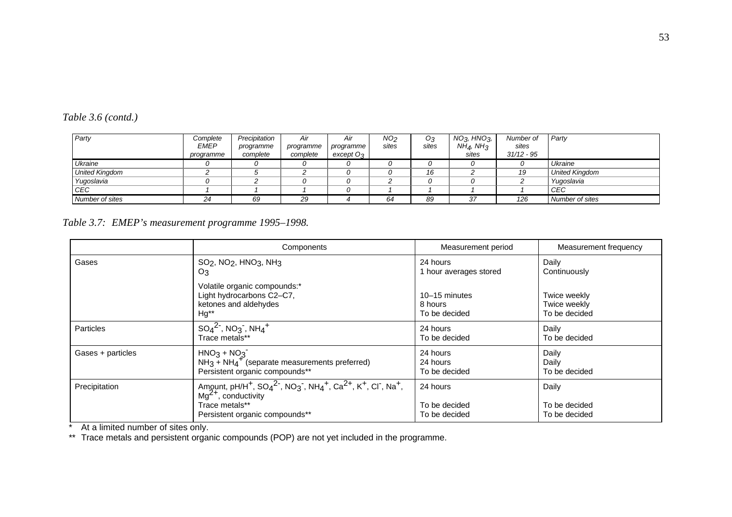| Party                 | Complete    | Precipitation | Air       | Air           | NO <sub>2</sub> | O3    | $NO3$ , HNO $_{3}$ ,              | Number of    | Party                 |
|-----------------------|-------------|---------------|-----------|---------------|-----------------|-------|-----------------------------------|--------------|-----------------------|
|                       | <b>EMEP</b> | programme     | programme | programme     | sites           | sites | NH <sub>4</sub> , NH <sub>3</sub> | sites        |                       |
|                       | programme   | complete      | complete  | $except$ $O3$ |                 |       | sites                             | $31/12 - 95$ |                       |
| Ukraine               |             |               |           |               |                 |       |                                   |              | Ukraine               |
| <b>United Kingdom</b> |             |               |           |               |                 | 16    |                                   | 19           | <b>United Kingdom</b> |
| Yugoslavia            |             |               |           |               |                 |       |                                   |              | Yugoslavia            |
| CEC                   |             |               |           |               |                 |       |                                   |              | CEC                   |
| Number of sites       | 24          | 69            | 29        |               | 64              | 89    | 37                                | 126          | Number of sites       |

# *Table 3.6 (contd.)*

*Table 3.7: EMEP's measurement programme 1995–1998.*

|                   | Components                                                                                                                                                                                                                                                                        | Measurement period                         | Measurement frequency                         |  |  |
|-------------------|-----------------------------------------------------------------------------------------------------------------------------------------------------------------------------------------------------------------------------------------------------------------------------------|--------------------------------------------|-----------------------------------------------|--|--|
| Gases             | $SO2$ , NO <sub>2</sub> , HNO <sub>3</sub> , NH <sub>3</sub>                                                                                                                                                                                                                      | 24 hours                                   | Daily                                         |  |  |
|                   | O3                                                                                                                                                                                                                                                                                | 1 hour averages stored                     | Continuously                                  |  |  |
|                   | Volatile organic compounds:*<br>Light hydrocarbons C2-C7,<br>ketones and aldehydes<br>Hg**                                                                                                                                                                                        | 10-15 minutes<br>8 hours<br>To be decided  | Twice weekly<br>Twice weekly<br>To be decided |  |  |
| Particles         | $SO_4^2$ , $NO_3$ , $NH_4^+$                                                                                                                                                                                                                                                      | 24 hours                                   | Daily                                         |  |  |
|                   | Trace metals**                                                                                                                                                                                                                                                                    | To be decided                              | To be decided                                 |  |  |
| Gases + particles | $HNO3 + NO3$                                                                                                                                                                                                                                                                      | 24 hours                                   | Daily                                         |  |  |
|                   | $NH3 + NH4+$ (separate measurements preferred)                                                                                                                                                                                                                                    | 24 hours                                   | Daily                                         |  |  |
|                   | Persistent organic compounds**                                                                                                                                                                                                                                                    | To be decided                              | To be decided                                 |  |  |
| Precipitation     | Amount, pH/H <sup>+</sup> , SO <sub>4</sub> <sup>2-</sup> , NO <sub>3</sub> <sup>-</sup> , NH <sub>4</sub> <sup>+</sup> , Ca <sup>2+</sup> , K <sup>+</sup> , CI <sup>-</sup> , Na <sup>+</sup> ,<br>$Mq^{2+}$ , conductivity<br>Trace metals**<br>Persistent organic compounds** | 24 hours<br>To be decided<br>To be decided | Daily<br>To be decided<br>To be decided       |  |  |

\* At a limited number of sites only.

\*\* Trace metals and persistent organic compounds (POP) are not yet included in the programme.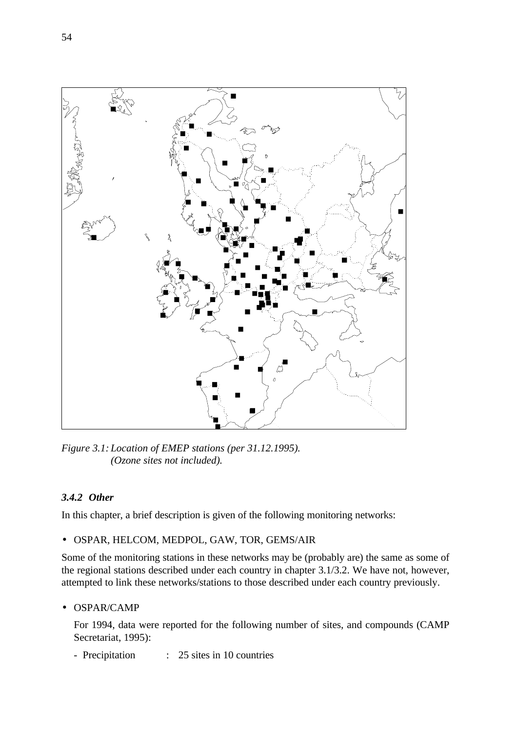

*Figure 3.1: Location of EMEP stations (per 31.12.1995). (Ozone sites not included).*

# *3.4.2 Other*

In this chapter, a brief description is given of the following monitoring networks:

• OSPAR, HELCOM, MEDPOL, GAW, TOR, GEMS/AIR

Some of the monitoring stations in these networks may be (probably are) the same as some of the regional stations described under each country in chapter 3.1/3.2. We have not, however, attempted to link these networks/stations to those described under each country previously.

### • OSPAR/CAMP

For 1994, data were reported for the following number of sites, and compounds (CAMP Secretariat, 1995):

- Precipitation : 25 sites in 10 countries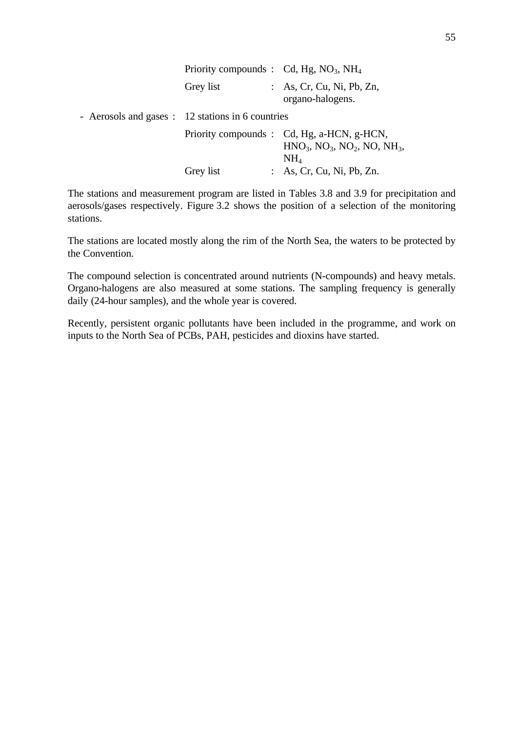| Priority compounds : $Cd$ , Hg, NO <sub>3</sub> , NH <sub>4</sub> |  |                                                                                                              |  |  |  |  |  |  |
|-------------------------------------------------------------------|--|--------------------------------------------------------------------------------------------------------------|--|--|--|--|--|--|
| Grey list                                                         |  | : As, Cr, Cu, Ni, Pb, Zn,<br>organo-halogens.                                                                |  |  |  |  |  |  |
| - Aerosols and gases : 12 stations in 6 countries                 |  |                                                                                                              |  |  |  |  |  |  |
|                                                                   |  | Priority compounds : Cd, Hg, a-HCN, g-HCN,<br>$HNO_3$ , $NO_3$ , $NO_2$ , $NO$ , $NH_3$ ,<br>NH <sub>4</sub> |  |  |  |  |  |  |
| Grey list                                                         |  | : As, Cr, Cu, Ni, Pb, Zn.                                                                                    |  |  |  |  |  |  |

The stations and measurement program are listed in Tables 3.8 and 3.9 for precipitation and aerosols/gases respectively. Figure 3.2 shows the position of a selection of the monitoring stations.

The stations are located mostly along the rim of the North Sea, the waters to be protected by the Convention.

The compound selection is concentrated around nutrients (N-compounds) and heavy metals. Organo-halogens are also measured at some stations. The sampling frequency is generally daily (24-hour samples), and the whole year is covered.

Recently, persistent organic pollutants have been included in the programme, and work on inputs to the North Sea of PCBs, PAH, pesticides and dioxins have started.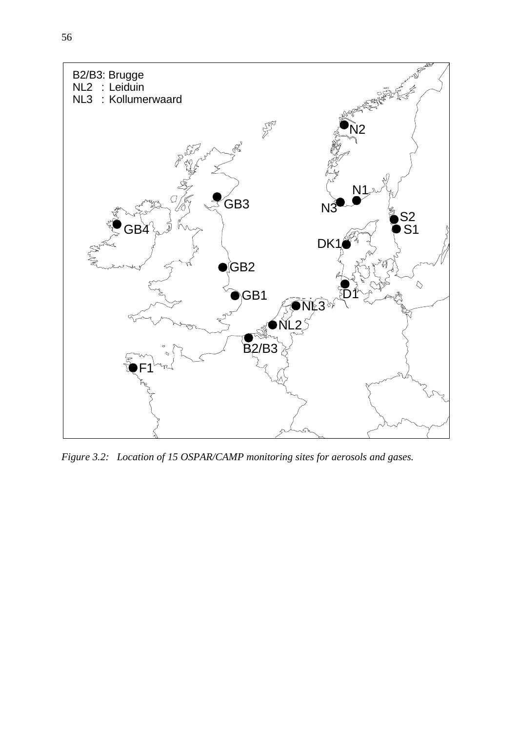

*Figure 3.2: Location of 15 OSPAR/CAMP monitoring sites for aerosols and gases.*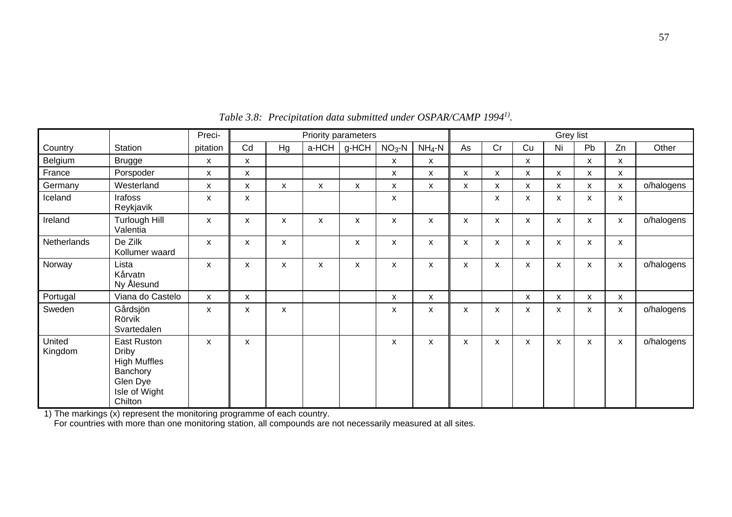|                   |                                                                                                        | Preci-       |              |                  | Priority parameters |       |                           |              | Grey list    |                           |                           |                           |              |                           |            |
|-------------------|--------------------------------------------------------------------------------------------------------|--------------|--------------|------------------|---------------------|-------|---------------------------|--------------|--------------|---------------------------|---------------------------|---------------------------|--------------|---------------------------|------------|
| Country           | Station                                                                                                | pitation     | Cd           | Hg               | a-HCH               | g-HCH | $NO3 - N$                 | $NH_4-N$     | As           | Cr                        | Cu                        | Ni                        | Pb           | Zn                        | Other      |
| Belgium           | <b>Brugge</b>                                                                                          | X            | X            |                  |                     |       | X                         | X            |              |                           | X                         |                           | X            | X                         |            |
| France            | Porspoder                                                                                              | X            | X            |                  |                     |       | X                         | X            | X            | X                         | X                         | X                         | X            | $\pmb{\times}$            |            |
| Germany           | Westerland                                                                                             | $\mathsf{x}$ | X            | $\boldsymbol{x}$ | X                   | X     | X                         | $\mathsf{x}$ | X            | X                         | $\mathsf{x}$              | $\mathsf{x}$              | $\mathsf{x}$ | $\mathsf{x}$              | o/halogens |
| Iceland           | Irafoss<br>Reykjavik                                                                                   | $\pmb{\chi}$ | $\mathsf{x}$ |                  |                     |       | $\boldsymbol{\mathsf{x}}$ |              |              | $\pmb{\chi}$              | $\mathsf{x}$              | $\boldsymbol{\mathsf{x}}$ | $\mathsf{x}$ | $\mathsf{x}$              |            |
| Ireland           | Turlough Hill<br>Valentia                                                                              | $\mathsf{x}$ | $\mathsf{x}$ | X                | X                   | X     | $\boldsymbol{\mathsf{x}}$ | $\mathsf{x}$ | $\mathsf{x}$ | $\pmb{\chi}$              | $\mathsf{x}$              | $\boldsymbol{\mathsf{x}}$ | $\mathsf{x}$ | $\boldsymbol{x}$          | o/halogens |
| Netherlands       | De Zilk<br>Kollumer waard                                                                              | $\mathsf{x}$ | X            | X                |                     | X     | $\boldsymbol{\mathsf{x}}$ | X            | X            | $\pmb{\chi}$              | X                         | X                         | X            | $\boldsymbol{x}$          |            |
| Norway            | Lista<br>Kårvatn<br>Ny Ålesund                                                                         | $\mathsf{x}$ | X            | X                | X                   | X     | X                         | X            | X            | $\pmb{\chi}$              | X                         | X                         | X            | $\boldsymbol{x}$          | o/halogens |
| Portugal          | Viana do Castelo                                                                                       | $\mathsf{x}$ | $\mathsf{x}$ |                  |                     |       | $\boldsymbol{\mathsf{x}}$ | $\mathsf{x}$ |              |                           | $\boldsymbol{\mathsf{x}}$ | X                         | $\mathsf{x}$ | X                         |            |
| Sweden            | Gårdsjön<br>Rörvik<br>Svartedalen                                                                      | $\mathsf{x}$ | X            | X                |                     |       | $\mathsf{x}$              | $\mathsf{x}$ | $\mathsf{x}$ | $\boldsymbol{\mathsf{x}}$ | $\mathsf{x}$              | X                         | $\mathsf{x}$ | $\mathsf{x}$              | o/halogens |
| United<br>Kingdom | East Ruston<br><b>Driby</b><br><b>High Muffles</b><br>Banchory<br>Glen Dye<br>Isle of Wight<br>Chilton | X            | $\mathsf{x}$ |                  |                     |       | X                         | X            | X            | X                         | X                         | X                         | $\mathsf{x}$ | $\boldsymbol{\mathsf{x}}$ | o/halogens |

*Table 3.8: Precipitation data submitted under OSPAR/CAMP 19941) .*

1) The markings (x) represent the monitoring programme of each country.

For countries with more than one monitoring station, all compounds are not necessarily measured at all sites.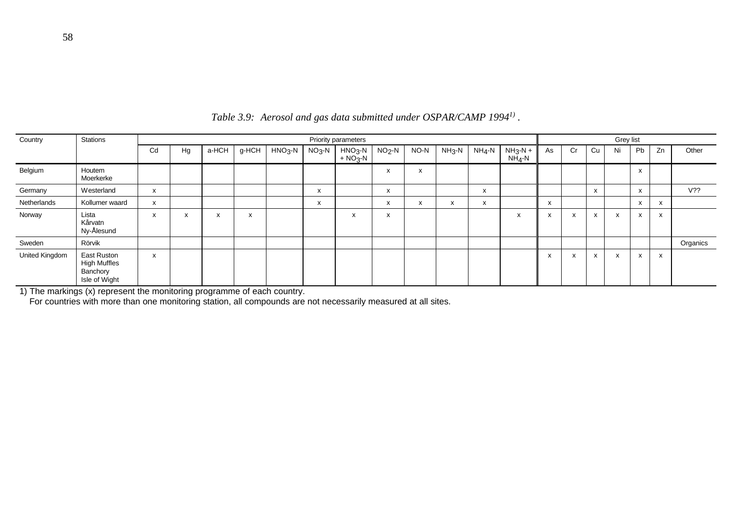| Country        | <b>Stations</b>                                                 |    |    |       |       |          |                           | <b>Priority parameters</b> |         |                                       |           |          |                       | Grey list |    |                           |    |              |              |          |
|----------------|-----------------------------------------------------------------|----|----|-------|-------|----------|---------------------------|----------------------------|---------|---------------------------------------|-----------|----------|-----------------------|-----------|----|---------------------------|----|--------------|--------------|----------|
|                |                                                                 | Cd | Hg | a-HCH | q-HCH | $HNO3-N$ | $NO3 - N$                 | $HNO3-N$<br>$+ NO3 - N$    | $NO2-N$ | NO-N                                  | $NH3 - N$ | $NH_4-N$ | $NH_3-N +$<br>$NH4-N$ | As        | Cr | Cu                        | Ni | Pb           | Zn           | Other    |
| Belgium        | Houtem<br>Moerkerke                                             |    |    |       |       |          |                           |                            | X       | x                                     |           |          |                       |           |    |                           |    | $\mathsf{x}$ |              |          |
| Germany        | Westerland                                                      | x  |    |       |       |          | X                         |                            | x       |                                       |           | x        |                       |           |    | $\mathsf{x}$              |    | X            |              | V??      |
| Netherlands    | Kollumer waard                                                  | x  |    |       |       |          | $\boldsymbol{\mathsf{x}}$ |                            | x       | $\overline{\phantom{a}}$<br>$\lambda$ | v<br>ᄉ    | X        |                       | x         |    |                           |    | x            | $\mathsf{x}$ |          |
| Norway         | Lista<br>Kårvatn<br>Ny-Ålesund                                  | x  | X  | ᄉ     | x     |          |                           | $\mathsf{x}$               | x       |                                       |           |          | x                     | x         | x  | $\mathsf{x}$              | X  | $\mathsf{x}$ | X            |          |
| Sweden         | Rörvik                                                          |    |    |       |       |          |                           |                            |         |                                       |           |          |                       |           |    |                           |    |              |              | Organics |
| United Kingdom | East Ruston<br><b>High Muffles</b><br>Banchory<br>Isle of Wight | X  |    |       |       |          |                           |                            |         |                                       |           |          |                       | x         | x. | $\boldsymbol{\mathsf{x}}$ | x  | X            | X            |          |

*Table 3.9: Aerosol and gas data submitted under OSPAR/CAMP 19941) .*

1) The markings (x) represent the monitoring programme of each country.

For countries with more than one monitoring station, all compounds are not necessarily measured at all sites.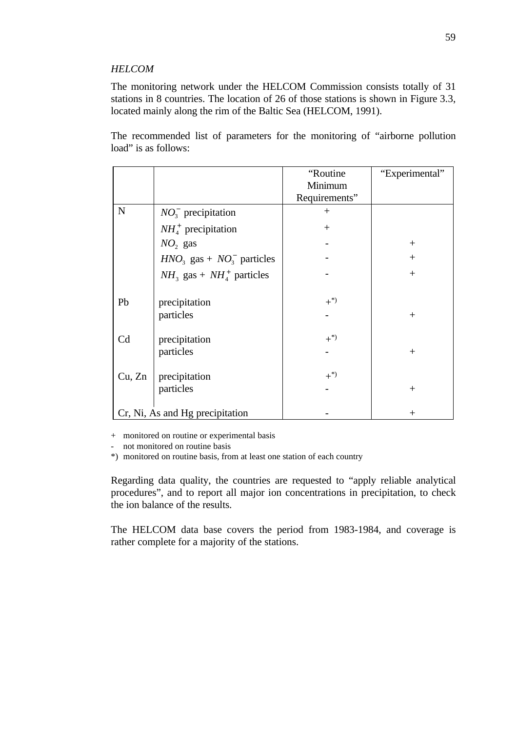#### *HELCOM*

The monitoring network under the HELCOM Commission consists totally of 31 stations in 8 countries. The location of 26 of those stations is shown in Figure 3.3, located mainly along the rim of the Baltic Sea (HELCOM, 1991).

The recommended list of parameters for the monitoring of "airborne pollution load" is as follows:

|             |                                 | "Routine      | "Experimental" |
|-------------|---------------------------------|---------------|----------------|
|             |                                 | Minimum       |                |
|             |                                 | Requirements" |                |
| $\mathbf N$ | $NO_3^-$ precipitation          | $^{+}$        |                |
|             | $NH4+$ precipitation            | $^{+}$        |                |
|             | $NO2$ gas                       |               | $^{+}$         |
|             | $HNO3$ gas + $NO3$ particles    |               | $+$            |
|             | $NH_3$ gas + $NH_4^+$ particles |               | $+$            |
| Pb          | precipitation                   | $+^{*)}$      |                |
|             | particles                       |               | $^{+}$         |
| Cd          | precipitation                   | $+^{*)}$      |                |
|             | particles                       |               | $^{+}$         |
| Cu, Zn      | precipitation                   | $+^{*)}$      |                |
|             | particles                       |               | $^{+}$         |
|             | Cr, Ni, As and Hg precipitation |               | $^+$           |

+ monitored on routine or experimental basis

- not monitored on routine basis

\*) monitored on routine basis, from at least one station of each country

Regarding data quality, the countries are requested to "apply reliable analytical procedures", and to report all major ion concentrations in precipitation, to check the ion balance of the results.

The HELCOM data base covers the period from 1983-1984, and coverage is rather complete for a majority of the stations.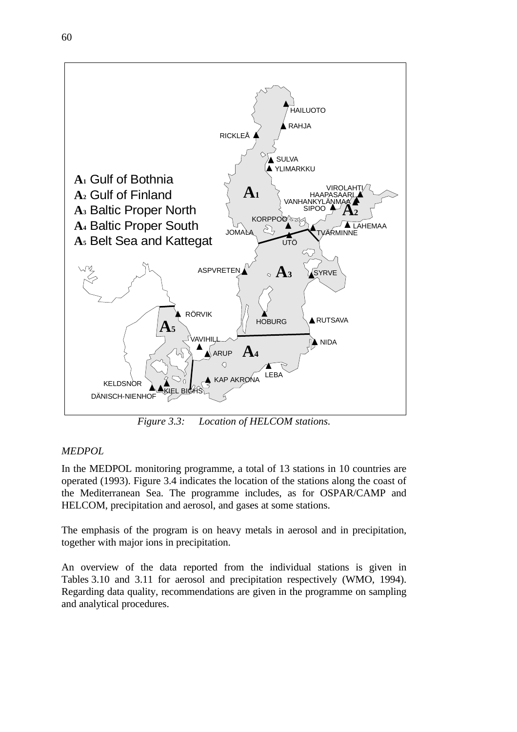

*Figure 3.3: Location of HELCOM stations.*

# *MEDPOL*

In the MEDPOL monitoring programme, a total of 13 stations in 10 countries are operated (1993). Figure 3.4 indicates the location of the stations along the coast of the Mediterranean Sea. The programme includes, as for OSPAR/CAMP and HELCOM, precipitation and aerosol, and gases at some stations.

The emphasis of the program is on heavy metals in aerosol and in precipitation, together with major ions in precipitation.

An overview of the data reported from the individual stations is given in Tables 3.10 and 3.11 for aerosol and precipitation respectively (WMO, 1994). Regarding data quality, recommendations are given in the programme on sampling and analytical procedures.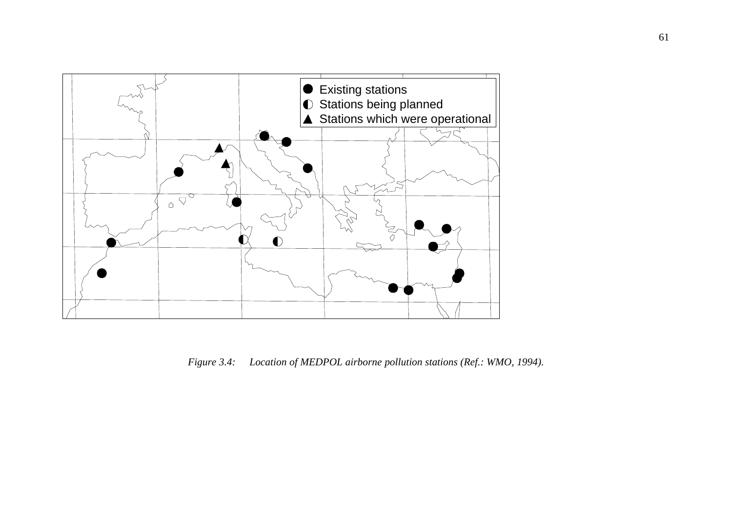

*Figure 3.4: Location of MEDPOL airborne pollution stations (Ref.: WMO, 1994).*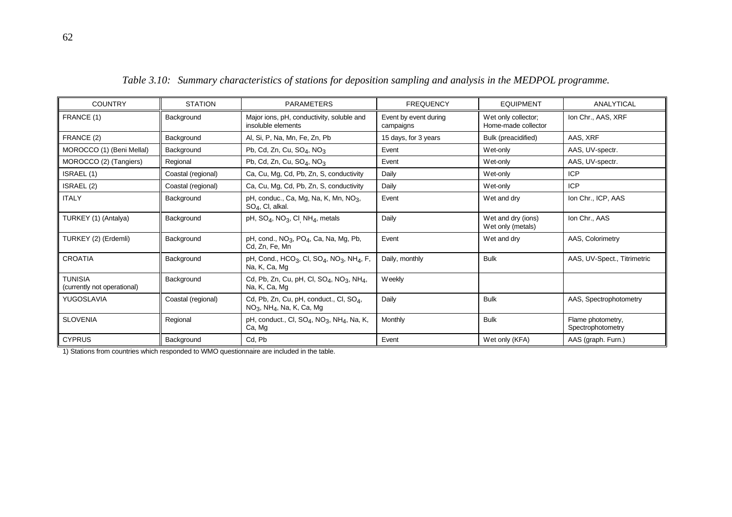| <b>COUNTRY</b>                                | <b>STATION</b>     | <b>PARAMETERS</b>                                                                                           | <b>FREQUENCY</b>                   | <b>EQUIPMENT</b>                           | ANALYTICAL                             |
|-----------------------------------------------|--------------------|-------------------------------------------------------------------------------------------------------------|------------------------------------|--------------------------------------------|----------------------------------------|
| FRANCE (1)                                    | Background         | Major ions, pH, conductivity, soluble and<br>insoluble elements                                             | Event by event during<br>campaigns | Wet only collector;<br>Home-made collector | Ion Chr., AAS, XRF                     |
| FRANCE (2)                                    | Background         | Al, Si, P, Na, Mn, Fe, Zn, Pb                                                                               | 15 days, for 3 years               | Bulk (preacidified)                        | AAS, XRF                               |
| MOROCCO (1) (Beni Mellal)                     | Background         | Pb, Cd, Zn, Cu, $SO4$ , NO <sub>3</sub>                                                                     | Event                              | Wet-only                                   | AAS, UV-spectr.                        |
| MOROCCO (2) (Tangiers)                        | Regional           | Pb, Cd, Zn, Cu, $SO_4$ , NO <sub>3</sub>                                                                    | Event                              | Wet-only                                   | AAS, UV-spectr.                        |
| ISRAEL (1)                                    | Coastal (regional) | Ca, Cu, Mg, Cd, Pb, Zn, S, conductivity                                                                     | Daily                              | Wet-only                                   | <b>ICP</b>                             |
| ISRAEL (2)                                    | Coastal (regional) | Ca, Cu, Mg, Cd, Pb, Zn, S, conductivity                                                                     | Daily                              | Wet-only                                   | <b>ICP</b>                             |
| <b>ITALY</b>                                  | Background         | pH, conduc., Ca, Mg, Na, K, Mn, $NO3$ ,<br>$SO_4$ , CI, alkal.                                              | Event                              | Wet and drv                                | Ion Chr., ICP, AAS                     |
| TURKEY (1) (Antalya)                          | Background         | pH, $SO_4$ , NO <sub>3</sub> , CI NH <sub>4</sub> , metals                                                  | Daily                              | Wet and dry (ions)<br>Wet only (metals)    | Ion Chr., AAS                          |
| TURKEY (2) (Erdemli)                          | Background         | pH, cond., $NO3$ , $PO4$ , Ca, Na, Mg, Pb,<br>Cd, Zn, Fe, Mn                                                | Event                              | Wet and dry                                | AAS, Colorimetry                       |
| <b>CROATIA</b>                                | Background         | pH, Cond., HCO <sub>3</sub> , Cl, SO <sub>4</sub> , NO <sub>3</sub> , NH <sub>4</sub> , F,<br>Na, K, Ca, Mg | Daily, monthly                     | <b>Bulk</b>                                | AAS, UV-Spect., Titrimetric            |
| <b>TUNISIA</b><br>(currently not operational) | Background         | Cd, Pb, Zn, Cu, pH, Cl, $SO_4$ , NO <sub>3</sub> , NH <sub>4</sub> ,<br>Na, K, Ca, Mg                       | Weekly                             |                                            |                                        |
| YUGOSLAVIA                                    | Coastal (regional) | Cd, Pb, Zn, Cu, pH, conduct., Cl, $SO_4$ ,<br>$NO3$ , NH <sub>4</sub> , Na, K, Ca, Mg                       | Daily                              | <b>Bulk</b>                                | AAS, Spectrophotometry                 |
| <b>SLOVENIA</b>                               | Regional           | pH, conduct., CI, $SO_4$ , NO <sub>3</sub> , NH <sub>4</sub> , Na, K,<br>Ca, Mg                             | Monthly                            | <b>Bulk</b>                                | Flame photometry,<br>Spectrophotometry |
| <b>CYPRUS</b>                                 | Background         | Cd, Pb                                                                                                      | Event                              | Wet only (KFA)                             | AAS (graph. Furn.)                     |

*Table 3.10: Summary characteristics of stations for deposition sampling and analysis in the MEDPOL programme.*

1) Stations from countries which responded to WMO questionnaire are included in the table.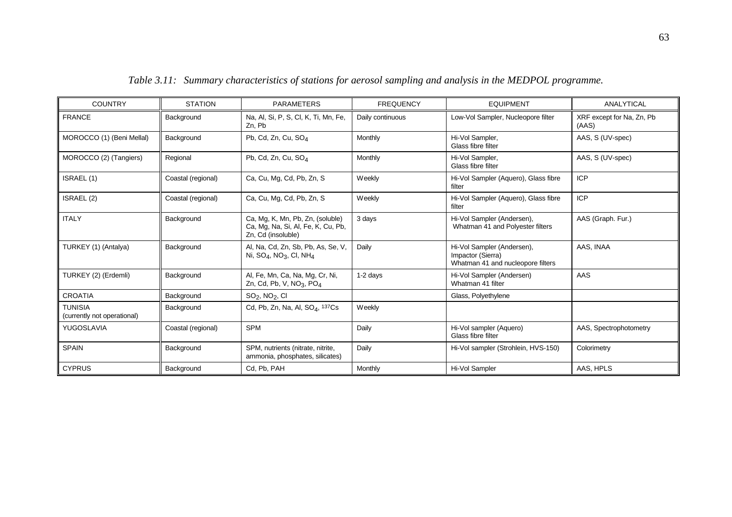| <b>COUNTRY</b>                                | <b>STATION</b>     | <b>PARAMETERS</b>                                                                            | <b>FREQUENCY</b> | <b>EQUIPMENT</b>                                                                     | ANALYTICAL                         |
|-----------------------------------------------|--------------------|----------------------------------------------------------------------------------------------|------------------|--------------------------------------------------------------------------------------|------------------------------------|
| <b>FRANCE</b>                                 | Background         | Na, Al, Si, P, S, Cl, K, Ti, Mn, Fe,<br>Zn, Pb                                               | Daily continuous | Low-Vol Sampler, Nucleopore filter                                                   | XRF except for Na, Zn, Pb<br>(AAS) |
| MOROCCO (1) (Beni Mellal)                     | Background         | Pb, Cd, Zn, Cu, SO <sub>4</sub>                                                              | Monthly          | Hi-Vol Sampler,<br>Glass fibre filter                                                | AAS, S (UV-spec)                   |
| MOROCCO (2) (Tangiers)                        | Regional           | Pb, Cd, Zn, Cu, SO <sub>4</sub>                                                              | Monthly          | Hi-Vol Sampler,<br>Glass fibre filter                                                | AAS, S (UV-spec)                   |
| ISRAEL (1)                                    | Coastal (regional) | Ca, Cu, Mg, Cd, Pb, Zn, S                                                                    | Weekly           | Hi-Vol Sampler (Aquero), Glass fibre<br>filter                                       | <b>ICP</b>                         |
| ISRAEL (2)                                    | Coastal (regional) | Ca, Cu, Mg, Cd, Pb, Zn, S                                                                    | Weekly           | Hi-Vol Sampler (Aquero), Glass fibre<br>filter                                       | <b>ICP</b>                         |
| <b>ITALY</b>                                  | Background         | Ca, Mg, K, Mn, Pb, Zn, (soluble)<br>Ca, Mg, Na, Si, Al, Fe, K, Cu, Pb,<br>Zn, Cd (insoluble) | 3 days           | Hi-Vol Sampler (Andersen),<br>Whatman 41 and Polyester filters                       | AAS (Graph. Fur.)                  |
| TURKEY (1) (Antalya)                          | Background         | Al, Na, Cd, Zn, Sb, Pb, As, Se, V,<br>Ni, $SO_4$ , NO <sub>3</sub> , CI, NH <sub>4</sub>     | Daily            | Hi-Vol Sampler (Andersen),<br>Impactor (Sierra)<br>Whatman 41 and nucleopore filters | AAS, INAA                          |
| TURKEY (2) (Erdemli)                          | Background         | Al, Fe, Mn, Ca, Na, Mg, Cr, Ni,<br>Zn, Cd, Pb, V, $NO3$ , PO <sub>4</sub>                    | 1-2 days         | Hi-Vol Sampler (Andersen)<br>Whatman 41 filter                                       | AAS                                |
| <b>CROATIA</b>                                | Background         | $SO2$ , NO <sub>2</sub> , CI                                                                 |                  | Glass, Polyethylene                                                                  |                                    |
| <b>TUNISIA</b><br>(currently not operational) | Background         | Cd, Pb, Zn, Na, Al, $SOA$ , 137Cs                                                            | Weekly           |                                                                                      |                                    |
| YUGOSLAVIA                                    | Coastal (regional) | <b>SPM</b>                                                                                   | Daily            | Hi-Vol sampler (Aquero)<br>Glass fibre filter                                        | AAS, Spectrophotometry             |
| <b>SPAIN</b>                                  | Background         | SPM, nutrients (nitrate, nitrite,<br>ammonia, phosphates, silicates)                         | Daily            | Hi-Vol sampler (Strohlein, HVS-150)                                                  | Colorimetry                        |
| <b>CYPRUS</b>                                 | Background         | Cd, Pb, PAH                                                                                  | Monthly          | Hi-Vol Sampler                                                                       | AAS, HPLS                          |

*Table 3.11: Summary characteristics of stations for aerosol sampling and analysis in the MEDPOL programme.*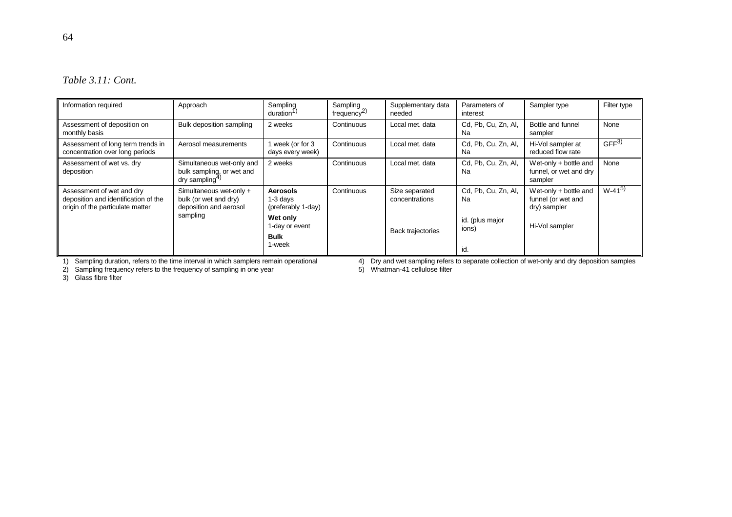| Table 3.11: Cont. |  |  |
|-------------------|--|--|
|-------------------|--|--|

| Information required                                                                                  | Approach                                                                             | Sampling<br>duration <sup>1</sup>                   | Sampling<br>frequency <sup>2)</sup> | Supplementary data<br>needed     | Parameters of<br>interest | Sampler type                                                  | Filter type      |
|-------------------------------------------------------------------------------------------------------|--------------------------------------------------------------------------------------|-----------------------------------------------------|-------------------------------------|----------------------------------|---------------------------|---------------------------------------------------------------|------------------|
| Assessment of deposition on<br>monthly basis                                                          | Bulk deposition sampling                                                             | 2 weeks                                             | Continuous                          | Local met. data                  | Cd, Pb, Cu, Zn, Al,<br>Na | Bottle and funnel<br>sampler                                  | None             |
| Assessment of long term trends in<br>concentration over long periods                                  | Aerosol measurements                                                                 | week (or for 3<br>days every week)                  | Continuous                          | Local met. data                  | Cd, Pb, Cu, Zn, Al,<br>Na | Hi-Vol sampler at<br>reduced flow rate                        | GFF <sup>3</sup> |
| Assessment of wet vs. dry<br>deposition                                                               | Simultaneous wet-only and<br>bulk sampling, or wet and<br>dry sampling <sup>4)</sup> | 2 weeks                                             | Continuous                          | Local met. data                  | Cd, Pb, Cu, Zn, Al,<br>Na | Wet-only + bottle and<br>funnel, or wet and dry<br>sampler    | None             |
| Assessment of wet and dry<br>deposition and identification of the<br>origin of the particulate matter | Simultaneous wet-only +<br>bulk (or wet and dry)<br>deposition and aerosol           | <b>Aerosols</b><br>$1-3$ days<br>(preferably 1-day) | Continuous                          | Size separated<br>concentrations | Cd, Pb, Cu, Zn, Al,<br>Na | Wet-only $+$ bottle and<br>funnel (or wet and<br>dry) sampler | $W-41^{5}$       |
|                                                                                                       | sampling                                                                             | Wet only<br>1-day or event                          |                                     | <b>Back trajectories</b>         | id. (plus major<br>ions)  | Hi-Vol sampler                                                |                  |
|                                                                                                       |                                                                                      | <b>Bulk</b><br>1-week                               |                                     |                                  | id.                       |                                                               |                  |

1) Sampling duration, refers to the time interval in which samplers remain operational 4) Dry and wet sampling refers to separate collection of wet-only and dry deposition samples

2) Sampling frequency refers to the frequency of sampling in one year 5 (5) Whatman-41 cellulose filter

3) Glass fibre filter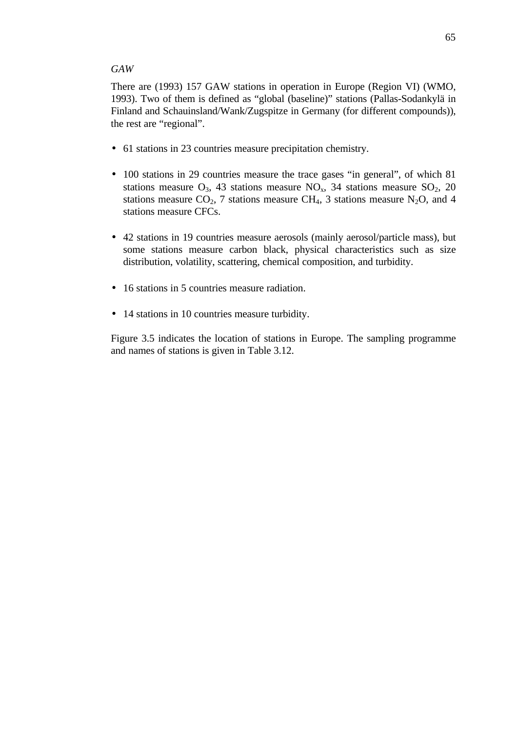#### *GAW*

There are (1993) 157 GAW stations in operation in Europe (Region VI) (WMO, 1993). Two of them is defined as "global (baseline)" stations (Pallas-Sodankylä in Finland and Schauinsland/Wank/Zugspitze in Germany (for different compounds)), the rest are "regional".

- 61 stations in 23 countries measure precipitation chemistry.
- 100 stations in 29 countries measure the trace gases "in general", of which 81 stations measure  $O_3$ , 43 stations measure  $NO_x$ , 34 stations measure  $SO_2$ , 20 stations measure  $CO_2$ , 7 stations measure CH<sub>4</sub>, 3 stations measure N<sub>2</sub>O, and 4 stations measure CFCs.
- 42 stations in 19 countries measure aerosols (mainly aerosol/particle mass), but some stations measure carbon black, physical characteristics such as size distribution, volatility, scattering, chemical composition, and turbidity.
- 16 stations in 5 countries measure radiation.
- 14 stations in 10 countries measure turbidity.

Figure 3.5 indicates the location of stations in Europe. The sampling programme and names of stations is given in Table 3.12.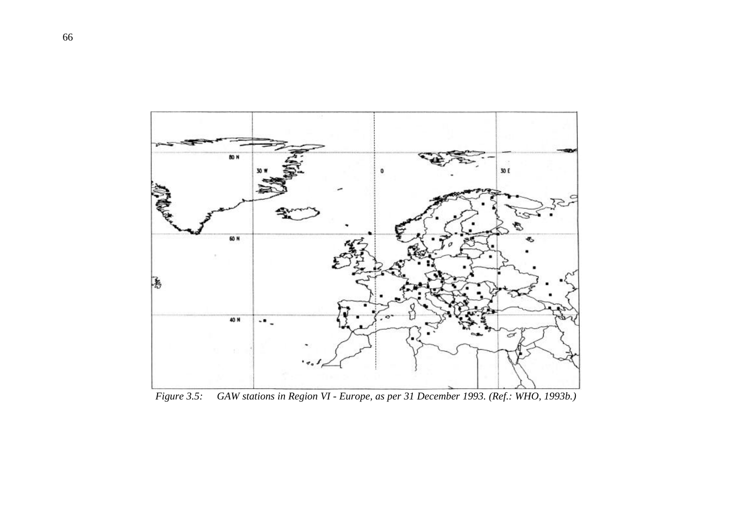

*Figure 3.5: GAW stations in Region VI - Europe, as per 31 December 1993. (Ref.: WHO, 1993b.)*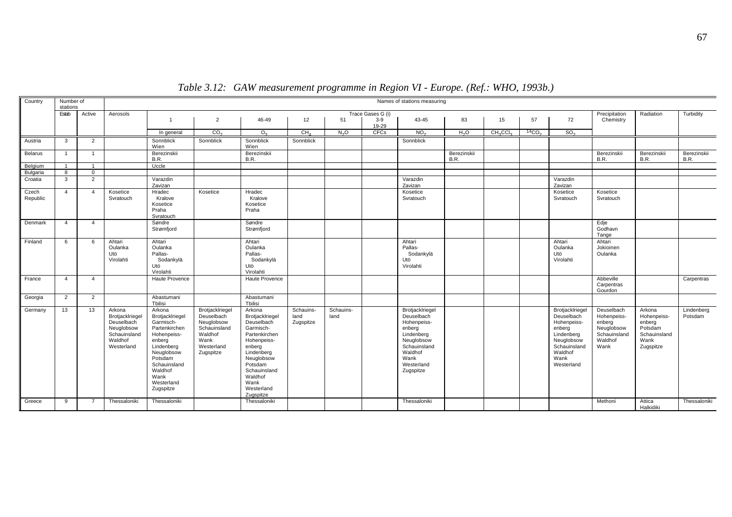| Country           | Number of<br>stations |                | Names of stations measuring                                                                    |                                                                                                                                                                                       |                                                                                                           |                                                                                                                                                                                                     |                                |                   |                   |                                                                                                                                                  |                            |                                  |                              |                                                                                                                                     |                                                                                      |                                                                                 |                       |
|-------------------|-----------------------|----------------|------------------------------------------------------------------------------------------------|---------------------------------------------------------------------------------------------------------------------------------------------------------------------------------------|-----------------------------------------------------------------------------------------------------------|-----------------------------------------------------------------------------------------------------------------------------------------------------------------------------------------------------|--------------------------------|-------------------|-------------------|--------------------------------------------------------------------------------------------------------------------------------------------------|----------------------------|----------------------------------|------------------------------|-------------------------------------------------------------------------------------------------------------------------------------|--------------------------------------------------------------------------------------|---------------------------------------------------------------------------------|-----------------------|
|                   | Estab                 | Active         | Aerosols                                                                                       |                                                                                                                                                                                       |                                                                                                           |                                                                                                                                                                                                     |                                |                   | Trace Gases G (i) |                                                                                                                                                  |                            |                                  |                              |                                                                                                                                     | Precipitation                                                                        | Radiation                                                                       | Turbidity             |
|                   |                       |                |                                                                                                | $\overline{1}$                                                                                                                                                                        | $\overline{2}$                                                                                            | 46-49                                                                                                                                                                                               | 12                             | 51                | $3 - 9$<br>19-29  | 43-45                                                                                                                                            | 83                         | 15                               | 57                           | 72                                                                                                                                  | Chemistry                                                                            |                                                                                 |                       |
|                   |                       |                |                                                                                                | In general                                                                                                                                                                            | CO <sub>2</sub>                                                                                           | O <sub>2</sub>                                                                                                                                                                                      | CH <sub>A</sub>                | N <sub>2</sub> O  | <b>CFCs</b>       | NO <sub>2</sub>                                                                                                                                  | H <sub>2</sub> O           | CH <sub>3</sub> CCI <sub>3</sub> | 14 <sub>CO<sub>2</sub></sub> | SO <sub>2</sub>                                                                                                                     |                                                                                      |                                                                                 |                       |
| Austria           | $\mathbf{3}$          | 2              |                                                                                                | Sonnblick<br>Wien                                                                                                                                                                     | Sonnblick                                                                                                 | Sonnblick<br>Wien                                                                                                                                                                                   | Sonnblick                      |                   |                   | Sonnblick                                                                                                                                        |                            |                                  |                              |                                                                                                                                     |                                                                                      |                                                                                 |                       |
| Belarus           |                       |                |                                                                                                | Berezinskii<br>B.R.                                                                                                                                                                   |                                                                                                           | Berezinskii<br>B.R.                                                                                                                                                                                 |                                |                   |                   |                                                                                                                                                  | Berezinskii<br><b>B.R.</b> |                                  |                              |                                                                                                                                     | Berezinskii<br>B.R.                                                                  | Berezinskii<br><b>B.R.</b>                                                      | Berezinskii<br>B.R.   |
| Belgium           |                       | $\overline{1}$ |                                                                                                | Uccle                                                                                                                                                                                 |                                                                                                           |                                                                                                                                                                                                     |                                |                   |                   |                                                                                                                                                  |                            |                                  |                              |                                                                                                                                     |                                                                                      |                                                                                 |                       |
| Bulgaria          | 8                     | $\Omega$       |                                                                                                |                                                                                                                                                                                       |                                                                                                           |                                                                                                                                                                                                     |                                |                   |                   |                                                                                                                                                  |                            |                                  |                              |                                                                                                                                     |                                                                                      |                                                                                 |                       |
| Croatia           | $\mathbf{3}$          | 2              |                                                                                                | Varazdin<br>Zavizan                                                                                                                                                                   |                                                                                                           |                                                                                                                                                                                                     |                                |                   |                   | Varazdin<br>Zavizan                                                                                                                              |                            |                                  |                              | Varazdin<br>Zavizan                                                                                                                 |                                                                                      |                                                                                 |                       |
| Czech<br>Republic | $\overline{4}$        | $\overline{4}$ | Kosetice<br>Svratouch                                                                          | Hradec<br>Kralove<br>Kosetice<br>Praha<br>Svratouch                                                                                                                                   | Kosetice                                                                                                  | Hradec<br>Kralove<br>Kosetice<br>Praha                                                                                                                                                              |                                |                   |                   | Kosetice<br>Svratouch                                                                                                                            |                            |                                  |                              | Kosetice<br>Svratouch                                                                                                               | Kosetice<br>Svratouch                                                                |                                                                                 |                       |
| Denmark           | $\Delta$              | $\overline{4}$ |                                                                                                | Søndre<br>Strømfjord                                                                                                                                                                  |                                                                                                           | Søndre<br>Strømfjord                                                                                                                                                                                |                                |                   |                   |                                                                                                                                                  |                            |                                  |                              |                                                                                                                                     | Edje<br>Godhavn<br>Tange                                                             |                                                                                 |                       |
| Finland           | 6                     | -6             | Ahtari<br>Oulanka<br>Utö<br>Virolahti                                                          | Ahtari<br>Oulanka<br>Pallas-<br>Sodankylä<br>Utö<br>Virolahti                                                                                                                         |                                                                                                           | Ahtari<br>Oulanka<br>Pallas-<br>Sodankylä<br>Utö<br>Virolahti                                                                                                                                       |                                |                   |                   | Ahtari<br>Pallas-<br>Sodankylä<br>Utö<br>Virolahti                                                                                               |                            |                                  |                              | Ahtari<br>Oulanka<br>Utö<br>Virolahti                                                                                               | Ahtari<br>Jokioinen<br>Oulanka                                                       |                                                                                 |                       |
| France            | $\overline{4}$        | $\overline{4}$ |                                                                                                | Haute Provence                                                                                                                                                                        |                                                                                                           | Haute Provence                                                                                                                                                                                      |                                |                   |                   |                                                                                                                                                  |                            |                                  |                              |                                                                                                                                     | Abbeville<br>Carpentras<br>Gourdon                                                   |                                                                                 | Carpentras            |
| Georgia           | $\overline{2}$        | $\overline{2}$ |                                                                                                | Abastumani<br>Tbilisi                                                                                                                                                                 |                                                                                                           | Abastumani<br>Tbilisi                                                                                                                                                                               |                                |                   |                   |                                                                                                                                                  |                            |                                  |                              |                                                                                                                                     |                                                                                      |                                                                                 |                       |
| Germany           | 13                    | 13             | Arkona<br>Brotjacklriegel<br>Deuselbach<br>Neuglobsow<br>Schauinsland<br>Waldhof<br>Westerland | Arkona<br>Brotjacklriegel<br>Garmisch-<br>Partenkirchen<br>Hohenpeiss-<br>enberg<br>Lindenberg<br>Neuglobsow<br>Potsdam<br>Schauinsland<br>Waldhof<br>Wank<br>Westerland<br>Zugspitze | Brotjacklriegel<br>Deuselbach<br>Neuglobsow<br>Schauinsland<br>Waldhof<br>Wank<br>Westerland<br>Zugspitze | Arkona<br>Brotjacklriegel<br>Deuselbach<br>Garmisch-<br>Partenkirchen<br>Hohenpeiss-<br>enberg<br>Lindenberg<br>Neuglobsow<br>Potsdam<br>Schauinsland<br>Waldhof<br>Wank<br>Westerland<br>Zugspitze | Schauins-<br>land<br>Zugspitze | Schauins-<br>land |                   | Brotjacklriegel<br>Deuselbach<br>Hohenpeiss-<br>enberg<br>Lindenberg<br>Neuglobsow<br>Schauinsland<br>Waldhof<br>Wank<br>Westerland<br>Zugspitze |                            |                                  |                              | Brotjacklriegel<br>Deuselbach<br>Hohenpeiss-<br>enberg<br>Lindenberg<br>Neuglobsow<br>Schauinsland<br>Waldhof<br>Wank<br>Westerland | Deuselbach<br>Hohenpeiss-<br>enberg<br>Neuglobsow<br>Schauinsland<br>Waldhof<br>Wank | Arkona<br>Hohenpeiss-<br>enberg<br>Potsdam<br>Schauinsland<br>Wank<br>Zugspitze | Lindenberg<br>Potsdam |
| Greece            | 9                     | $\overline{7}$ | Thessaloniki                                                                                   | Thessaloniki                                                                                                                                                                          |                                                                                                           | Thessaloniki                                                                                                                                                                                        |                                |                   |                   | Thessaloniki                                                                                                                                     |                            |                                  |                              |                                                                                                                                     | Methoni                                                                              | Attica<br>Halkidiki                                                             | Thessaloniki          |

*Table 3.12: GAW measurement programme in Region VI - Europe. (Ref.: WHO, 1993b.)*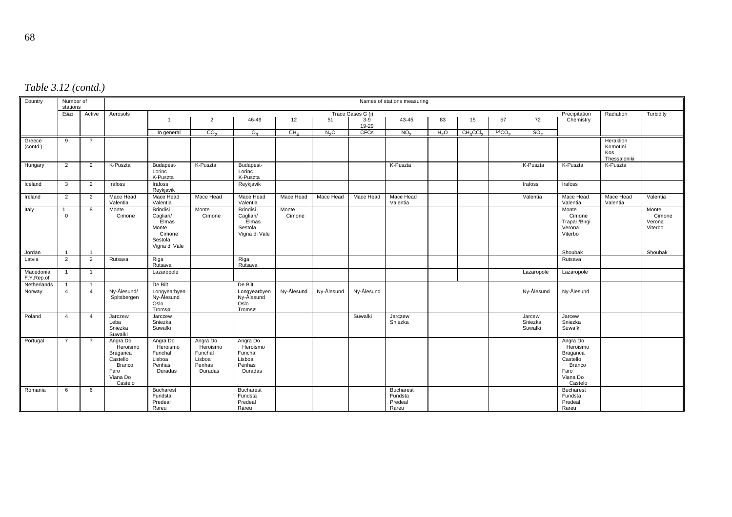| Table 3.12 (contd.) |  |
|---------------------|--|
|---------------------|--|

| Country                 | Number of<br>stations   |                |                                                                                              | Names of stations measuring                                                          |                                                                |                                                                   |                 |                  |                |                                                 |                  |                                  |              |                              |                                                                                       |                                              |                                      |
|-------------------------|-------------------------|----------------|----------------------------------------------------------------------------------------------|--------------------------------------------------------------------------------------|----------------------------------------------------------------|-------------------------------------------------------------------|-----------------|------------------|----------------|-------------------------------------------------|------------------|----------------------------------|--------------|------------------------------|---------------------------------------------------------------------------------------|----------------------------------------------|--------------------------------------|
|                         | Estab                   | Active         | Aerosols                                                                                     | Trace Gases G (i)                                                                    |                                                                |                                                                   |                 |                  |                |                                                 |                  |                                  |              |                              | Precipitation                                                                         | Radiation                                    | Turbidity                            |
|                         |                         |                |                                                                                              | $\mathbf{1}$                                                                         | $\overline{2}$                                                 | 46-49                                                             | 12              | 51               | $3-9$<br>19-29 | 43-45                                           | 83               | 15                               | 57           | 72                           | Chemistry                                                                             |                                              |                                      |
|                         |                         |                |                                                                                              | In general                                                                           | CO <sub>2</sub>                                                | O <sub>2</sub>                                                    | CH <sub>4</sub> | N <sub>2</sub> O | <b>CFCs</b>    | NO <sub>2</sub>                                 | H <sub>2</sub> O | CH <sub>3</sub> CCI <sub>3</sub> | ${}^{14}CO2$ | SO <sub>2</sub>              |                                                                                       |                                              |                                      |
| Greece<br>(contd.)      | 9                       | $\overline{7}$ |                                                                                              |                                                                                      |                                                                |                                                                   |                 |                  |                |                                                 |                  |                                  |              |                              |                                                                                       | Heraklion<br>Komotini<br>Kos<br>Thessaloniki |                                      |
| Hungary                 | 2                       | $\overline{2}$ | K-Puszta                                                                                     | Budapest-<br>Lorinc<br>K-Puszta                                                      | K-Puszta                                                       | Budapest-<br>Lorinc<br>K-Puszta                                   |                 |                  |                | K-Puszta                                        |                  |                                  |              | K-Puszta                     | K-Puszta                                                                              | K-Puszta                                     |                                      |
| Iceland                 | 3                       | 2              | Irafoss                                                                                      | Irafoss<br>Reykjavik                                                                 |                                                                | Reykjavik                                                         |                 |                  |                |                                                 |                  |                                  |              | Irafoss                      | Irafoss                                                                               |                                              |                                      |
| Ireland                 | $\overline{2}$          | $\overline{2}$ | Mace Head<br>Valentia                                                                        | Mace Head<br>Valentia                                                                | Mace Head                                                      | Mace Head<br>Valentia                                             | Mace Head       | Mace Head        | Mace Head      | Mace Head<br>Valentia                           |                  |                                  |              | Valentia                     | Mace Head<br>Valentia                                                                 | Mace Head<br>Valentia                        | Valentia                             |
| Italy                   | $\Omega$                | 8              | Monte<br>Cimone                                                                              | <b>Brindisi</b><br>Cagliari/<br>Elmas<br>Monte<br>Cimone<br>Sestola<br>Vigna di Vale | Monte<br>Cimone                                                | <b>Brindisi</b><br>Cagliari/<br>Elmas<br>Sestola<br>Vigna di Vale | Monte<br>Cimone |                  |                |                                                 |                  |                                  |              |                              | Monte<br>Cimone<br>Trapari/Birgi<br>Verona<br>Viterbo                                 |                                              | Monte<br>Cimone<br>Verona<br>Viterbo |
| Jordan                  | $\overline{\mathbf{1}}$ | $\overline{1}$ |                                                                                              |                                                                                      |                                                                |                                                                   |                 |                  |                |                                                 |                  |                                  |              |                              | Shoubak                                                                               |                                              | Shoubak                              |
| Latvia                  | $\overline{2}$          | 2              | Rutsava                                                                                      | Riga<br>Rutsava                                                                      |                                                                | Riga<br>Rutsava                                                   |                 |                  |                |                                                 |                  |                                  |              |                              | Rutsava                                                                               |                                              |                                      |
| Macedonia<br>F.Y.Rep.of | $\overline{1}$          | $\mathbf{1}$   |                                                                                              | Lazaropole                                                                           |                                                                |                                                                   |                 |                  |                |                                                 |                  |                                  |              | Lazaropole                   | Lazaropole                                                                            |                                              |                                      |
| Netherlands             |                         |                |                                                                                              | De Bilt                                                                              |                                                                | De Bilt                                                           |                 |                  |                |                                                 |                  |                                  |              |                              |                                                                                       |                                              |                                      |
| Norway                  | $\overline{4}$          | $\overline{4}$ | Ny-Ålesund/<br>Spitsbergen                                                                   | Longyearbyen<br>Ny-Ålesund<br>Oslo<br>Tromsø                                         |                                                                | Longyearbyen<br>Ny-Alesund<br>Oslo<br>Tromsø                      | Ny-Ålesund      | Ny-Ålesund       | Ny-Ålesund     |                                                 |                  |                                  |              | Ny-Ålesund                   | Ny-Ålesund                                                                            |                                              |                                      |
| Poland                  | $\overline{4}$          | $\overline{4}$ | Jarczew<br>Leba<br>Sniezka<br>Suwalki                                                        | Jarczew<br>Sniezka<br>Suwalki                                                        |                                                                |                                                                   |                 |                  | Suwalki        | Jarczew<br>Sniezka                              |                  |                                  |              | Jarcew<br>Sniezka<br>Suwalki | Jarcew<br>Sniezka<br>Suwalki                                                          |                                              |                                      |
| Portugal                | $\overline{7}$          | $\overline{7}$ | Angra Do<br>Heroismo<br>Braganca<br>Castello<br><b>Branco</b><br>Faro<br>Viana Do<br>Castelo | Angra Do<br>Heroismo<br>Funchal<br>Lisboa<br>Penhas<br>Duradas                       | Angra Do<br>Heroismo<br>Funchal<br>Lisboa<br>Penhas<br>Duradas | Angra Do<br>Heroismo<br>Funchal<br>Lisboa<br>Penhas<br>Duradas    |                 |                  |                |                                                 |                  |                                  |              |                              | Angra Do<br>Heroismo<br>Braganca<br>Castello<br>Branco<br>Faro<br>Viana Do<br>Castelo |                                              |                                      |
| Romania                 | 6                       | 6              |                                                                                              | <b>Bucharest</b><br>Fundsta<br>Predeal<br>Rareu                                      |                                                                | <b>Bucharest</b><br>Fundsta<br>Predeal<br>Rareu                   |                 |                  |                | <b>Bucharest</b><br>Fundsta<br>Predeal<br>Rareu |                  |                                  |              |                              | <b>Bucharest</b><br>Fundsta<br>Predeal<br>Rareu                                       |                                              |                                      |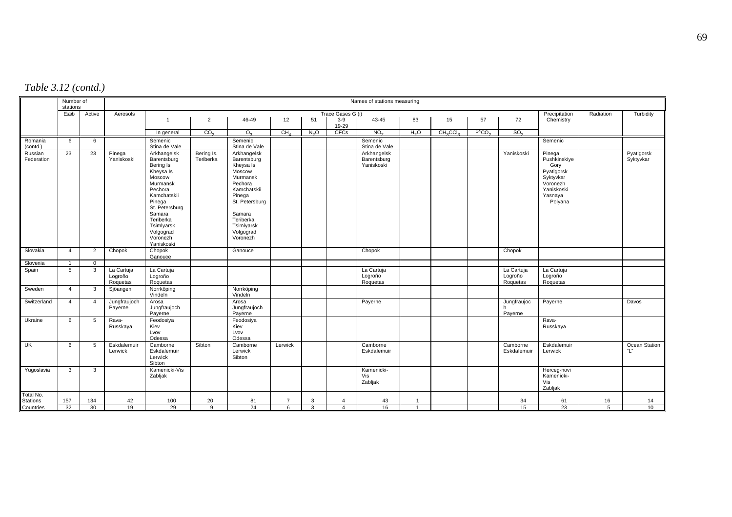| Table 3.12 (contd.) |  |
|---------------------|--|
|---------------------|--|

|                       | Number of<br>stations |                |                                   |                                                                                                                                                                                                              |                         |                                                                                                                                                                                   |                 |                  |                         | Names of stations measuring              |                  |                                  |                   |                                   |                                                                                                           |           |                         |
|-----------------------|-----------------------|----------------|-----------------------------------|--------------------------------------------------------------------------------------------------------------------------------------------------------------------------------------------------------------|-------------------------|-----------------------------------------------------------------------------------------------------------------------------------------------------------------------------------|-----------------|------------------|-------------------------|------------------------------------------|------------------|----------------------------------|-------------------|-----------------------------------|-----------------------------------------------------------------------------------------------------------|-----------|-------------------------|
|                       | Estab                 | Active         | Aerosols                          |                                                                                                                                                                                                              |                         |                                                                                                                                                                                   |                 |                  | Trace Gases G (i)       |                                          |                  |                                  |                   |                                   | Precipitation                                                                                             | Radiation | Turbidity               |
|                       |                       |                |                                   | $\mathbf{1}$                                                                                                                                                                                                 | $\overline{2}$          | 46-49                                                                                                                                                                             | 12              | 51               | $3-9$<br>19-29          | 43-45                                    | 83               | 15                               | 57                | 72                                | Chemistry                                                                                                 |           |                         |
|                       |                       |                |                                   | In general                                                                                                                                                                                                   | CO <sub>2</sub>         | O <sub>2</sub>                                                                                                                                                                    | CH <sub>A</sub> | N <sub>2</sub> O | <b>CFCs</b>             | NO <sub>2</sub>                          | H <sub>2</sub> O | CH <sub>3</sub> CCI <sub>3</sub> | 14CO <sub>2</sub> | SO <sub>2</sub>                   |                                                                                                           |           |                         |
| Romania<br>(contd.)   | 6                     | 6              |                                   | Semenic<br>Stina de Vale                                                                                                                                                                                     |                         | Semenic<br>Stina de Vale                                                                                                                                                          |                 |                  |                         | Semenic<br>Stina de Vale                 |                  |                                  |                   |                                   | Semenic                                                                                                   |           |                         |
| Russian<br>Federation | 23                    | 23             | Pinega<br>Yaniskoski              | Arkhangelsk<br>Barentsburg<br>Bering Is<br>Kheysa Is<br>Moscow<br>Murmansk<br>Pechora<br>Kamchatskii<br>Pinega<br>St. Petersburg<br>Samara<br>Teriberka<br>Tsimlyarsk<br>Volgograd<br>Voronezh<br>Yaniskoski | Bering Is.<br>Teriberka | Arkhangelsk<br>Barentsburg<br>Kheysa Is<br>Moscow<br>Murmansk<br>Pechora<br>Kamchatskii<br>Pinega<br>St. Petersburg<br>Samara<br>Teriberka<br>Tsimlyarsk<br>Volgograd<br>Voronezh |                 |                  |                         | Arkhangelsk<br>Barentsburg<br>Yaniskoski |                  |                                  |                   | Yaniskoski                        | Pinega<br>Pushkinskiye<br>Gory<br>Pyatigorsk<br>Syktyvkar<br>Voronezh<br>Yaniskoski<br>Yasnaya<br>Polyana |           | Pyatigorsk<br>Syktyvkar |
| Slovakia              | $\overline{4}$        | $\overline{2}$ | Chopok                            | Chopok<br>Ganouce                                                                                                                                                                                            |                         | Ganouce                                                                                                                                                                           |                 |                  |                         | Chopok                                   |                  |                                  |                   | Chopok                            |                                                                                                           |           |                         |
| Slovenia              | $\mathbf{1}$          | $\mathbf 0$    |                                   |                                                                                                                                                                                                              |                         |                                                                                                                                                                                   |                 |                  |                         |                                          |                  |                                  |                   |                                   |                                                                                                           |           |                         |
| Spain                 | 5                     | 3              | La Cartuja<br>Logroño<br>Roquetas | La Cartuja<br>Logroño<br>Roquetas                                                                                                                                                                            |                         |                                                                                                                                                                                   |                 |                  |                         | La Cartuja<br>Logroño<br>Roquetas        |                  |                                  |                   | La Cartuja<br>Logroño<br>Roquetas | La Cartuja<br>Logroño<br>Roquetas                                                                         |           |                         |
| Sweden                | $\overline{4}$        | 3              | Sjöangen                          | Norrköping<br>Vindeln                                                                                                                                                                                        |                         | Norrköping<br>Vindeln                                                                                                                                                             |                 |                  |                         |                                          |                  |                                  |                   |                                   |                                                                                                           |           |                         |
| Switzerland           | $\overline{4}$        | $\overline{4}$ | Jungfraujoch<br>Payerne           | Arosa<br>Jungfraujoch<br>Payerne                                                                                                                                                                             |                         | Arosa<br>Jungfraujoch<br>Payerne                                                                                                                                                  |                 |                  |                         | Payerne                                  |                  |                                  |                   | Jungfraujoc<br>Payerne            | Payerne                                                                                                   |           | Davos                   |
| Ukraine               | 6                     | 5              | Rava-<br>Russkaya                 | Feodosiya<br>Kiev<br>Lvov<br>Odessa                                                                                                                                                                          |                         | Feodosiya<br>Kiev<br>Lvov<br>Odessa                                                                                                                                               |                 |                  |                         |                                          |                  |                                  |                   |                                   | Rava-<br>Russkaya                                                                                         |           |                         |
| UK                    | 6                     | -5             | Eskdalemuir<br>Lerwick            | Camborne<br>Eskdalemuir<br>Lerwick<br>Sibton                                                                                                                                                                 | Sibton                  | Camborne<br>Lerwick<br>Sibton                                                                                                                                                     | Lerwick         |                  |                         | Camborne<br>Eskdalemuir                  |                  |                                  |                   | Camborne<br>Eskdalemuir           | Eskdalemuir<br>Lerwick                                                                                    |           | Ocean Station<br>"L"    |
| Yugoslavia            | 3                     | 3              |                                   | Kamenicki-Vis<br>Zabljak                                                                                                                                                                                     |                         |                                                                                                                                                                                   |                 |                  |                         | Kamenicki-<br>Vis<br>Zabljak             |                  |                                  |                   |                                   | Herceg-novi<br>Kamenicki-<br>Vis<br>Zabljak                                                               |           |                         |
| Total No.             |                       |                |                                   |                                                                                                                                                                                                              |                         |                                                                                                                                                                                   |                 |                  |                         |                                          |                  |                                  |                   |                                   |                                                                                                           |           |                         |
| <b>Stations</b>       | 157                   | 134            | 42                                | 100                                                                                                                                                                                                          | 20                      | 81                                                                                                                                                                                |                 | 3                | $\overline{\bf{4}}$     | 43                                       |                  |                                  |                   | 34                                | 61                                                                                                        | 16        | 14                      |
| Countries             | 32                    | 30             | 19                                | 29                                                                                                                                                                                                           | 9                       | 24                                                                                                                                                                                | 6               | 3                | $\overline{\mathbf{4}}$ | 16                                       | 1                |                                  |                   | 15                                | 23                                                                                                        | 5         | 10                      |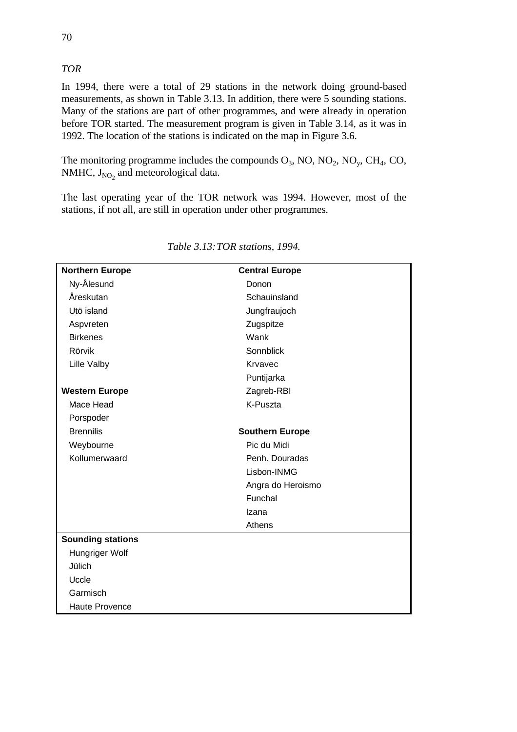## *TOR*

In 1994, there were a total of 29 stations in the network doing ground-based measurements, as shown in Table 3.13. In addition, there were 5 sounding stations. Many of the stations are part of other programmes, and were already in operation before TOR started. The measurement program is given in Table 3.14, as it was in 1992. The location of the stations is indicated on the map in Figure 3.6.

The monitoring programme includes the compounds  $O_3$ , NO, NO<sub>2</sub>, NO<sub>y</sub>, CH<sub>4</sub>, CO, NMHC,  $J_{NO<sub>2</sub>}$  and meteorological data.

The last operating year of the TOR network was 1994. However, most of the stations, if not all, are still in operation under other programmes.

| <b>Northern Europe</b>   | <b>Central Europe</b>  |
|--------------------------|------------------------|
| Ny-Ålesund               | Donon                  |
| Åreskutan                | Schauinsland           |
| Utö island               | Jungfraujoch           |
| Aspvreten                | Zugspitze              |
| <b>Birkenes</b>          | Wank                   |
| Rörvik                   | Sonnblick              |
| <b>Lille Valby</b>       | Krvavec                |
|                          | Puntijarka             |
| <b>Western Europe</b>    | Zagreb-RBI             |
| Mace Head                | K-Puszta               |
| Porspoder                |                        |
| <b>Brennilis</b>         | <b>Southern Europe</b> |
| Weybourne                | Pic du Midi            |
| Kollumerwaard            | Penh. Douradas         |
|                          | Lisbon-INMG            |
|                          | Angra do Heroismo      |
|                          | Funchal                |
|                          | Izana                  |
|                          | Athens                 |
| <b>Sounding stations</b> |                        |
| Hungriger Wolf           |                        |
| Jülich                   |                        |
| Uccle                    |                        |
| Garmisch                 |                        |
| <b>Haute Provence</b>    |                        |

*Table 3.13:TOR stations, 1994.*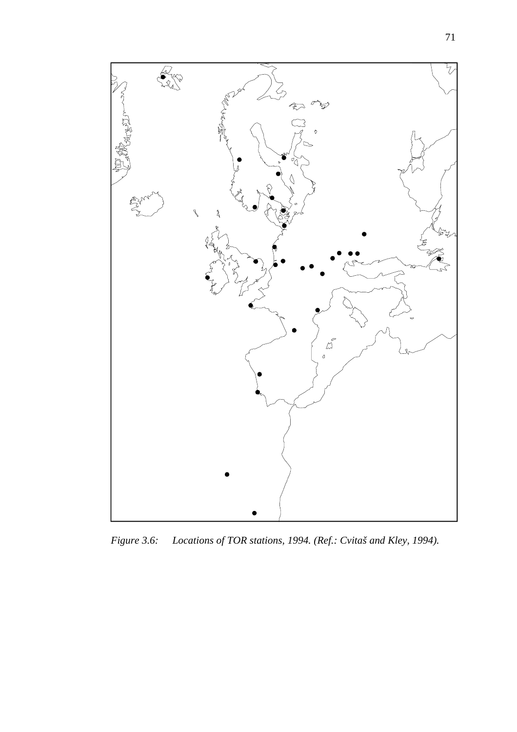

*Figure 3.6: Locations of TOR stations, 1994. (Ref.: Cvitaš and Kley, 1994).*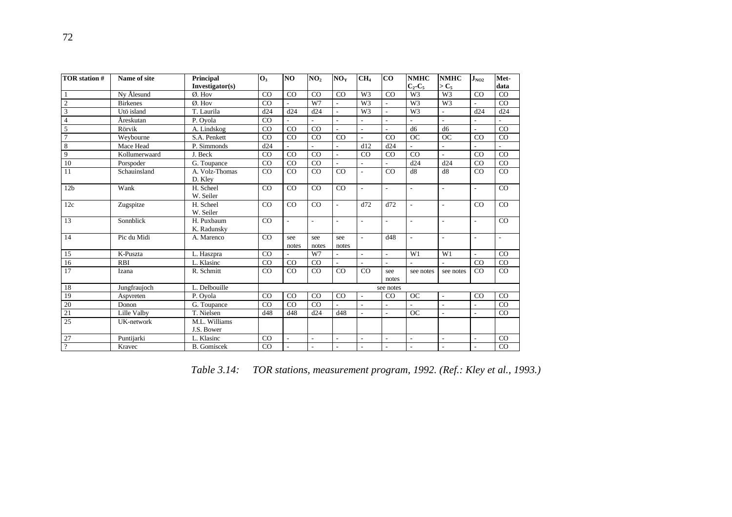| TOR station #            | Name of site    | Principal<br>Investigator(s) | $\mathbf{O}_3$ | NO                       | NO <sub>2</sub>          | NO <sub>y</sub>          | CH <sub>4</sub>          | CO                       | <b>NMHC</b><br>$C_2-C_5$ | <b>NMHC</b><br>$>C_5$    | $J_{NO2}$                | Met-<br>data |
|--------------------------|-----------------|------------------------------|----------------|--------------------------|--------------------------|--------------------------|--------------------------|--------------------------|--------------------------|--------------------------|--------------------------|--------------|
| 1                        | Ny Ålesund      | $Ø.$ Hov                     | CO             | CO                       | CO                       | CO                       | W <sub>3</sub>           | CO                       | W3                       | W <sub>3</sub>           | CO                       | CO           |
| $\overline{2}$           | <b>Birkenes</b> | Ø. Hov                       | CO             | $\overline{\phantom{a}}$ | W7                       | $\overline{\phantom{a}}$ | W <sub>3</sub>           | $\overline{\phantom{a}}$ | W <sub>3</sub>           | W <sub>3</sub>           | $\overline{a}$           | CO           |
| $\overline{3}$           | Utö island      | T. Laurila                   | d24            | d24                      | d24                      | $\overline{a}$           | W <sub>3</sub>           | L.                       | W <sub>3</sub>           | $\overline{a}$           | d24                      | d24          |
| $\overline{4}$           | Åreskutan       | P. Ovola                     | CO             |                          |                          | $\overline{a}$           | L.                       | $\overline{a}$           |                          | $\overline{a}$           |                          |              |
| 5                        | Rörvik          | A. Lindskog                  | CO             | CO                       | CO                       |                          | $\overline{\phantom{a}}$ | $\overline{\phantom{a}}$ | d <sub>6</sub>           | d <sub>6</sub>           | L,                       | CO           |
| $\overline{7}$           | Weybourne       | S.A. Penkett                 | CO             | CO                       | CO                       | CO                       | $\sim$                   | CO                       | OC                       | <b>OC</b>                | CO                       | CO           |
| 8                        | Mace Head       | P. Simmonds                  | d24            |                          |                          | $\overline{\phantom{a}}$ | d12                      | d24                      |                          | $\overline{a}$           |                          |              |
| 9                        | Kollumerwaard   | J. Beck                      | CO             | CO                       | CO                       | $\overline{\phantom{a}}$ | CO                       | CO                       | CO                       | L.                       | CO                       | CO           |
| 10                       | Porspoder       | G. Toupance                  | CO             | CO                       | CO                       | $\sim$                   | $\sim$                   | $\sim$                   | d24                      | d24                      | CO                       | CO           |
| 11                       | Schauinsland    | A. Volz-Thomas<br>D. Kley    | CO             | CO                       | CO                       | CO                       | $\overline{a}$           | CO                       | d8                       | d8                       | CO                       | CO           |
| 12 <sub>b</sub>          | Wank            | H. Scheel<br>W. Seiler       | CO             | CO                       | CO                       | CO                       | ÷.                       | $\overline{a}$           | $\overline{a}$           | $\overline{a}$           | $\overline{a}$           | CO           |
| 12c                      | Zugspitze       | H. Scheel<br>W. Seiler       | CO             | CO                       | CO                       | $\sim$                   | d72                      | d72                      | $\blacksquare$           | $\overline{a}$           | CO                       | CO           |
| 13                       | Sonnblick       | H. Puxbaum<br>K. Radunsky    | CO             | $\overline{a}$           | $\overline{\phantom{a}}$ | ٠                        | $\overline{\phantom{a}}$ | $\overline{\phantom{a}}$ | ٠                        | $\overline{\phantom{a}}$ | $\overline{\phantom{a}}$ | CO           |
| 14                       | Pic du Midi     | A. Marenco                   | CO             | see<br>notes             | see<br>notes             | see<br>notes             | $\overline{a}$           | d48                      | $\overline{\phantom{a}}$ | $\overline{\phantom{a}}$ | $\overline{\phantom{a}}$ | L.           |
| 15                       | K-Puszta        | L. Haszpra                   | CO             |                          | W7                       | $\overline{a}$           | $\overline{a}$           | $\sim$                   | W1                       | W1                       | $\overline{a}$           | CO           |
| 16                       | <b>RBI</b>      | L. Klasinc                   | CO             | CO                       | CO                       | $\overline{a}$           | ÷.                       | $\overline{a}$           |                          |                          | CO                       | CO           |
| 17                       | Izana           | R. Schmitt                   | CO             | CO                       | CO                       | CO                       | CO                       | see<br>notes             | see notes                | see notes                | CO                       | CO           |
| 18                       | Jungfraujoch    | L. Delbouille                |                |                          |                          |                          |                          | see notes                |                          |                          |                          |              |
| 19                       | Aspvreten       | P. Ovola                     | CO             | CO                       | CO                       | CO                       | $\overline{a}$           | CO                       | <b>OC</b>                | $\overline{a}$           | CO                       | CO           |
| 20                       | Donon           | G. Toupance                  | CO             | CO                       | CO                       |                          | $\overline{\phantom{a}}$ | $\blacksquare$           | $\overline{\phantom{a}}$ | $\blacksquare$           | $\overline{\phantom{a}}$ | CO           |
| 21                       | Lille Valby     | T. Nielsen                   | d48            | d48                      | d24                      | d48                      |                          | $\overline{a}$           | OC                       | $\overline{a}$           |                          | CO           |
| 25                       | UK-network      | M.L. Williams<br>J.S. Bower  |                |                          |                          |                          |                          |                          |                          |                          |                          |              |
| 27                       | Puntijarki      | L. Klasinc                   | CO             | $\overline{a}$           | $\overline{\phantom{a}}$ | $\blacksquare$           | $\overline{\phantom{a}}$ | $\overline{\phantom{a}}$ | $\overline{\phantom{a}}$ | $\blacksquare$           | $\overline{a}$           | CO           |
| $\overline{\mathcal{L}}$ | Kravec          | <b>B.</b> Gomiscek           | CO             |                          | $\overline{a}$           | ÷.                       | $\sim$                   | $\overline{\phantom{a}}$ | $\overline{\phantom{a}}$ | L.                       |                          | CO           |

*Table 3.14: TOR stations, measurement program, 1992. (Ref.: Kley et al., 1993.)*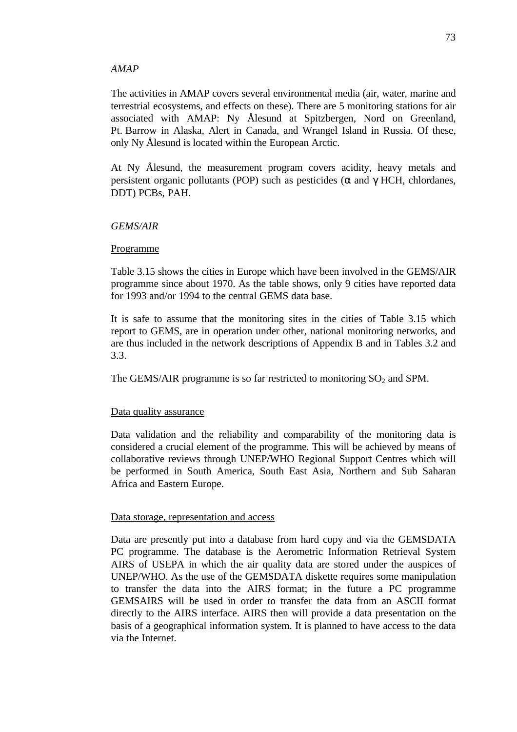#### *AMAP*

The activities in AMAP covers several environmental media (air, water, marine and terrestrial ecosystems, and effects on these). There are 5 monitoring stations for air associated with AMAP: Ny Ålesund at Spitzbergen, Nord on Greenland, Pt. Barrow in Alaska, Alert in Canada, and Wrangel Island in Russia. Of these, only Ny Ålesund is located within the European Arctic.

At Ny Ålesund, the measurement program covers acidity, heavy metals and persistent organic pollutants (POP) such as pesticides ( $\alpha$  and  $\gamma$  HCH, chlordanes, DDT) PCBs, PAH.

#### *GEMS/AIR*

#### Programme

Table 3.15 shows the cities in Europe which have been involved in the GEMS/AIR programme since about 1970. As the table shows, only 9 cities have reported data for 1993 and/or 1994 to the central GEMS data base.

It is safe to assume that the monitoring sites in the cities of Table 3.15 which report to GEMS, are in operation under other, national monitoring networks, and are thus included in the network descriptions of Appendix B and in Tables 3.2 and 3.3.

The GEMS/AIR programme is so far restricted to monitoring  $SO_2$  and SPM.

#### Data quality assurance

Data validation and the reliability and comparability of the monitoring data is considered a crucial element of the programme. This will be achieved by means of collaborative reviews through UNEP/WHO Regional Support Centres which will be performed in South America, South East Asia, Northern and Sub Saharan Africa and Eastern Europe.

#### Data storage, representation and access

Data are presently put into a database from hard copy and via the GEMSDATA PC programme. The database is the Aerometric Information Retrieval System AIRS of USEPA in which the air quality data are stored under the auspices of UNEP/WHO. As the use of the GEMSDATA diskette requires some manipulation to transfer the data into the AIRS format; in the future a PC programme GEMSAIRS will be used in order to transfer the data from an ASCII format directly to the AIRS interface. AIRS then will provide a data presentation on the basis of a geographical information system. It is planned to have access to the data via the Internet.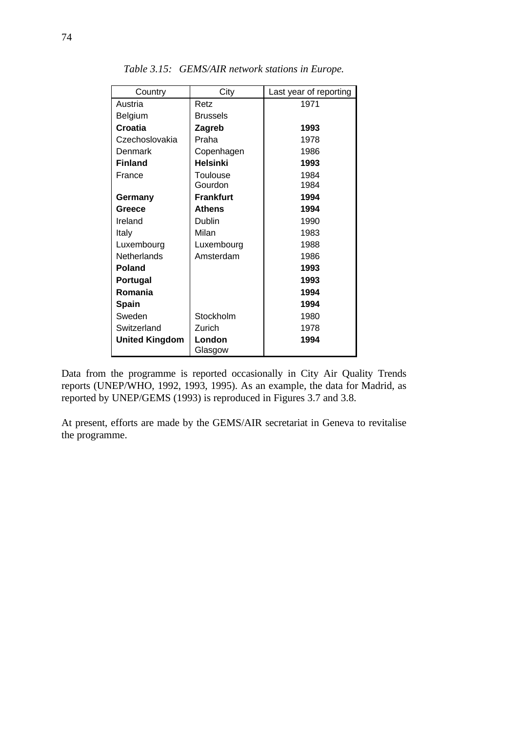| Country               | City              | Last year of reporting |
|-----------------------|-------------------|------------------------|
| Austria               | Retz              | 1971                   |
| Belgium               | <b>Brussels</b>   |                        |
| Croatia               | Zagreb            | 1993                   |
| Czechoslovakia        | Praha             | 1978                   |
| Denmark               | Copenhagen        | 1986                   |
| <b>Finland</b>        | <b>Helsinki</b>   | 1993                   |
| France                | <b>Toulouse</b>   | 1984                   |
|                       | Gourdon           | 1984                   |
| Germany               | <b>Frankfurt</b>  | 1994                   |
| Greece                | <b>Athens</b>     | 1994                   |
| Ireland               | Dublin            | 1990                   |
| Italy                 | Milan             | 1983                   |
| Luxembourg            | Luxembourg        | 1988                   |
| <b>Netherlands</b>    | Amsterdam         | 1986                   |
| <b>Poland</b>         |                   | 1993                   |
| Portugal              |                   | 1993                   |
| Romania               |                   | 1994                   |
| <b>Spain</b>          |                   | 1994                   |
| Sweden                | Stockholm         | 1980                   |
| Switzerland           | Zurich            | 1978                   |
| <b>United Kingdom</b> | London<br>Glasgow | 1994                   |

*Table 3.15: GEMS/AIR network stations in Europe.*

Data from the programme is reported occasionally in City Air Quality Trends reports (UNEP/WHO, 1992, 1993, 1995). As an example, the data for Madrid, as reported by UNEP/GEMS (1993) is reproduced in Figures 3.7 and 3.8.

At present, efforts are made by the GEMS/AIR secretariat in Geneva to revitalise the programme.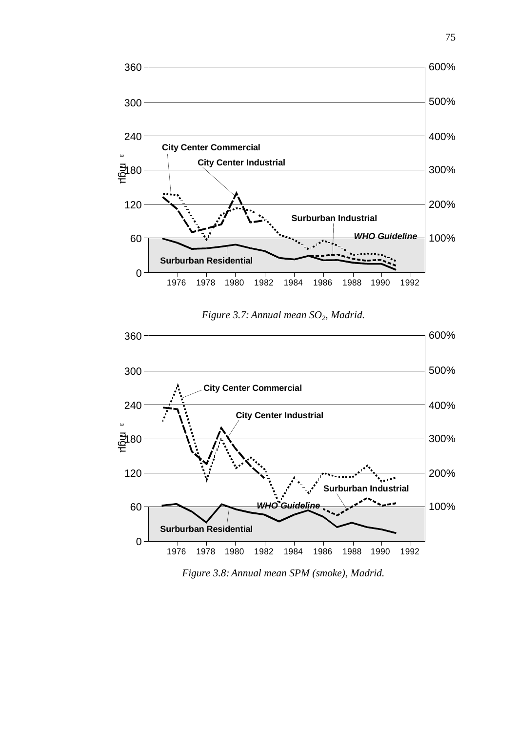

*Figure 3.7: Annual mean SO2, Madrid.*



*Figure 3.8: Annual mean SPM (smoke), Madrid.*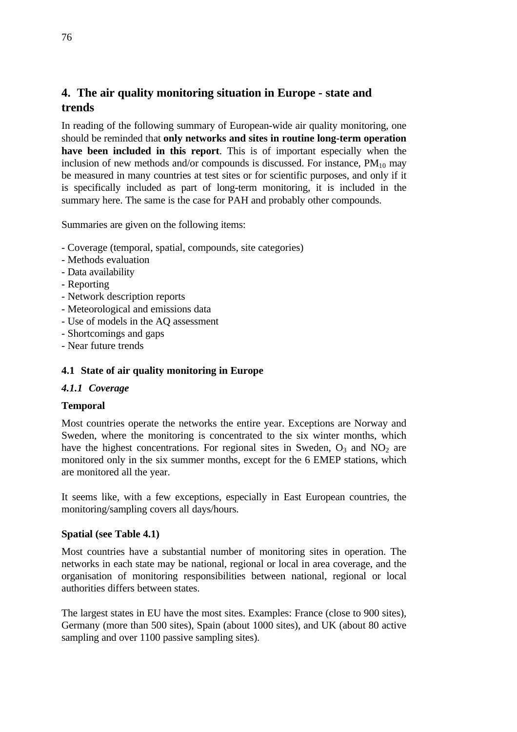## **4. The air quality monitoring situation in Europe - state and trends**

In reading of the following summary of European-wide air quality monitoring, one should be reminded that **only networks and sites in routine long-term operation have been included in this report**. This is of important especially when the inclusion of new methods and/or compounds is discussed. For instance,  $PM_{10}$  may be measured in many countries at test sites or for scientific purposes, and only if it is specifically included as part of long-term monitoring, it is included in the summary here. The same is the case for PAH and probably other compounds.

Summaries are given on the following items:

- Coverage (temporal, spatial, compounds, site categories)
- Methods evaluation
- Data availability
- Reporting
- Network description reports
- Meteorological and emissions data
- Use of models in the AQ assessment
- Shortcomings and gaps
- Near future trends

## **4.1 State of air quality monitoring in Europe**

#### *4.1.1 Coverage*

#### **Temporal**

Most countries operate the networks the entire year. Exceptions are Norway and Sweden, where the monitoring is concentrated to the six winter months, which have the highest concentrations. For regional sites in Sweden,  $O_3$  and  $NO_2$  are monitored only in the six summer months, except for the 6 EMEP stations, which are monitored all the year.

It seems like, with a few exceptions, especially in East European countries, the monitoring/sampling covers all days/hours.

#### **Spatial (see Table 4.1)**

Most countries have a substantial number of monitoring sites in operation. The networks in each state may be national, regional or local in area coverage, and the organisation of monitoring responsibilities between national, regional or local authorities differs between states.

The largest states in EU have the most sites. Examples: France (close to 900 sites), Germany (more than 500 sites), Spain (about 1000 sites), and UK (about 80 active sampling and over 1100 passive sampling sites).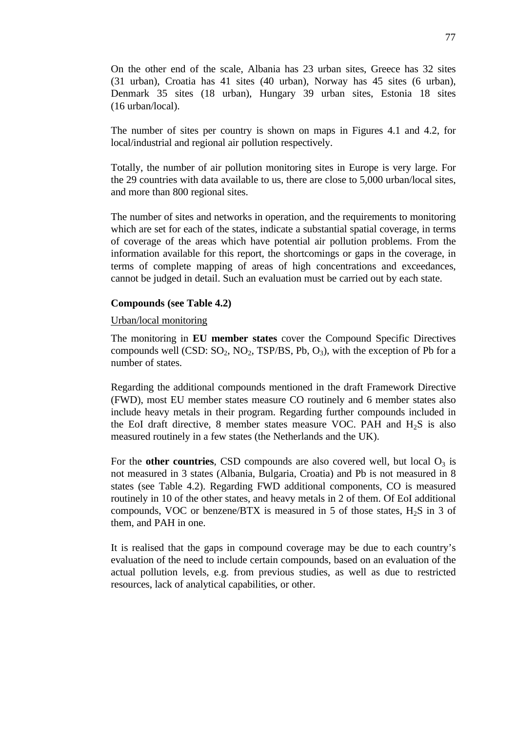On the other end of the scale, Albania has 23 urban sites, Greece has 32 sites (31 urban), Croatia has 41 sites (40 urban), Norway has 45 sites (6 urban), Denmark 35 sites (18 urban), Hungary 39 urban sites, Estonia 18 sites (16 urban/local).

The number of sites per country is shown on maps in Figures 4.1 and 4.2, for local/industrial and regional air pollution respectively.

Totally, the number of air pollution monitoring sites in Europe is very large. For the 29 countries with data available to us, there are close to 5,000 urban/local sites, and more than 800 regional sites.

The number of sites and networks in operation, and the requirements to monitoring which are set for each of the states, indicate a substantial spatial coverage, in terms of coverage of the areas which have potential air pollution problems. From the information available for this report, the shortcomings or gaps in the coverage, in terms of complete mapping of areas of high concentrations and exceedances, cannot be judged in detail. Such an evaluation must be carried out by each state.

#### **Compounds (see Table 4.2)**

#### Urban/local monitoring

The monitoring in **EU member states** cover the Compound Specific Directives compounds well (CSD:  $SO_2$ ,  $NO_2$ , TSP/BS, Pb,  $O_3$ ), with the exception of Pb for a number of states.

Regarding the additional compounds mentioned in the draft Framework Directive (FWD), most EU member states measure CO routinely and 6 member states also include heavy metals in their program. Regarding further compounds included in the EoI draft directive, 8 member states measure VOC. PAH and  $H<sub>2</sub>S$  is also measured routinely in a few states (the Netherlands and the UK).

For the **other countries**, CSD compounds are also covered well, but local  $O_3$  is not measured in 3 states (Albania, Bulgaria, Croatia) and Pb is not measured in 8 states (see Table 4.2). Regarding FWD additional components, CO is measured routinely in 10 of the other states, and heavy metals in 2 of them. Of EoI additional compounds, VOC or benzene/BTX is measured in 5 of those states,  $H_2S$  in 3 of them, and PAH in one.

It is realised that the gaps in compound coverage may be due to each country's evaluation of the need to include certain compounds, based on an evaluation of the actual pollution levels, e.g. from previous studies, as well as due to restricted resources, lack of analytical capabilities, or other.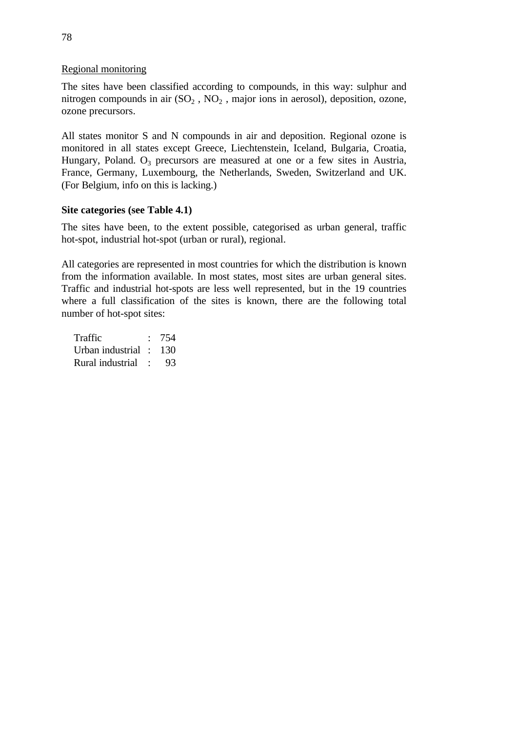### Regional monitoring

The sites have been classified according to compounds, in this way: sulphur and nitrogen compounds in air  $(SO_2, NO_2, major ions in aerosol)$ , deposition, ozone, ozone precursors.

All states monitor S and N compounds in air and deposition. Regional ozone is monitored in all states except Greece, Liechtenstein, Iceland, Bulgaria, Croatia, Hungary, Poland.  $O_3$  precursors are measured at one or a few sites in Austria, France, Germany, Luxembourg, the Netherlands, Sweden, Switzerland and UK. (For Belgium, info on this is lacking.)

## **Site categories (see Table 4.1)**

The sites have been, to the extent possible, categorised as urban general, traffic hot-spot, industrial hot-spot (urban or rural), regional.

All categories are represented in most countries for which the distribution is known from the information available. In most states, most sites are urban general sites. Traffic and industrial hot-spots are less well represented, but in the 19 countries where a full classification of the sites is known, there are the following total number of hot-spot sites:

Traffic : 754 Urban industrial : 130 Rural industrial : 93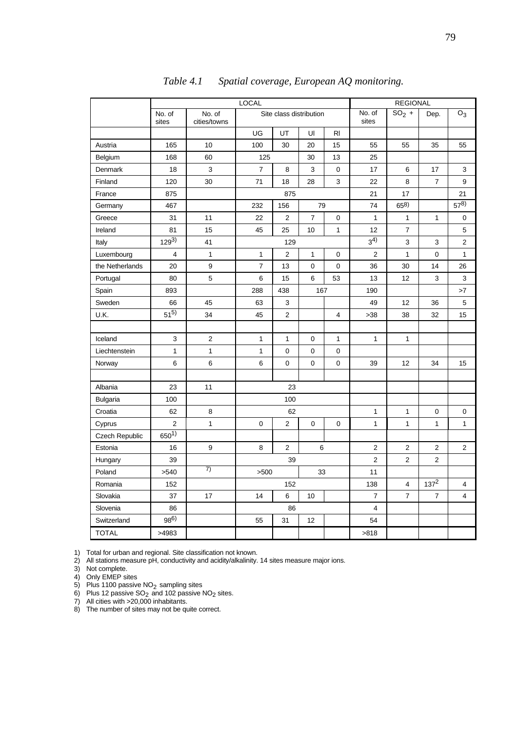|                 | <b>LOCAL</b>    |                         |                         |                |                | <b>REGIONAL</b> |                     |              |                |              |
|-----------------|-----------------|-------------------------|-------------------------|----------------|----------------|-----------------|---------------------|--------------|----------------|--------------|
|                 | No. of<br>sites | No. of<br>cities/towns  | Site class distribution |                |                | No. of<br>sites | $\overline{SO_2}$ + | Dep.         | $O_3$          |              |
|                 |                 |                         | UG                      | UT             | UI             | R <sub>l</sub>  |                     |              |                |              |
| Austria         | 165             | 10                      | 100                     | 30             | 20             | 15              | 55                  | 55           | 35             | 55           |
| Belgium         | 168             | 60                      | 125                     |                | 30             | 13              | 25                  |              |                |              |
| Denmark         | 18              | 3                       | $\overline{7}$          | 8              | 3              | 0               | 17                  | 6            | 17             | 3            |
| Finland         | 120             | 30                      | 71                      | 18             | 28             | 3               | 22                  | 8            | 7              | 9            |
| France          | 875             |                         |                         | 875            |                |                 | 21                  | 17           |                | 21           |
| Germany         | 467             |                         | 232                     | 156            | 79             |                 | 74                  | 658)         |                | $57^{8)}$    |
| Greece          | 31              | 11                      | 22                      | $\overline{2}$ | $\overline{7}$ | 0               | $\mathbf{1}$        | 1            | 1              | 0            |
| Ireland         | 81              | 15                      | 45                      | 25             | 10             | $\mathbf{1}$    | 12                  | 7            |                | 5            |
| Italy           | $129^{3}$       | 41                      |                         | 129            |                |                 | $3^{4)}$            | 3            | 3              | 2            |
| Luxembourg      | 4               | $\mathbf{1}$            | 1                       | $\overline{2}$ | $\mathbf{1}$   | $\mathbf 0$     | $\overline{2}$      | 1            | 0              | $\mathbf{1}$ |
| the Netherlands | 20              | 9                       | $\overline{7}$          | 13             | $\mathbf 0$    | 0               | 36                  | 30           | 14             | 26           |
| Portugal        | 80              | 5                       | 6                       | 15             | 6              | 53              | 13                  | 12           | 3              | 3            |
| Spain           | 893             |                         | 438<br>167<br>288       |                | 190            |                 |                     | >7           |                |              |
| Sweden          | 66              | 45                      | 63                      | 3              |                |                 | 49                  | 12           | 36             | 5            |
| U.K.            | $51^{5}$        | 34                      | 45                      | 2              |                | 4               | >38                 | 38           | 32             | 15           |
|                 |                 |                         |                         |                |                |                 |                     |              |                |              |
| Iceland         | 3               | $\overline{\mathbf{c}}$ | $\mathbf{1}$            | $\mathbf{1}$   | $\mathbf 0$    | $\mathbf{1}$    | $\mathbf{1}$        | $\mathbf{1}$ |                |              |
| Liechtenstein   | $\mathbf{1}$    | $\mathbf{1}$            | 1                       | 0              | 0              | 0               |                     |              |                |              |
| Norway          | 6               | 6                       | 6                       | 0              | $\mathbf 0$    | 0               | 39                  | 12           | 34             | 15           |
|                 |                 |                         |                         |                |                |                 |                     |              |                |              |
| Albania         | 23              | 11                      |                         | 23             |                |                 |                     |              |                |              |
| <b>Bulgaria</b> | 100             |                         |                         | 100            |                |                 |                     |              |                |              |
| Croatia         | 62              | 8                       |                         | 62             |                |                 | $\mathbf{1}$        | 1            | 0              | 0            |
| Cyprus          | $\overline{2}$  | $\mathbf{1}$            | 0                       | $\overline{2}$ | $\mathbf 0$    | 0               | $\mathbf{1}$        | $\mathbf{1}$ | $\mathbf{1}$   | $\mathbf{1}$ |
| Czech Republic  | $650^{1}$       |                         |                         |                |                |                 |                     |              |                |              |
| Estonia         | 16              | 9                       | 8                       | 2              | 6              |                 | $\overline{2}$      | 2            | $\overline{2}$ | 2            |
| Hungary         | 39              |                         |                         | 39             |                |                 | $\overline{2}$      | 2            | 2              |              |
| Poland          | >540            | 7)                      | >500<br>33              |                | 11             |                 |                     |              |                |              |
| Romania         | 152             |                         | 152                     |                |                | 138             | 4                   | $137^2$      | 4              |              |
| Slovakia        | 37              | 17                      | 14                      | 6              | 10             |                 | $\overline{7}$      | 7            | $\overline{7}$ | 4            |
| Slovenia        | 86              |                         |                         | 86             |                |                 | $\overline{4}$      |              |                |              |
| Switzerland     | 986)            |                         | 55                      | 31             | 12             |                 | 54                  |              |                |              |
| <b>TOTAL</b>    | >4983           |                         |                         |                |                |                 | >818                |              |                |              |

*Table 4.1 Spatial coverage, European AQ monitoring.*

1) Total for urban and regional. Site classification not known.

2) All stations measure pH, conductivity and acidity/alkalinity. 14 sites measure major ions.

3) Not complete.

4) Only EMEP sites

5) Plus 1100 passive  $NO<sub>2</sub>$  sampling sites

6) Plus 12 passive SO<sub>2</sub> and 102 passive NO<sub>2</sub> sites.<br>7) All cities with >20,000 inhabitants.

8) The number of sites may not be quite correct.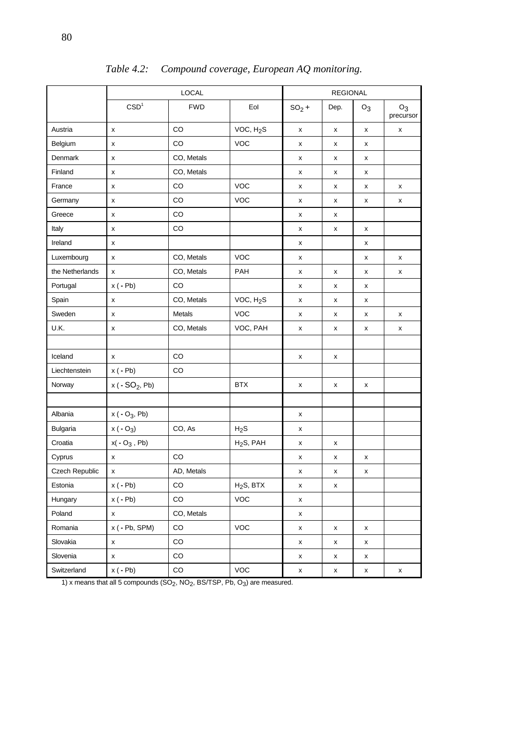|                 | <b>LOCAL</b>     |             | <b>REGIONAL</b>       |                    |                    |                    |                    |
|-----------------|------------------|-------------|-----------------------|--------------------|--------------------|--------------------|--------------------|
|                 | CSD <sup>1</sup> | <b>FWD</b>  | Eol                   | $SO2$ +            | Dep.               | $O_3$              | $O_3$<br>precursor |
| Austria         | X                | CO          | VOC, H <sub>2</sub> S | X                  | X                  | X                  | X                  |
| Belgium         | X                | CO          | <b>VOC</b>            | x                  | x                  | x                  |                    |
| Denmark         | X                | CO, Metals  |                       | x                  | x                  | x                  |                    |
| Finland         | x                | CO, Metals  |                       | x                  | X                  | x                  |                    |
| France          | X                | CO          | VOC                   | x                  | X                  | X                  | X                  |
| Germany         | x                | CO          | <b>VOC</b>            | x                  | x                  | x                  | x                  |
| Greece          | X                | CO          |                       | x                  | x                  |                    |                    |
| Italy           | x                | CO          |                       | x                  | x                  | X                  |                    |
| Ireland         | X                |             |                       | x                  |                    | x                  |                    |
| Luxembourg      | x                | CO, Metals  | <b>VOC</b>            | x                  |                    | x                  | х                  |
| the Netherlands | x                | CO, Metals  | PAH                   | x                  | X                  | x                  | X                  |
| Portugal        | $x(-Pb)$         | CO          |                       | x                  | x                  | x                  |                    |
| Spain           | X                | CO, Metals  | VOC, H <sub>2</sub> S | x                  | x                  | x                  |                    |
| Sweden          | X                | Metals      | VOC                   | x                  | x                  | x                  | х                  |
| U.K.            | x                | CO, Metals  | VOC, PAH              | x                  | x                  | x                  | х                  |
|                 |                  |             |                       |                    |                    |                    |                    |
| Iceland         | x                | CO          |                       | x                  | х                  |                    |                    |
| Liechtenstein   | $x(-Pb)$         | CO          |                       |                    |                    |                    |                    |
| Norway          | $x (-SO2, Pb)$   |             | <b>BTX</b>            | X                  | X                  | x                  |                    |
|                 |                  |             |                       |                    |                    |                    |                    |
| Albania         | $x (-O_3, Pb)$   |             |                       | x                  |                    |                    |                    |
| Bulgaria        | $x (-O3)$        | CO, As      | H <sub>2</sub> S      | x                  |                    |                    |                    |
| Croatia         | $x(-O_3, Pb)$    |             | H <sub>2</sub> S, PAH | x                  | x                  |                    |                    |
| Cyprus          | x                | CO          |                       | x                  | x                  | x                  |                    |
| Czech Republic  | x                | AD, Metals  |                       | x                  | x                  | x                  |                    |
| Estonia         | $x(-Pb)$         | $_{\rm CO}$ | H <sub>2</sub> S, BTX | x                  | X                  |                    |                    |
| Hungary         | $x(-Pb)$         | CO          | <b>VOC</b>            | X                  |                    |                    |                    |
| Poland          | X                | CO, Metals  |                       | $\pmb{\mathsf{x}}$ |                    |                    |                    |
| Romania         | $x (-Pb, SPM)$   | CO          | VOC                   | X                  | X                  | X                  |                    |
| Slovakia        | X                | $_{\rm CO}$ |                       | X                  | x                  | x                  |                    |
| Slovenia        | X                | $_{\rm CO}$ |                       | X                  | $\pmb{\mathsf{x}}$ | $\pmb{\mathsf{x}}$ |                    |
| Switzerland     | $x(-Pb)$         | CO          | VOC                   | $\pmb{\mathsf{x}}$ | $\pmb{\mathsf{x}}$ | $\pmb{\mathsf{x}}$ | x                  |

*Table 4.2: Compound coverage, European AQ monitoring.*

1) x means that all 5 compounds  $(SO_2, NO_2, BS/ISP, Pb, O_3)$  are measured.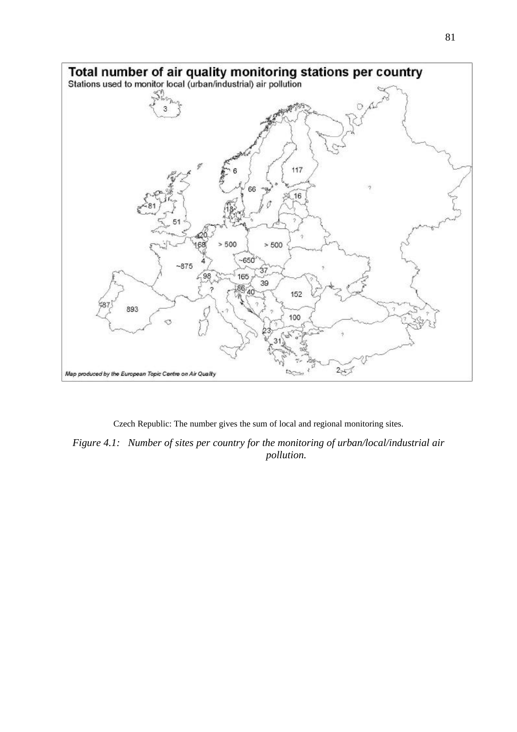

Czech Republic: The number gives the sum of local and regional monitoring sites.

*Figure 4.1: Number of sites per country for the monitoring of urban/local/industrial air pollution.*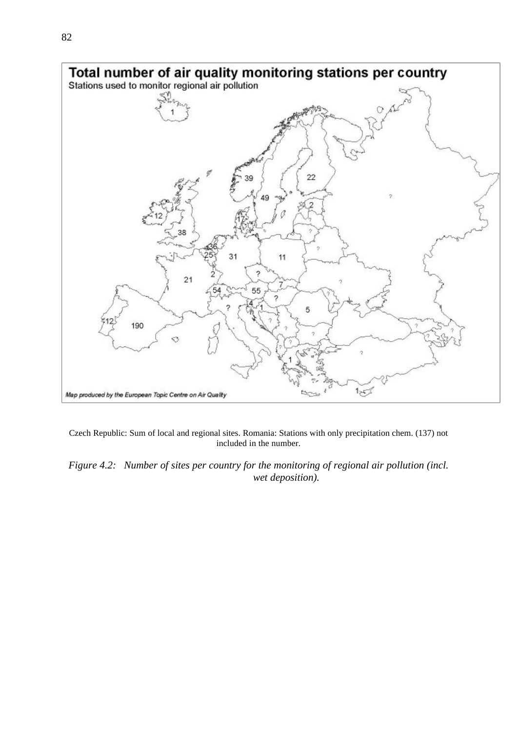

Czech Republic: Sum of local and regional sites. Romania: Stations with only precipitation chem. (137) not included in the number.

*Figure 4.2: Number of sites per country for the monitoring of regional air pollution (incl. wet deposition).*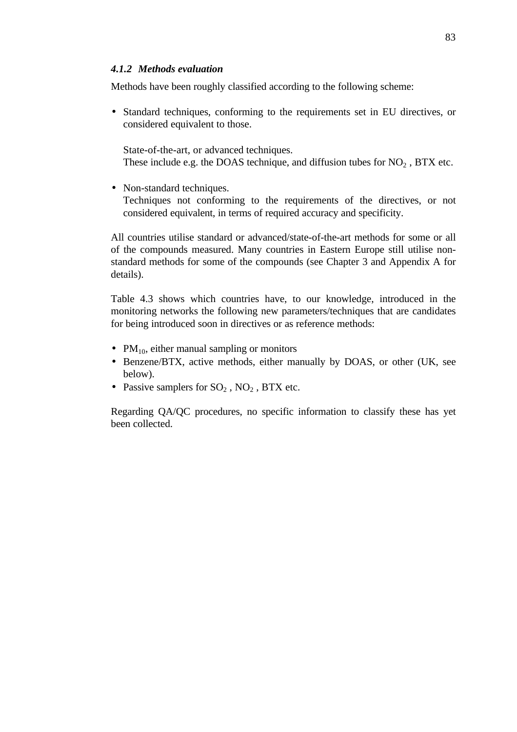#### *4.1.2 Methods evaluation*

Methods have been roughly classified according to the following scheme:

• Standard techniques, conforming to the requirements set in EU directives, or considered equivalent to those.

State-of-the-art, or advanced techniques. These include e.g. the DOAS technique, and diffusion tubes for  $NO<sub>2</sub>$ , BTX etc.

• Non-standard techniques.

Techniques not conforming to the requirements of the directives, or not considered equivalent, in terms of required accuracy and specificity.

All countries utilise standard or advanced/state-of-the-art methods for some or all of the compounds measured. Many countries in Eastern Europe still utilise nonstandard methods for some of the compounds (see Chapter 3 and Appendix A for details).

Table 4.3 shows which countries have, to our knowledge, introduced in the monitoring networks the following new parameters/techniques that are candidates for being introduced soon in directives or as reference methods:

- $PM_{10}$ , either manual sampling or monitors
- Benzene/BTX, active methods, either manually by DOAS, or other (UK, see below).
- Passive samplers for  $SO_2$ ,  $NO_2$ , BTX etc.

Regarding QA/QC procedures, no specific information to classify these has yet been collected.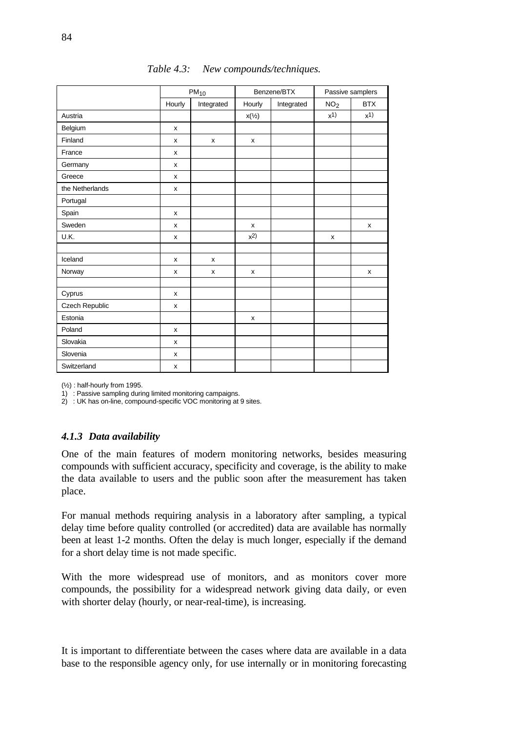|                 | $PM_{10}$          |            |                  | Benzene/BTX | Passive samplers |                    |  |
|-----------------|--------------------|------------|------------------|-------------|------------------|--------------------|--|
|                 | Hourly             | Integrated | Hourly           | Integrated  | NO <sub>2</sub>  | <b>BTX</b>         |  |
| Austria         |                    |            | $x(\frac{1}{2})$ |             | x <sup>1</sup>   | $x$ <sup>1</sup> ) |  |
| Belgium         | X                  |            |                  |             |                  |                    |  |
| Finland         | x                  | x          | x                |             |                  |                    |  |
| France          | x                  |            |                  |             |                  |                    |  |
| Germany         | X                  |            |                  |             |                  |                    |  |
| Greece          | X                  |            |                  |             |                  |                    |  |
| the Netherlands | X                  |            |                  |             |                  |                    |  |
| Portugal        |                    |            |                  |             |                  |                    |  |
| Spain           | x                  |            |                  |             |                  |                    |  |
| Sweden          | X                  |            | X                |             |                  | X                  |  |
| U.K.            | x                  |            | $x^2$            |             | x                |                    |  |
|                 |                    |            |                  |             |                  |                    |  |
| Iceland         | X                  | x          |                  |             |                  |                    |  |
| Norway          | X                  | X          | X                |             |                  | X                  |  |
|                 |                    |            |                  |             |                  |                    |  |
| Cyprus          | x                  |            |                  |             |                  |                    |  |
| Czech Republic  | x                  |            |                  |             |                  |                    |  |
| Estonia         |                    |            | x                |             |                  |                    |  |
| Poland          | $\pmb{\mathsf{x}}$ |            |                  |             |                  |                    |  |
| Slovakia        | X                  |            |                  |             |                  |                    |  |
| Slovenia        | x                  |            |                  |             |                  |                    |  |
| Switzerland     | x                  |            |                  |             |                  |                    |  |

*Table 4.3: New compounds/techniques.*

(½) : half-hourly from 1995.

1) : Passive sampling during limited monitoring campaigns.

2) : UK has on-line, compound-specific VOC monitoring at 9 sites.

#### *4.1.3 Data availability*

One of the main features of modern monitoring networks, besides measuring compounds with sufficient accuracy, specificity and coverage, is the ability to make the data available to users and the public soon after the measurement has taken place.

For manual methods requiring analysis in a laboratory after sampling, a typical delay time before quality controlled (or accredited) data are available has normally been at least 1-2 months. Often the delay is much longer, especially if the demand for a short delay time is not made specific.

With the more widespread use of monitors, and as monitors cover more compounds, the possibility for a widespread network giving data daily, or even with shorter delay (hourly, or near-real-time), is increasing.

It is important to differentiate between the cases where data are available in a data base to the responsible agency only, for use internally or in monitoring forecasting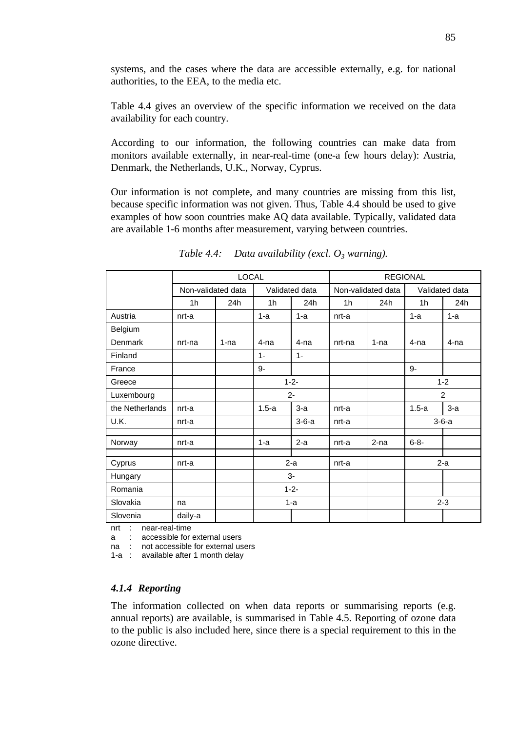systems, and the cases where the data are accessible externally, e.g. for national authorities, to the EEA, to the media etc.

Table 4.4 gives an overview of the specific information we received on the data availability for each country.

According to our information, the following countries can make data from monitors available externally, in near-real-time (one-a few hours delay): Austria, Denmark, the Netherlands, U.K., Norway, Cyprus.

Our information is not complete, and many countries are missing from this list, because specific information was not given. Thus, Table 4.4 should be used to give examples of how soon countries make AQ data available. Typically, validated data are available 1-6 months after measurement, varying between countries.

|                 |                    | <b>LOCAL</b> |                |         | <b>REGIONAL</b>    |        |                |       |
|-----------------|--------------------|--------------|----------------|---------|--------------------|--------|----------------|-------|
|                 | Non-validated data |              | Validated data |         | Non-validated data |        | Validated data |       |
|                 | 1 <sub>h</sub>     | 24h          | 1 <sub>h</sub> | 24h     | 1h                 | 24h    | 1 <sub>h</sub> | 24h   |
| Austria         | nrt-a              |              | $1-a$          | $1-a$   | nrt-a              |        | $1-a$          | $1-a$ |
| Belgium         |                    |              |                |         |                    |        |                |       |
| Denmark         | nrt-na             | $1 - na$     | $4-na$         | $4-na$  | nrt-na             | 1-na   | 4-na           | 4-na  |
| Finland         |                    |              | $1 -$          | $1 -$   |                    |        |                |       |
| France          |                    |              | 9-             |         |                    |        | 9-             |       |
| Greece          |                    |              | $1 - 2 -$      |         |                    |        | $1 - 2$        |       |
| Luxembourg      |                    |              | $2 -$          |         |                    |        | $\overline{2}$ |       |
| the Netherlands | nrt-a              |              | $1.5-a$        | $3-a$   | nrt-a              |        | $1.5-a$        | $3-a$ |
| U.K.            | nrt-a              |              |                | $3-6-a$ | nrt-a              |        | $3-6-a$        |       |
|                 |                    |              |                |         |                    |        |                |       |
| Norway          | nrt-a              |              | $1-a$          | $2-a$   | nrt-a              | $2-na$ | $6 - 8 -$      |       |
| Cyprus          | nrt-a              |              | $2-a$          |         | nrt-a              |        |                | $2-a$ |
| Hungary         |                    |              | $3-$           |         |                    |        |                |       |
| Romania         |                    |              | $1 - 2 -$      |         |                    |        |                |       |
| Slovakia        | na                 |              | 1-a            |         |                    |        | $2 - 3$        |       |
| Slovenia        | daily-a            |              |                |         |                    |        |                |       |

*Table 4.4: Data availability (excl. O3 warning).*

nrt : near-real-time

a : accessible for external users

na : not accessible for external users

1-a : available after 1 month delay

#### *4.1.4 Reporting*

The information collected on when data reports or summarising reports (e.g. annual reports) are available, is summarised in Table 4.5. Reporting of ozone data to the public is also included here, since there is a special requirement to this in the ozone directive.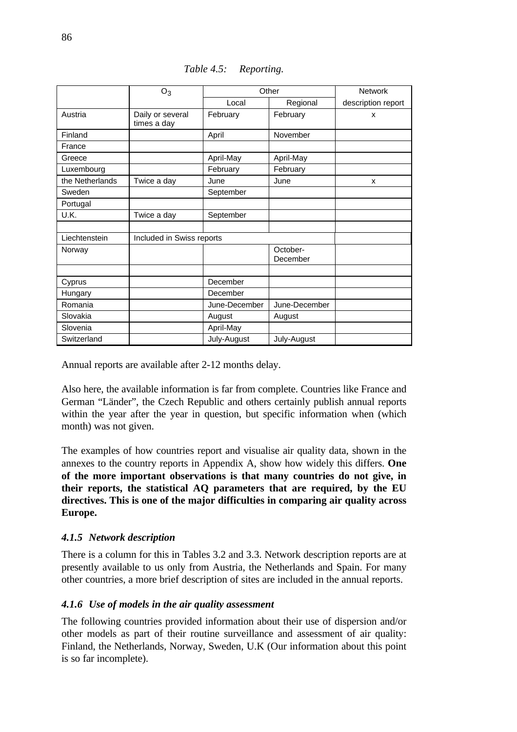|                 | $O_3$                           | Other         |               | <b>Network</b>     |
|-----------------|---------------------------------|---------------|---------------|--------------------|
|                 |                                 | Local         | Regional      | description report |
| Austria         | Daily or several<br>times a day | February      | February      | X                  |
| Finland         |                                 | April         | November      |                    |
| France          |                                 |               |               |                    |
| Greece          |                                 | April-May     |               |                    |
|                 |                                 |               | April-May     |                    |
| Luxembourg      |                                 | February      | February      |                    |
| the Netherlands | Twice a day                     | June          | June          | X                  |
| Sweden          |                                 | September     |               |                    |
| Portugal        |                                 |               |               |                    |
| U.K.            | Twice a day                     | September     |               |                    |
|                 |                                 |               |               |                    |
| Liechtenstein   | Included in Swiss reports       |               |               |                    |
| Norway          |                                 |               | October-      |                    |
|                 |                                 |               | December      |                    |
|                 |                                 |               |               |                    |
| Cyprus          |                                 | December      |               |                    |
| Hungary         |                                 | December      |               |                    |
| Romania         |                                 | June-December | June-December |                    |
| Slovakia        |                                 | August        | August        |                    |
| Slovenia        |                                 | April-May     |               |                    |
| Switzerland     |                                 | July-August   | July-August   |                    |

*Table 4.5: Reporting.*

Annual reports are available after 2-12 months delay.

Also here, the available information is far from complete. Countries like France and German "Länder", the Czech Republic and others certainly publish annual reports within the year after the year in question, but specific information when (which month) was not given.

The examples of how countries report and visualise air quality data, shown in the annexes to the country reports in Appendix A, show how widely this differs. **One of the more important observations is that many countries do not give, in their reports, the statistical AQ parameters that are required, by the EU directives. This is one of the major difficulties in comparing air quality across Europe.**

## *4.1.5 Network description*

There is a column for this in Tables 3.2 and 3.3. Network description reports are at presently available to us only from Austria, the Netherlands and Spain. For many other countries, a more brief description of sites are included in the annual reports.

#### *4.1.6 Use of models in the air quality assessment*

The following countries provided information about their use of dispersion and/or other models as part of their routine surveillance and assessment of air quality: Finland, the Netherlands, Norway, Sweden, U.K (Our information about this point is so far incomplete).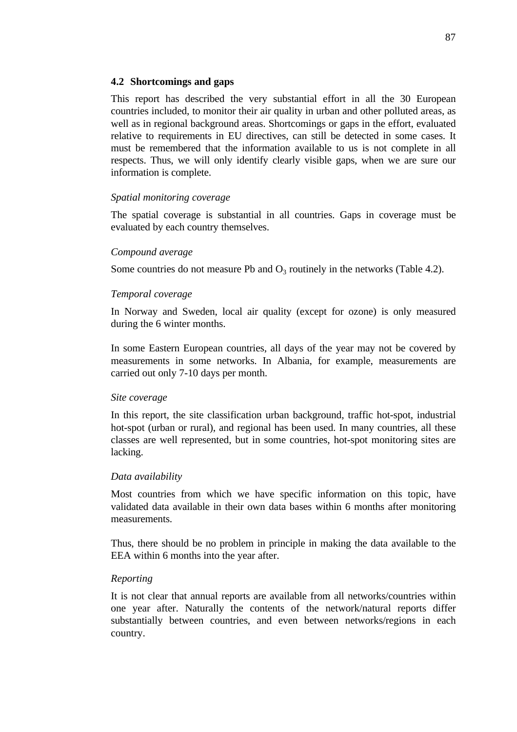#### **4.2 Shortcomings and gaps**

This report has described the very substantial effort in all the 30 European countries included, to monitor their air quality in urban and other polluted areas, as well as in regional background areas. Shortcomings or gaps in the effort, evaluated relative to requirements in EU directives, can still be detected in some cases. It must be remembered that the information available to us is not complete in all respects. Thus, we will only identify clearly visible gaps, when we are sure our information is complete.

#### *Spatial monitoring coverage*

The spatial coverage is substantial in all countries. Gaps in coverage must be evaluated by each country themselves.

#### *Compound average*

Some countries do not measure Pb and  $O_3$  routinely in the networks (Table 4.2).

#### *Temporal coverage*

In Norway and Sweden, local air quality (except for ozone) is only measured during the 6 winter months.

In some Eastern European countries, all days of the year may not be covered by measurements in some networks. In Albania, for example, measurements are carried out only 7-10 days per month.

#### *Site coverage*

In this report, the site classification urban background, traffic hot-spot, industrial hot-spot (urban or rural), and regional has been used. In many countries, all these classes are well represented, but in some countries, hot-spot monitoring sites are lacking.

#### *Data availability*

Most countries from which we have specific information on this topic, have validated data available in their own data bases within 6 months after monitoring measurements.

Thus, there should be no problem in principle in making the data available to the EEA within 6 months into the year after.

#### *Reporting*

It is not clear that annual reports are available from all networks/countries within one year after. Naturally the contents of the network/natural reports differ substantially between countries, and even between networks/regions in each country.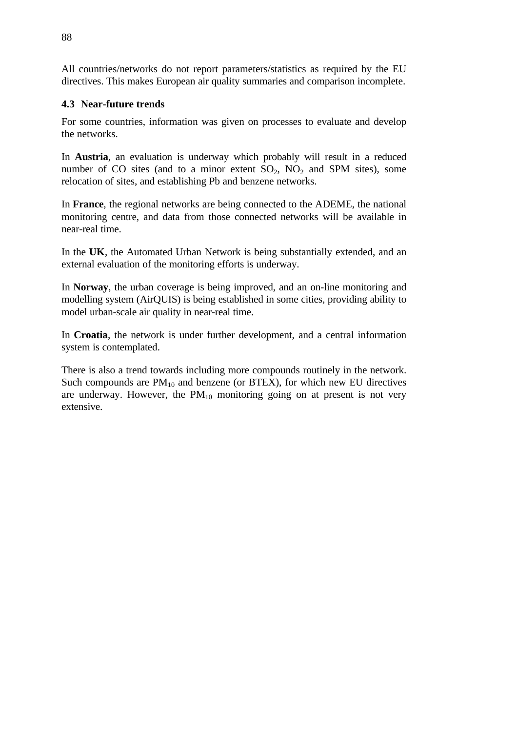All countries/networks do not report parameters/statistics as required by the EU directives. This makes European air quality summaries and comparison incomplete.

## **4.3 Near-future trends**

For some countries, information was given on processes to evaluate and develop the networks.

In **Austria**, an evaluation is underway which probably will result in a reduced number of CO sites (and to a minor extent  $SO_2$ ,  $NO_2$  and SPM sites), some relocation of sites, and establishing Pb and benzene networks.

In **France**, the regional networks are being connected to the ADEME, the national monitoring centre, and data from those connected networks will be available in near-real time.

In the **UK**, the Automated Urban Network is being substantially extended, and an external evaluation of the monitoring efforts is underway.

In **Norway**, the urban coverage is being improved, and an on-line monitoring and modelling system (AirQUIS) is being established in some cities, providing ability to model urban-scale air quality in near-real time.

In **Croatia**, the network is under further development, and a central information system is contemplated.

There is also a trend towards including more compounds routinely in the network. Such compounds are  $PM_{10}$  and benzene (or BTEX), for which new EU directives are underway. However, the  $PM_{10}$  monitoring going on at present is not very extensive.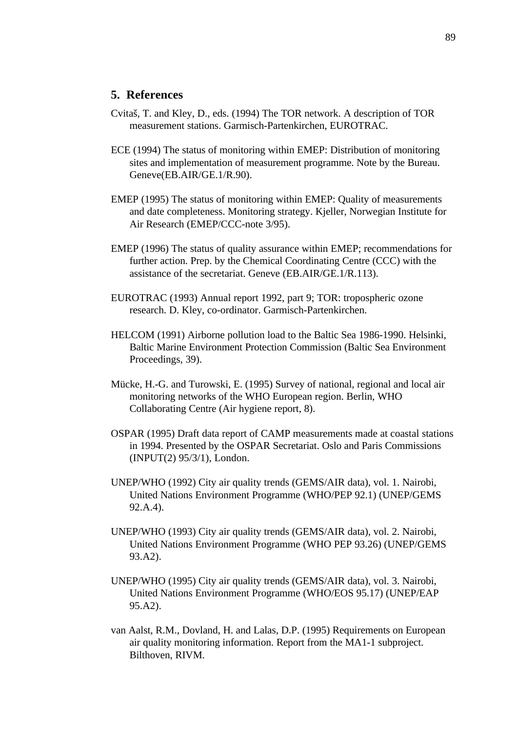## **5. References**

- Cvitaš, T. and Kley, D., eds. (1994) The TOR network. A description of TOR measurement stations. Garmisch-Partenkirchen, EUROTRAC.
- ECE (1994) The status of monitoring within EMEP: Distribution of monitoring sites and implementation of measurement programme. Note by the Bureau. Geneve(EB.AIR/GE.1/R.90).
- EMEP (1995) The status of monitoring within EMEP: Quality of measurements and date completeness. Monitoring strategy. Kjeller, Norwegian Institute for Air Research (EMEP/CCC-note 3/95).
- EMEP (1996) The status of quality assurance within EMEP; recommendations for further action. Prep. by the Chemical Coordinating Centre (CCC) with the assistance of the secretariat. Geneve (EB.AIR/GE.1/R.113).
- EUROTRAC (1993) Annual report 1992, part 9; TOR: tropospheric ozone research. D. Kley, co-ordinator. Garmisch-Partenkirchen.
- HELCOM (1991) Airborne pollution load to the Baltic Sea 1986-1990. Helsinki, Baltic Marine Environment Protection Commission (Baltic Sea Environment Proceedings, 39).
- Mücke, H.-G. and Turowski, E. (1995) Survey of national, regional and local air monitoring networks of the WHO European region. Berlin, WHO Collaborating Centre (Air hygiene report, 8).
- OSPAR (1995) Draft data report of CAMP measurements made at coastal stations in 1994. Presented by the OSPAR Secretariat. Oslo and Paris Commissions (INPUT(2) 95/3/1), London.
- UNEP/WHO (1992) City air quality trends (GEMS/AIR data), vol. 1. Nairobi, United Nations Environment Programme (WHO/PEP 92.1) (UNEP/GEMS 92.A.4).
- UNEP/WHO (1993) City air quality trends (GEMS/AIR data), vol. 2. Nairobi, United Nations Environment Programme (WHO PEP 93.26) (UNEP/GEMS 93.A2).
- UNEP/WHO (1995) City air quality trends (GEMS/AIR data), vol. 3. Nairobi, United Nations Environment Programme (WHO/EOS 95.17) (UNEP/EAP 95.A2).
- van Aalst, R.M., Dovland, H. and Lalas, D.P. (1995) Requirements on European air quality monitoring information. Report from the MA1-1 subproject. Bilthoven, RIVM.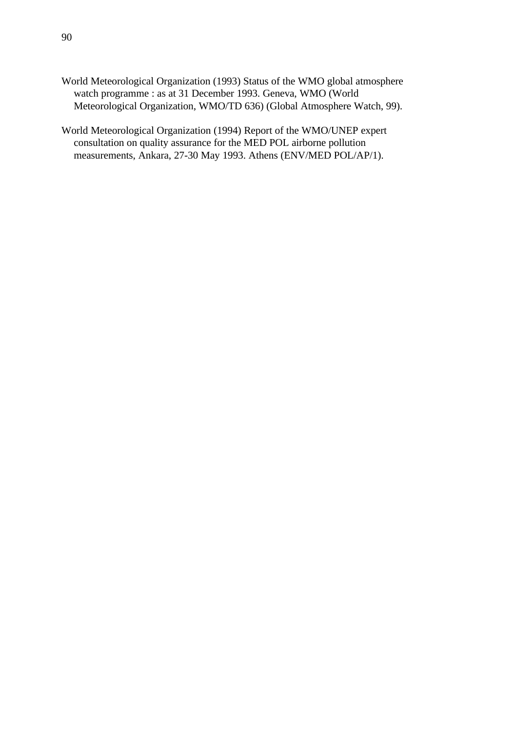- World Meteorological Organization (1993) Status of the WMO global atmosphere watch programme : as at 31 December 1993. Geneva, WMO (World Meteorological Organization, WMO/TD 636) (Global Atmosphere Watch, 99).
- World Meteorological Organization (1994) Report of the WMO/UNEP expert consultation on quality assurance for the MED POL airborne pollution measurements, Ankara, 27-30 May 1993. Athens (ENV/MED POL/AP/1).